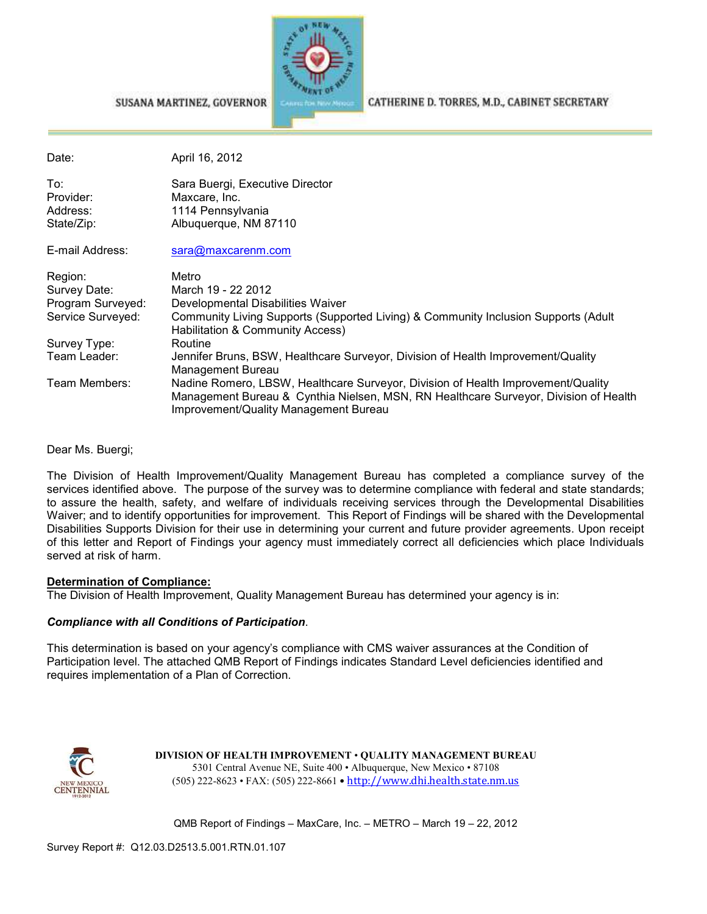

#### SUSANA MARTINEZ, GOVERNOR

CATHERINE D. TORRES, M.D., CABINET SECRETARY

| Date:             | April 16, 2012                                                                                                                                                                                                    |
|-------------------|-------------------------------------------------------------------------------------------------------------------------------------------------------------------------------------------------------------------|
| To:<br>Provider:  | Sara Buergi, Executive Director<br>Maxcare, Inc.                                                                                                                                                                  |
| Address:          | 1114 Pennsylvania                                                                                                                                                                                                 |
| State/Zip:        | Albuquerque, NM 87110                                                                                                                                                                                             |
| E-mail Address:   | sara@maxcarenm.com                                                                                                                                                                                                |
| Region:           | Metro                                                                                                                                                                                                             |
| Survey Date:      | March 19 - 22 2012                                                                                                                                                                                                |
| Program Surveyed: | Developmental Disabilities Waiver                                                                                                                                                                                 |
| Service Surveyed: | Community Living Supports (Supported Living) & Community Inclusion Supports (Adult<br>Habilitation & Community Access)                                                                                            |
| Survey Type:      | Routine                                                                                                                                                                                                           |
| Team Leader:      | Jennifer Bruns, BSW, Healthcare Surveyor, Division of Health Improvement/Quality<br>Management Bureau                                                                                                             |
| Team Members:     | Nadine Romero, LBSW, Healthcare Surveyor, Division of Health Improvement/Quality<br>Management Bureau & Cynthia Nielsen, MSN, RN Healthcare Surveyor, Division of Health<br>Improvement/Quality Management Bureau |

Dear Ms. Buergi;

The Division of Health Improvement/Quality Management Bureau has completed a compliance survey of the services identified above. The purpose of the survey was to determine compliance with federal and state standards; to assure the health, safety, and welfare of individuals receiving services through the Developmental Disabilities Waiver; and to identify opportunities for improvement. This Report of Findings will be shared with the Developmental Disabilities Supports Division for their use in determining your current and future provider agreements. Upon receipt of this letter and Report of Findings your agency must immediately correct all deficiencies which place Individuals served at risk of harm.

#### **Determination of Compliance:**

The Division of Health Improvement, Quality Management Bureau has determined your agency is in:

#### *Compliance with all Conditions of Participation*.

This determination is based on your agency's compliance with CMS waiver assurances at the Condition of Participation level. The attached QMB Report of Findings indicates Standard Level deficiencies identified and requires implementation of a Plan of Correction.



**DIVISION OF HEALTH IMPROVEMENT** • **QUALITY MANAGEMENT BUREAU** 5301 Central Avenue NE, Suite 400 • Albuquerque, New Mexico • 87108 (505) 222-8623 • FAX: (505) 222-8661 • http://www.dhi.health.state.nm.us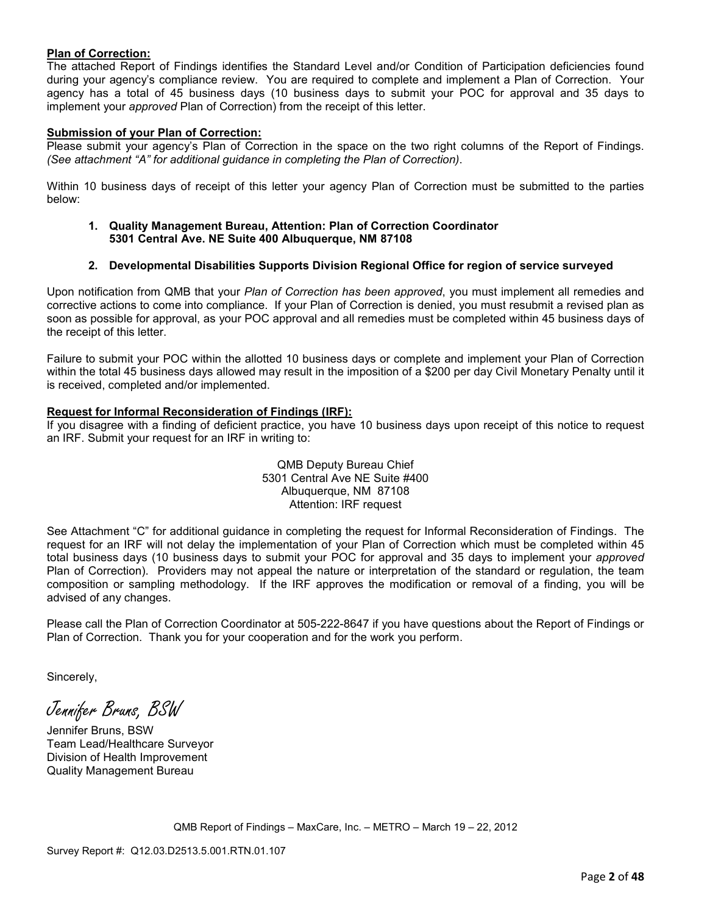#### **Plan of Correction:**

The attached Report of Findings identifies the Standard Level and/or Condition of Participation deficiencies found during your agency's compliance review. You are required to complete and implement a Plan of Correction. Your agency has a total of 45 business days (10 business days to submit your POC for approval and 35 days to implement your *approved* Plan of Correction) from the receipt of this letter.

#### **Submission of your Plan of Correction:**

Please submit your agency's Plan of Correction in the space on the two right columns of the Report of Findings. *(See attachment "A" for additional guidance in completing the Plan of Correction)*.

Within 10 business days of receipt of this letter your agency Plan of Correction must be submitted to the parties below:

**1. Quality Management Bureau, Attention: Plan of Correction Coordinator 5301 Central Ave. NE Suite 400 Albuquerque, NM 87108** 

#### **2. Developmental Disabilities Supports Division Regional Office for region of service surveyed**

Upon notification from QMB that your *Plan of Correction has been approved*, you must implement all remedies and corrective actions to come into compliance. If your Plan of Correction is denied, you must resubmit a revised plan as soon as possible for approval, as your POC approval and all remedies must be completed within 45 business days of the receipt of this letter.

Failure to submit your POC within the allotted 10 business days or complete and implement your Plan of Correction within the total 45 business days allowed may result in the imposition of a \$200 per day Civil Monetary Penalty until it is received, completed and/or implemented.

#### **Request for Informal Reconsideration of Findings (IRF):**

If you disagree with a finding of deficient practice, you have 10 business days upon receipt of this notice to request an IRF. Submit your request for an IRF in writing to:

> QMB Deputy Bureau Chief 5301 Central Ave NE Suite #400 Albuquerque, NM 87108 Attention: IRF request

See Attachment "C" for additional guidance in completing the request for Informal Reconsideration of Findings. The request for an IRF will not delay the implementation of your Plan of Correction which must be completed within 45 total business days (10 business days to submit your POC for approval and 35 days to implement your *approved* Plan of Correction). Providers may not appeal the nature or interpretation of the standard or regulation, the team composition or sampling methodology. If the IRF approves the modification or removal of a finding, you will be advised of any changes.

Please call the Plan of Correction Coordinator at 505-222-8647 if you have questions about the Report of Findings or Plan of Correction. Thank you for your cooperation and for the work you perform.

Sincerely,

Jennifer Bruns, BSW

Jennifer Bruns, BSW Team Lead/Healthcare Surveyor Division of Health Improvement Quality Management Bureau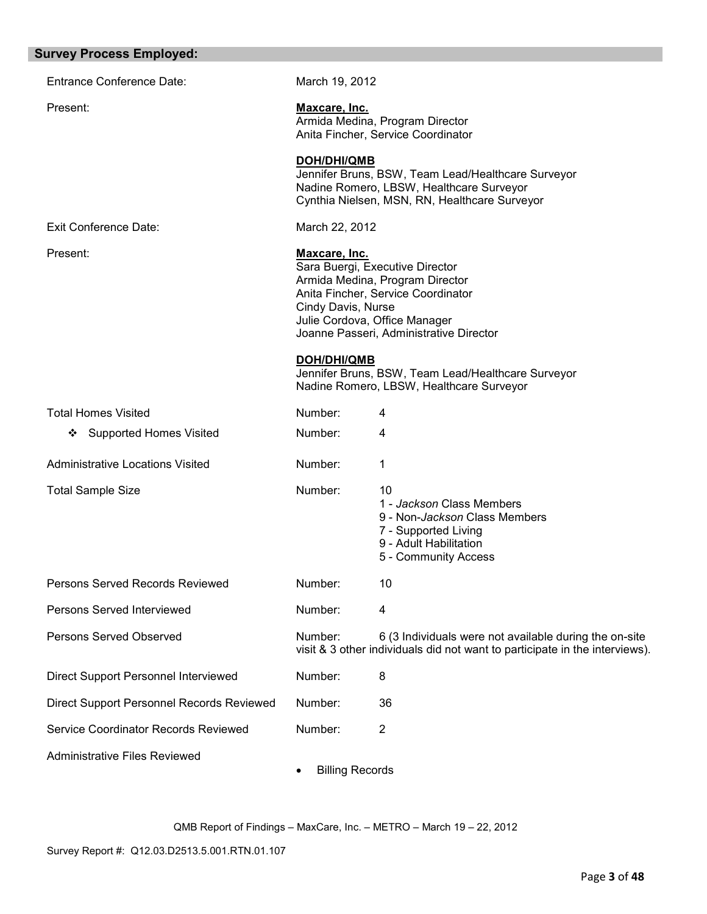| <b>Survey Process Employed:</b>                                                                                                                                                              |                        |                                                                                                                                                 |
|----------------------------------------------------------------------------------------------------------------------------------------------------------------------------------------------|------------------------|-------------------------------------------------------------------------------------------------------------------------------------------------|
| <b>Entrance Conference Date:</b>                                                                                                                                                             | March 19, 2012         |                                                                                                                                                 |
| Present:                                                                                                                                                                                     | Maxcare, Inc.          | Armida Medina, Program Director<br>Anita Fincher, Service Coordinator                                                                           |
|                                                                                                                                                                                              | <b>DOH/DHI/QMB</b>     | Jennifer Bruns, BSW, Team Lead/Healthcare Surveyor<br>Nadine Romero, LBSW, Healthcare Surveyor<br>Cynthia Nielsen, MSN, RN, Healthcare Surveyor |
| Exit Conference Date:                                                                                                                                                                        | March 22, 2012         |                                                                                                                                                 |
| Present:<br>Maxcare, Inc.<br>Sara Buergi, Executive Director<br>Armida Medina, Program Director<br>Anita Fincher, Service Coordinator<br>Cindy Davis, Nurse<br>Julie Cordova, Office Manager |                        | Joanne Passeri, Administrative Director                                                                                                         |
|                                                                                                                                                                                              | DOH/DHI/QMB            | Jennifer Bruns, BSW, Team Lead/Healthcare Surveyor<br>Nadine Romero, LBSW, Healthcare Surveyor                                                  |
| <b>Total Homes Visited</b>                                                                                                                                                                   | Number:                | 4                                                                                                                                               |
| <b>Supported Homes Visited</b><br>❖                                                                                                                                                          | Number:                | 4                                                                                                                                               |
| <b>Administrative Locations Visited</b>                                                                                                                                                      | Number:                | 1                                                                                                                                               |
| <b>Total Sample Size</b>                                                                                                                                                                     | Number:                | 10<br>1 - Jackson Class Members<br>9 - Non-Jackson Class Members<br>7 - Supported Living<br>9 - Adult Habilitation<br>5 - Community Access      |
| <b>Persons Served Records Reviewed</b>                                                                                                                                                       | Number:                | 10                                                                                                                                              |
| Persons Served Interviewed                                                                                                                                                                   | Number:                | 4                                                                                                                                               |
| Persons Served Observed                                                                                                                                                                      | Number:                | 6 (3 Individuals were not available during the on-site<br>visit & 3 other individuals did not want to participate in the interviews).           |
| Direct Support Personnel Interviewed                                                                                                                                                         | Number:                | 8                                                                                                                                               |
| Direct Support Personnel Records Reviewed                                                                                                                                                    | Number:                | 36                                                                                                                                              |
| Service Coordinator Records Reviewed                                                                                                                                                         | Number:                | 2                                                                                                                                               |
| <b>Administrative Files Reviewed</b>                                                                                                                                                         | <b>Billing Records</b> |                                                                                                                                                 |

Survey Report #: Q12.03.D2513.5.001.RTN.01.107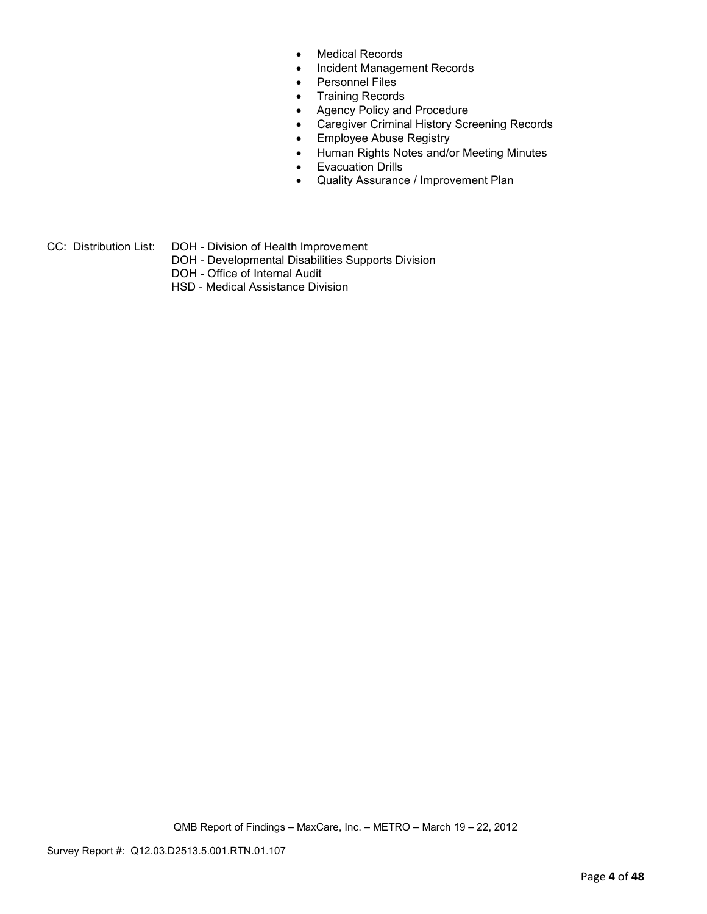- Medical Records
- Incident Management Records
- Personnel Files
- Training Records
- Agency Policy and Procedure
- Caregiver Criminal History Screening Records
- Employee Abuse Registry
- Human Rights Notes and/or Meeting Minutes
- Evacuation Drills
- Quality Assurance / Improvement Plan
- CC: Distribution List: DOH Division of Health Improvement
	- DOH Developmental Disabilities Supports Division
	- DOH Office of Internal Audit
	- HSD Medical Assistance Division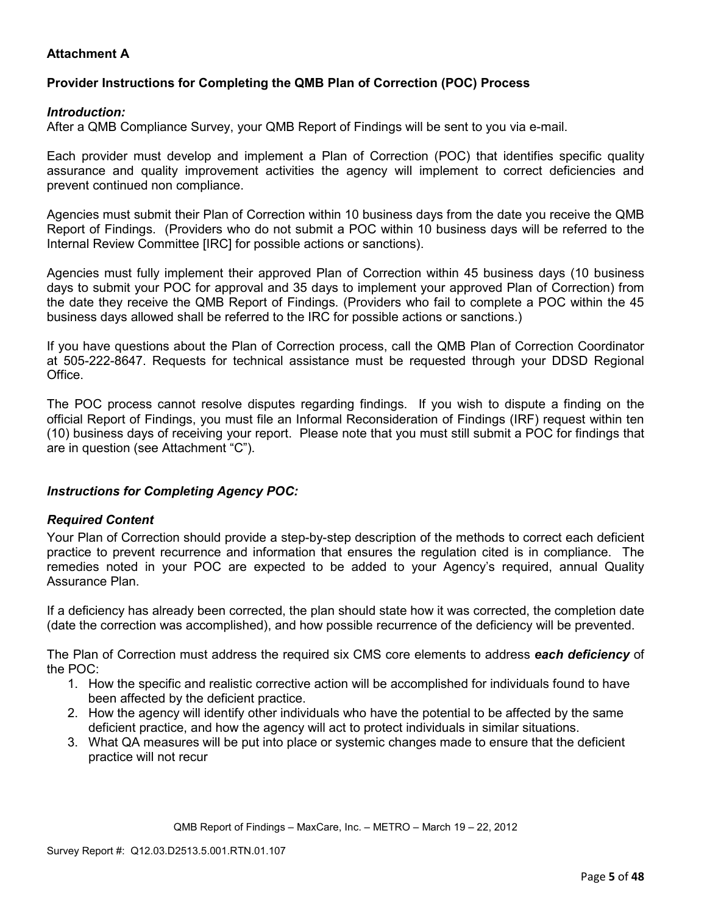## **Attachment A**

## **Provider Instructions for Completing the QMB Plan of Correction (POC) Process**

#### *Introduction:*

After a QMB Compliance Survey, your QMB Report of Findings will be sent to you via e-mail.

Each provider must develop and implement a Plan of Correction (POC) that identifies specific quality assurance and quality improvement activities the agency will implement to correct deficiencies and prevent continued non compliance.

Agencies must submit their Plan of Correction within 10 business days from the date you receive the QMB Report of Findings. (Providers who do not submit a POC within 10 business days will be referred to the Internal Review Committee [IRC] for possible actions or sanctions).

Agencies must fully implement their approved Plan of Correction within 45 business days (10 business days to submit your POC for approval and 35 days to implement your approved Plan of Correction) from the date they receive the QMB Report of Findings. (Providers who fail to complete a POC within the 45 business days allowed shall be referred to the IRC for possible actions or sanctions.)

If you have questions about the Plan of Correction process, call the QMB Plan of Correction Coordinator at 505-222-8647. Requests for technical assistance must be requested through your DDSD Regional Office.

The POC process cannot resolve disputes regarding findings. If you wish to dispute a finding on the official Report of Findings, you must file an Informal Reconsideration of Findings (IRF) request within ten (10) business days of receiving your report. Please note that you must still submit a POC for findings that are in question (see Attachment "C").

### *Instructions for Completing Agency POC:*

### *Required Content*

Your Plan of Correction should provide a step-by-step description of the methods to correct each deficient practice to prevent recurrence and information that ensures the regulation cited is in compliance. The remedies noted in your POC are expected to be added to your Agency's required, annual Quality Assurance Plan.

If a deficiency has already been corrected, the plan should state how it was corrected, the completion date (date the correction was accomplished), and how possible recurrence of the deficiency will be prevented.

The Plan of Correction must address the required six CMS core elements to address *each deficiency* of the POC:

- 1. How the specific and realistic corrective action will be accomplished for individuals found to have been affected by the deficient practice.
- 2. How the agency will identify other individuals who have the potential to be affected by the same deficient practice, and how the agency will act to protect individuals in similar situations.
- 3. What QA measures will be put into place or systemic changes made to ensure that the deficient practice will not recur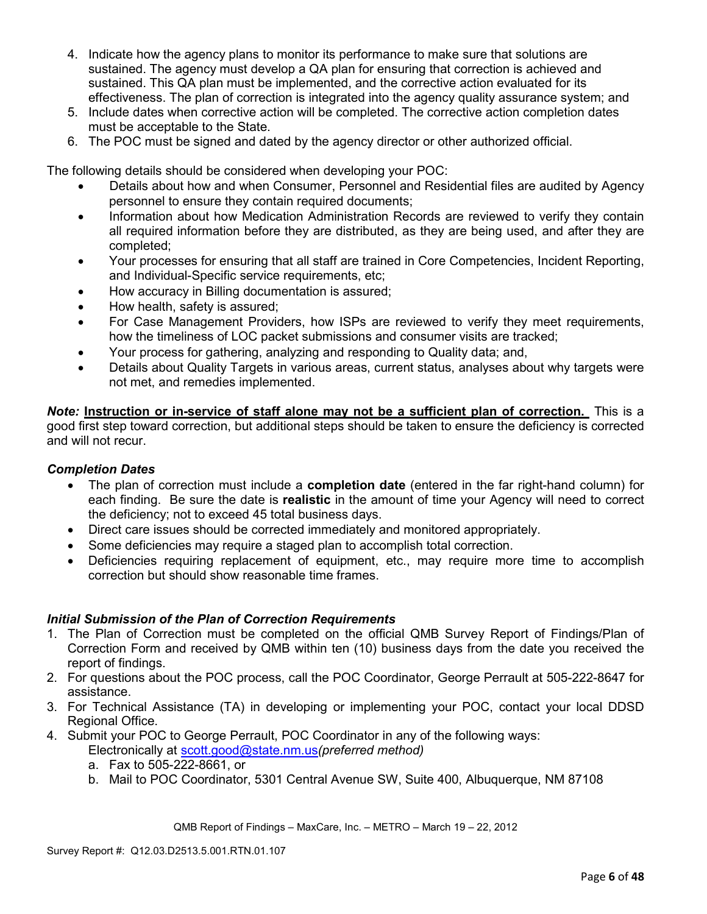- 4. Indicate how the agency plans to monitor its performance to make sure that solutions are sustained. The agency must develop a QA plan for ensuring that correction is achieved and sustained. This QA plan must be implemented, and the corrective action evaluated for its effectiveness. The plan of correction is integrated into the agency quality assurance system; and
- 5. Include dates when corrective action will be completed. The corrective action completion dates must be acceptable to the State.
- 6. The POC must be signed and dated by the agency director or other authorized official.

The following details should be considered when developing your POC:

- Details about how and when Consumer, Personnel and Residential files are audited by Agency personnel to ensure they contain required documents;
- Information about how Medication Administration Records are reviewed to verify they contain all required information before they are distributed, as they are being used, and after they are completed;
- Your processes for ensuring that all staff are trained in Core Competencies, Incident Reporting, and Individual-Specific service requirements, etc;
- How accuracy in Billing documentation is assured;
- How health, safety is assured;
- For Case Management Providers, how ISPs are reviewed to verify they meet requirements, how the timeliness of LOC packet submissions and consumer visits are tracked;
- Your process for gathering, analyzing and responding to Quality data; and,
- Details about Quality Targets in various areas, current status, analyses about why targets were not met, and remedies implemented.

*Note:* **Instruction or in-service of staff alone may not be a sufficient plan of correction.** This is a good first step toward correction, but additional steps should be taken to ensure the deficiency is corrected and will not recur.

### *Completion Dates*

- The plan of correction must include a **completion date** (entered in the far right-hand column) for each finding. Be sure the date is **realistic** in the amount of time your Agency will need to correct the deficiency; not to exceed 45 total business days.
- Direct care issues should be corrected immediately and monitored appropriately.
- Some deficiencies may require a staged plan to accomplish total correction.
- Deficiencies requiring replacement of equipment, etc., may require more time to accomplish correction but should show reasonable time frames.

### *Initial Submission of the Plan of Correction Requirements*

- 1. The Plan of Correction must be completed on the official QMB Survey Report of Findings/Plan of Correction Form and received by QMB within ten (10) business days from the date you received the report of findings.
- 2. For questions about the POC process, call the POC Coordinator, George Perrault at 505-222-8647 for assistance.
- 3. For Technical Assistance (TA) in developing or implementing your POC, contact your local DDSD Regional Office.
- 4. Submit your POC to George Perrault, POC Coordinator in any of the following ways: Electronically at scott.good@state.nm.us*(preferred method)*
	- a. Fax to 505-222-8661, or
	- b. Mail to POC Coordinator, 5301 Central Avenue SW, Suite 400, Albuquerque, NM 87108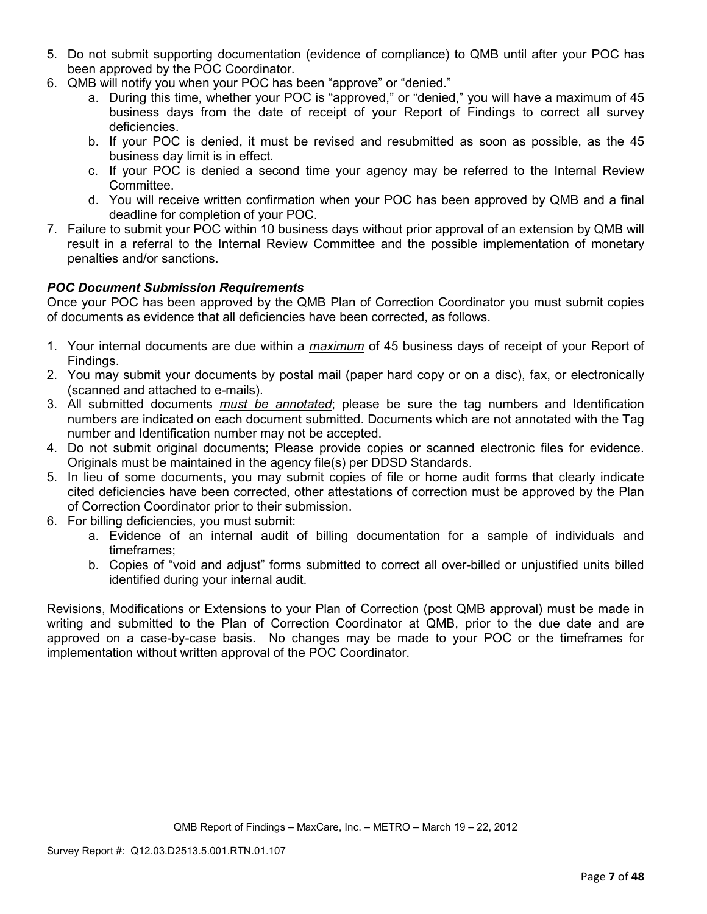- 5. Do not submit supporting documentation (evidence of compliance) to QMB until after your POC has been approved by the POC Coordinator.
- 6. QMB will notify you when your POC has been "approve" or "denied."
	- a. During this time, whether your POC is "approved," or "denied," you will have a maximum of 45 business days from the date of receipt of your Report of Findings to correct all survey deficiencies.
	- b. If your POC is denied, it must be revised and resubmitted as soon as possible, as the 45 business day limit is in effect.
	- c. If your POC is denied a second time your agency may be referred to the Internal Review Committee.
	- d. You will receive written confirmation when your POC has been approved by QMB and a final deadline for completion of your POC.
- 7. Failure to submit your POC within 10 business days without prior approval of an extension by QMB will result in a referral to the Internal Review Committee and the possible implementation of monetary penalties and/or sanctions.

# *POC Document Submission Requirements*

Once your POC has been approved by the QMB Plan of Correction Coordinator you must submit copies of documents as evidence that all deficiencies have been corrected, as follows.

- 1. Your internal documents are due within a *maximum* of 45 business days of receipt of your Report of Findings.
- 2. You may submit your documents by postal mail (paper hard copy or on a disc), fax, or electronically (scanned and attached to e-mails).
- 3. All submitted documents *must be annotated*; please be sure the tag numbers and Identification numbers are indicated on each document submitted. Documents which are not annotated with the Tag number and Identification number may not be accepted.
- 4. Do not submit original documents; Please provide copies or scanned electronic files for evidence. Originals must be maintained in the agency file(s) per DDSD Standards.
- 5. In lieu of some documents, you may submit copies of file or home audit forms that clearly indicate cited deficiencies have been corrected, other attestations of correction must be approved by the Plan of Correction Coordinator prior to their submission.
- 6. For billing deficiencies, you must submit:
	- a. Evidence of an internal audit of billing documentation for a sample of individuals and timeframes;
	- b. Copies of "void and adjust" forms submitted to correct all over-billed or unjustified units billed identified during your internal audit.

Revisions, Modifications or Extensions to your Plan of Correction (post QMB approval) must be made in writing and submitted to the Plan of Correction Coordinator at QMB, prior to the due date and are approved on a case-by-case basis. No changes may be made to your POC or the timeframes for implementation without written approval of the POC Coordinator.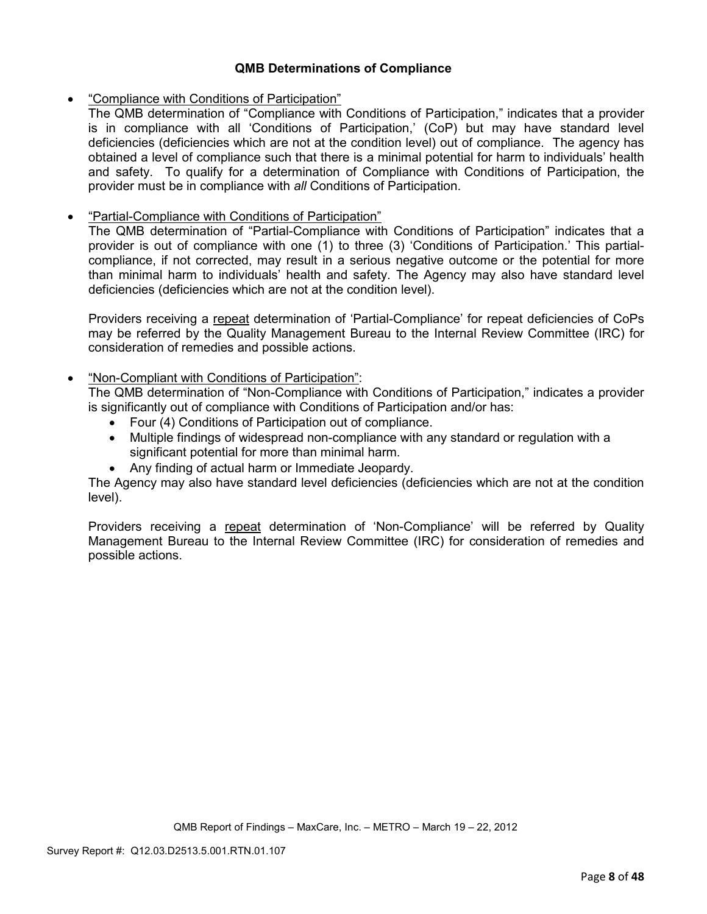### **QMB Determinations of Compliance**

• "Compliance with Conditions of Participation"

The QMB determination of "Compliance with Conditions of Participation," indicates that a provider is in compliance with all 'Conditions of Participation,' (CoP) but may have standard level deficiencies (deficiencies which are not at the condition level) out of compliance. The agency has obtained a level of compliance such that there is a minimal potential for harm to individuals' health and safety. To qualify for a determination of Compliance with Conditions of Participation, the provider must be in compliance with *all* Conditions of Participation.

## • "Partial-Compliance with Conditions of Participation"

The QMB determination of "Partial-Compliance with Conditions of Participation" indicates that a provider is out of compliance with one (1) to three (3) 'Conditions of Participation.' This partialcompliance, if not corrected, may result in a serious negative outcome or the potential for more than minimal harm to individuals' health and safety. The Agency may also have standard level deficiencies (deficiencies which are not at the condition level).

Providers receiving a repeat determination of 'Partial-Compliance' for repeat deficiencies of CoPs may be referred by the Quality Management Bureau to the Internal Review Committee (IRC) for consideration of remedies and possible actions.

### • "Non-Compliant with Conditions of Participation":

The QMB determination of "Non-Compliance with Conditions of Participation," indicates a provider is significantly out of compliance with Conditions of Participation and/or has:

- Four (4) Conditions of Participation out of compliance.
- Multiple findings of widespread non-compliance with any standard or regulation with a significant potential for more than minimal harm.
- Any finding of actual harm or Immediate Jeopardy.

The Agency may also have standard level deficiencies (deficiencies which are not at the condition level).

Providers receiving a repeat determination of 'Non-Compliance' will be referred by Quality Management Bureau to the Internal Review Committee (IRC) for consideration of remedies and possible actions.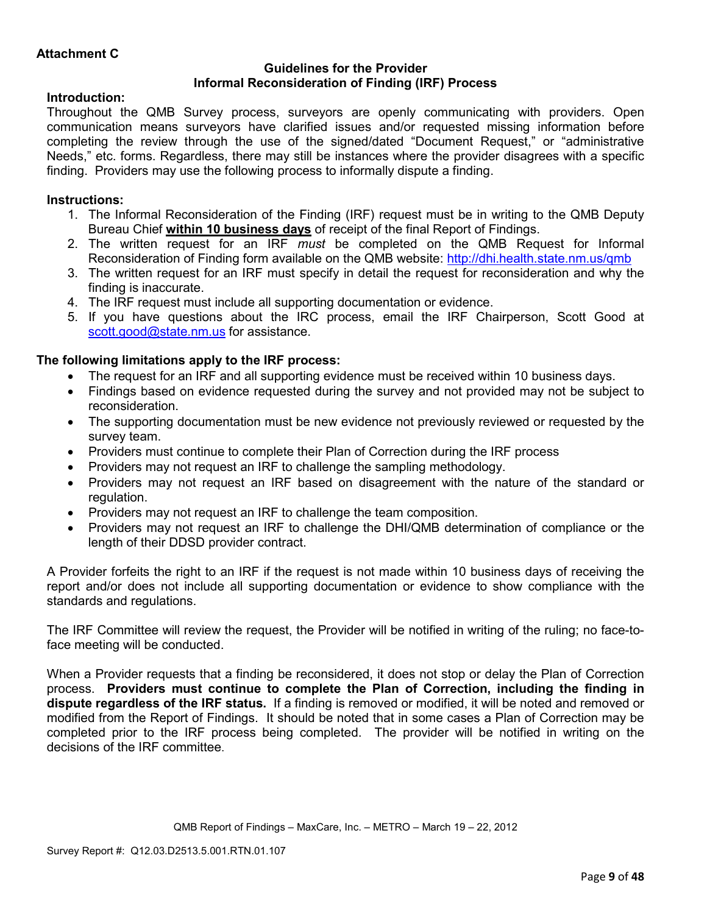#### **Guidelines for the Provider Informal Reconsideration of Finding (IRF) Process**

# **Introduction:**

Throughout the QMB Survey process, surveyors are openly communicating with providers. Open communication means surveyors have clarified issues and/or requested missing information before completing the review through the use of the signed/dated "Document Request," or "administrative Needs," etc. forms. Regardless, there may still be instances where the provider disagrees with a specific finding. Providers may use the following process to informally dispute a finding.

## **Instructions:**

- 1. The Informal Reconsideration of the Finding (IRF) request must be in writing to the QMB Deputy Bureau Chief **within 10 business days** of receipt of the final Report of Findings.
- 2. The written request for an IRF *must* be completed on the QMB Request for Informal Reconsideration of Finding form available on the QMB website: http://dhi.health.state.nm.us/qmb
- 3. The written request for an IRF must specify in detail the request for reconsideration and why the finding is inaccurate.
- 4. The IRF request must include all supporting documentation or evidence.
- 5. If you have questions about the IRC process, email the IRF Chairperson, Scott Good at scott.good@state.nm.us for assistance.

# **The following limitations apply to the IRF process:**

- The request for an IRF and all supporting evidence must be received within 10 business days.
- Findings based on evidence requested during the survey and not provided may not be subject to reconsideration.
- The supporting documentation must be new evidence not previously reviewed or requested by the survey team.
- Providers must continue to complete their Plan of Correction during the IRF process
- Providers may not request an IRF to challenge the sampling methodology.
- Providers may not request an IRF based on disagreement with the nature of the standard or regulation.
- Providers may not request an IRF to challenge the team composition.
- Providers may not request an IRF to challenge the DHI/QMB determination of compliance or the length of their DDSD provider contract.

A Provider forfeits the right to an IRF if the request is not made within 10 business days of receiving the report and/or does not include all supporting documentation or evidence to show compliance with the standards and regulations.

The IRF Committee will review the request, the Provider will be notified in writing of the ruling; no face-toface meeting will be conducted.

When a Provider requests that a finding be reconsidered, it does not stop or delay the Plan of Correction process. **Providers must continue to complete the Plan of Correction, including the finding in dispute regardless of the IRF status.** If a finding is removed or modified, it will be noted and removed or modified from the Report of Findings. It should be noted that in some cases a Plan of Correction may be completed prior to the IRF process being completed. The provider will be notified in writing on the decisions of the IRF committee.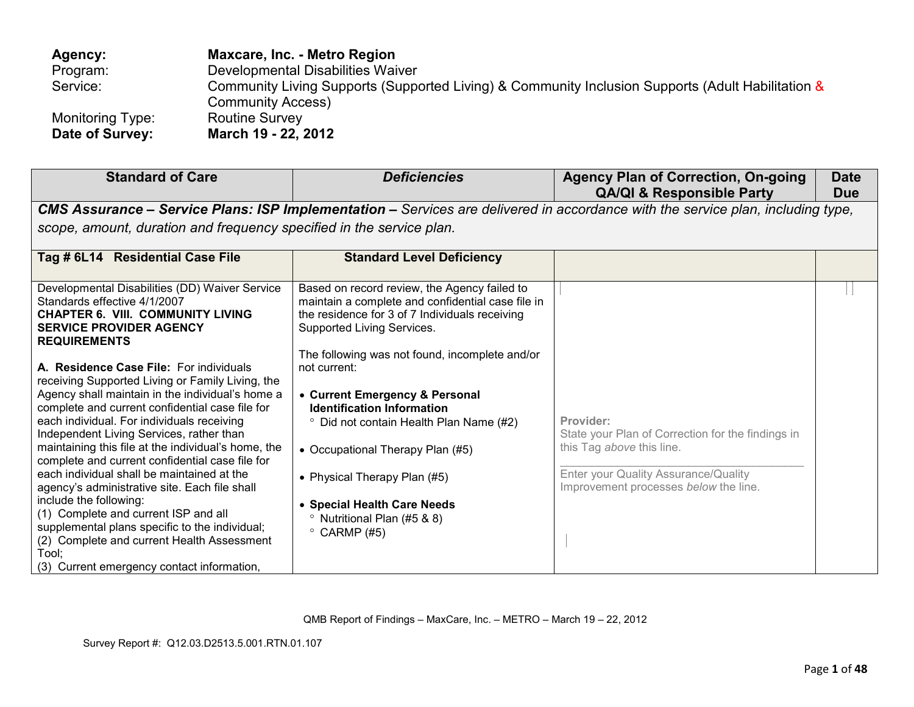| Agency:          | Maxcare, Inc. - Metro Region                                                                      |
|------------------|---------------------------------------------------------------------------------------------------|
| Program:         | Developmental Disabilities Waiver                                                                 |
| Service:         | Community Living Supports (Supported Living) & Community Inclusion Supports (Adult Habilitation & |
|                  | <b>Community Access)</b>                                                                          |
| Monitoring Type: | <b>Routine Survey</b>                                                                             |
| Date of Survey:  | March 19 - 22, 2012                                                                               |

| <b>Standard of Care</b>                                                                                                                                                                                                                                                                                                                                                                                                                                                                                                                                                                                                                                                          | <b>Deficiencies</b>                                                                                                                                                                                                                                                                                                                                              | <b>Agency Plan of Correction, On-going</b><br><b>QA/QI &amp; Responsible Party</b>                                                                                           | <b>Date</b><br><b>Due</b> |
|----------------------------------------------------------------------------------------------------------------------------------------------------------------------------------------------------------------------------------------------------------------------------------------------------------------------------------------------------------------------------------------------------------------------------------------------------------------------------------------------------------------------------------------------------------------------------------------------------------------------------------------------------------------------------------|------------------------------------------------------------------------------------------------------------------------------------------------------------------------------------------------------------------------------------------------------------------------------------------------------------------------------------------------------------------|------------------------------------------------------------------------------------------------------------------------------------------------------------------------------|---------------------------|
|                                                                                                                                                                                                                                                                                                                                                                                                                                                                                                                                                                                                                                                                                  |                                                                                                                                                                                                                                                                                                                                                                  | CMS Assurance - Service Plans: ISP Implementation - Services are delivered in accordance with the service plan, including type,                                              |                           |
| scope, amount, duration and frequency specified in the service plan.                                                                                                                                                                                                                                                                                                                                                                                                                                                                                                                                                                                                             |                                                                                                                                                                                                                                                                                                                                                                  |                                                                                                                                                                              |                           |
| Tag # 6L14 Residential Case File                                                                                                                                                                                                                                                                                                                                                                                                                                                                                                                                                                                                                                                 | <b>Standard Level Deficiency</b>                                                                                                                                                                                                                                                                                                                                 |                                                                                                                                                                              |                           |
| Developmental Disabilities (DD) Waiver Service<br>Standards effective 4/1/2007<br><b>CHAPTER 6. VIII. COMMUNITY LIVING</b><br><b>SERVICE PROVIDER AGENCY</b><br><b>REQUIREMENTS</b>                                                                                                                                                                                                                                                                                                                                                                                                                                                                                              | Based on record review, the Agency failed to<br>maintain a complete and confidential case file in<br>the residence for 3 of 7 Individuals receiving<br>Supported Living Services.                                                                                                                                                                                |                                                                                                                                                                              |                           |
| A. Residence Case File: For individuals<br>receiving Supported Living or Family Living, the<br>Agency shall maintain in the individual's home a<br>complete and current confidential case file for<br>each individual. For individuals receiving<br>Independent Living Services, rather than<br>maintaining this file at the individual's home, the<br>complete and current confidential case file for<br>each individual shall be maintained at the<br>agency's administrative site. Each file shall<br>include the following:<br>(1) Complete and current ISP and all<br>supplemental plans specific to the individual;<br>(2) Complete and current Health Assessment<br>Tool: | The following was not found, incomplete and/or<br>not current:<br>• Current Emergency & Personal<br><b>Identification Information</b><br><sup>o</sup> Did not contain Health Plan Name (#2)<br>• Occupational Therapy Plan (#5)<br>• Physical Therapy Plan (#5)<br>• Special Health Care Needs<br><sup>o</sup> Nutritional Plan (#5 & 8)<br>$\degree$ CARMP (#5) | Provider:<br>State your Plan of Correction for the findings in<br>this Tag above this line.<br>Enter your Quality Assurance/Quality<br>Improvement processes below the line. |                           |
| (3) Current emergency contact information,                                                                                                                                                                                                                                                                                                                                                                                                                                                                                                                                                                                                                                       |                                                                                                                                                                                                                                                                                                                                                                  |                                                                                                                                                                              |                           |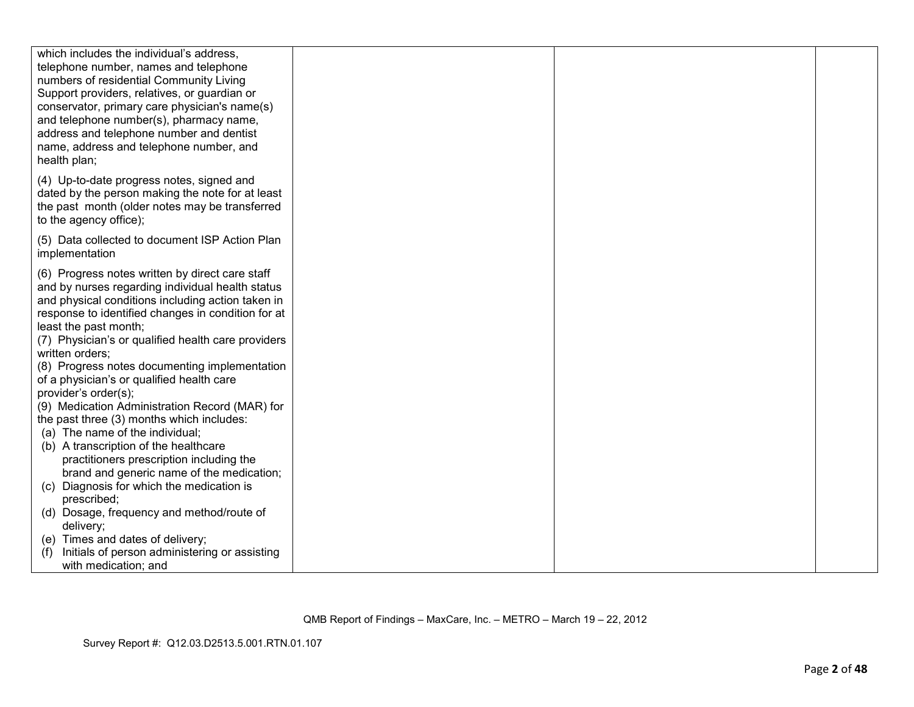| which includes the individual's address,<br>telephone number, names and telephone<br>numbers of residential Community Living<br>Support providers, relatives, or guardian or<br>conservator, primary care physician's name(s)<br>and telephone number(s), pharmacy name,<br>address and telephone number and dentist<br>name, address and telephone number, and                                                                                                                                                                                                                                                                                                                                                                                            |  |  |
|------------------------------------------------------------------------------------------------------------------------------------------------------------------------------------------------------------------------------------------------------------------------------------------------------------------------------------------------------------------------------------------------------------------------------------------------------------------------------------------------------------------------------------------------------------------------------------------------------------------------------------------------------------------------------------------------------------------------------------------------------------|--|--|
| health plan;<br>(4) Up-to-date progress notes, signed and<br>dated by the person making the note for at least<br>the past month (older notes may be transferred<br>to the agency office);                                                                                                                                                                                                                                                                                                                                                                                                                                                                                                                                                                  |  |  |
| (5) Data collected to document ISP Action Plan<br>implementation                                                                                                                                                                                                                                                                                                                                                                                                                                                                                                                                                                                                                                                                                           |  |  |
| (6) Progress notes written by direct care staff<br>and by nurses regarding individual health status<br>and physical conditions including action taken in<br>response to identified changes in condition for at<br>least the past month;<br>(7) Physician's or qualified health care providers<br>written orders;<br>(8) Progress notes documenting implementation<br>of a physician's or qualified health care<br>provider's order(s);<br>(9) Medication Administration Record (MAR) for<br>the past three (3) months which includes:<br>(a) The name of the individual;<br>(b) A transcription of the healthcare<br>practitioners prescription including the<br>brand and generic name of the medication;<br>Diagnosis for which the medication is<br>(c) |  |  |
| prescribed:<br>(d) Dosage, frequency and method/route of                                                                                                                                                                                                                                                                                                                                                                                                                                                                                                                                                                                                                                                                                                   |  |  |
| delivery;                                                                                                                                                                                                                                                                                                                                                                                                                                                                                                                                                                                                                                                                                                                                                  |  |  |
| (e) Times and dates of delivery;<br>Initials of person administering or assisting<br>with medication; and                                                                                                                                                                                                                                                                                                                                                                                                                                                                                                                                                                                                                                                  |  |  |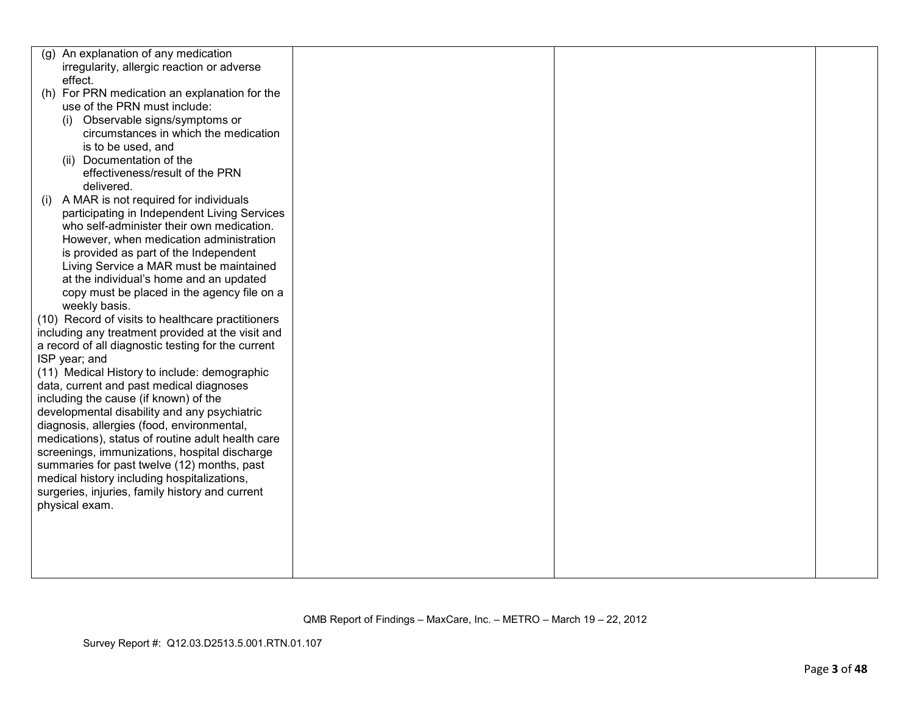| (q) | An explanation of any medication                   |  |  |
|-----|----------------------------------------------------|--|--|
|     | irregularity, allergic reaction or adverse         |  |  |
|     | effect.                                            |  |  |
|     | (h) For PRN medication an explanation for the      |  |  |
|     | use of the PRN must include:                       |  |  |
|     | Observable signs/symptoms or<br>(i)                |  |  |
|     | circumstances in which the medication              |  |  |
|     | is to be used, and                                 |  |  |
|     | (ii) Documentation of the                          |  |  |
|     | effectiveness/result of the PRN                    |  |  |
|     | delivered.                                         |  |  |
| (i) | A MAR is not required for individuals              |  |  |
|     | participating in Independent Living Services       |  |  |
|     | who self-administer their own medication.          |  |  |
|     | However, when medication administration            |  |  |
|     | is provided as part of the Independent             |  |  |
|     | Living Service a MAR must be maintained            |  |  |
|     | at the individual's home and an updated            |  |  |
|     | copy must be placed in the agency file on a        |  |  |
|     | weekly basis.                                      |  |  |
|     | (10) Record of visits to healthcare practitioners  |  |  |
|     | including any treatment provided at the visit and  |  |  |
|     | a record of all diagnostic testing for the current |  |  |
|     | ISP year; and                                      |  |  |
|     | (11) Medical History to include: demographic       |  |  |
|     | data, current and past medical diagnoses           |  |  |
|     | including the cause (if known) of the              |  |  |
|     | developmental disability and any psychiatric       |  |  |
|     | diagnosis, allergies (food, environmental,         |  |  |
|     | medications), status of routine adult health care  |  |  |
|     | screenings, immunizations, hospital discharge      |  |  |
|     | summaries for past twelve (12) months, past        |  |  |
|     | medical history including hospitalizations,        |  |  |
|     | surgeries, injuries, family history and current    |  |  |
|     | physical exam.                                     |  |  |
|     |                                                    |  |  |
|     |                                                    |  |  |
|     |                                                    |  |  |
|     |                                                    |  |  |
|     |                                                    |  |  |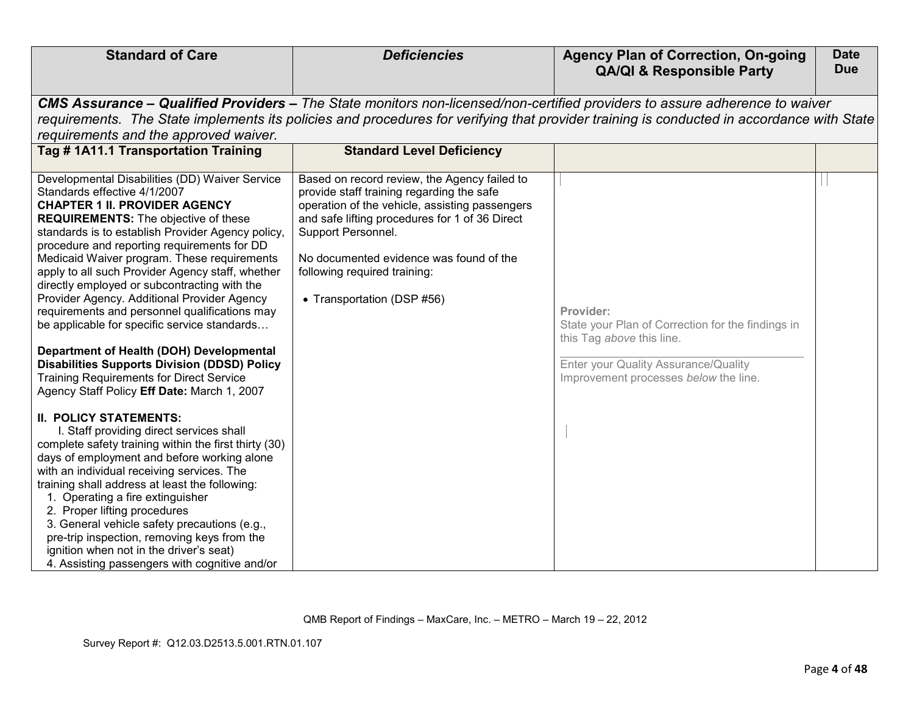| <b>Standard of Care</b>                                                                                                                                                                                                                                                                                                                                                                                                                                                                                                                                                                                                                                                                                                                                                                                                                                                                                                                                                | <b>Deficiencies</b>                                                                                                                                                                                                                                                                                                          | <b>Agency Plan of Correction, On-going</b><br><b>QA/QI &amp; Responsible Party</b>                                                                                           | <b>Date</b><br><b>Due</b> |
|------------------------------------------------------------------------------------------------------------------------------------------------------------------------------------------------------------------------------------------------------------------------------------------------------------------------------------------------------------------------------------------------------------------------------------------------------------------------------------------------------------------------------------------------------------------------------------------------------------------------------------------------------------------------------------------------------------------------------------------------------------------------------------------------------------------------------------------------------------------------------------------------------------------------------------------------------------------------|------------------------------------------------------------------------------------------------------------------------------------------------------------------------------------------------------------------------------------------------------------------------------------------------------------------------------|------------------------------------------------------------------------------------------------------------------------------------------------------------------------------|---------------------------|
| requirements and the approved waiver.                                                                                                                                                                                                                                                                                                                                                                                                                                                                                                                                                                                                                                                                                                                                                                                                                                                                                                                                  | CMS Assurance – Qualified Providers – The State monitors non-licensed/non-certified providers to assure adherence to waiver<br>requirements. The State implements its policies and procedures for verifying that provider training is conducted in accordance with State                                                     |                                                                                                                                                                              |                           |
| Tag # 1A11.1 Transportation Training                                                                                                                                                                                                                                                                                                                                                                                                                                                                                                                                                                                                                                                                                                                                                                                                                                                                                                                                   | <b>Standard Level Deficiency</b>                                                                                                                                                                                                                                                                                             |                                                                                                                                                                              |                           |
| Developmental Disabilities (DD) Waiver Service<br>Standards effective 4/1/2007<br><b>CHAPTER 1 II. PROVIDER AGENCY</b><br><b>REQUIREMENTS:</b> The objective of these<br>standards is to establish Provider Agency policy,<br>procedure and reporting requirements for DD<br>Medicaid Waiver program. These requirements<br>apply to all such Provider Agency staff, whether<br>directly employed or subcontracting with the<br>Provider Agency. Additional Provider Agency<br>requirements and personnel qualifications may<br>be applicable for specific service standards<br>Department of Health (DOH) Developmental<br><b>Disabilities Supports Division (DDSD) Policy</b><br><b>Training Requirements for Direct Service</b><br>Agency Staff Policy Eff Date: March 1, 2007<br><b>II. POLICY STATEMENTS:</b><br>I. Staff providing direct services shall<br>complete safety training within the first thirty (30)<br>days of employment and before working alone | Based on record review, the Agency failed to<br>provide staff training regarding the safe<br>operation of the vehicle, assisting passengers<br>and safe lifting procedures for 1 of 36 Direct<br>Support Personnel.<br>No documented evidence was found of the<br>following required training:<br>• Transportation (DSP #56) | Provider:<br>State your Plan of Correction for the findings in<br>this Tag above this line.<br>Enter your Quality Assurance/Quality<br>Improvement processes below the line. |                           |
| with an individual receiving services. The<br>training shall address at least the following:<br>1. Operating a fire extinguisher<br>2. Proper lifting procedures<br>3. General vehicle safety precautions (e.g.,<br>pre-trip inspection, removing keys from the<br>ignition when not in the driver's seat)<br>4. Assisting passengers with cognitive and/or                                                                                                                                                                                                                                                                                                                                                                                                                                                                                                                                                                                                            |                                                                                                                                                                                                                                                                                                                              |                                                                                                                                                                              |                           |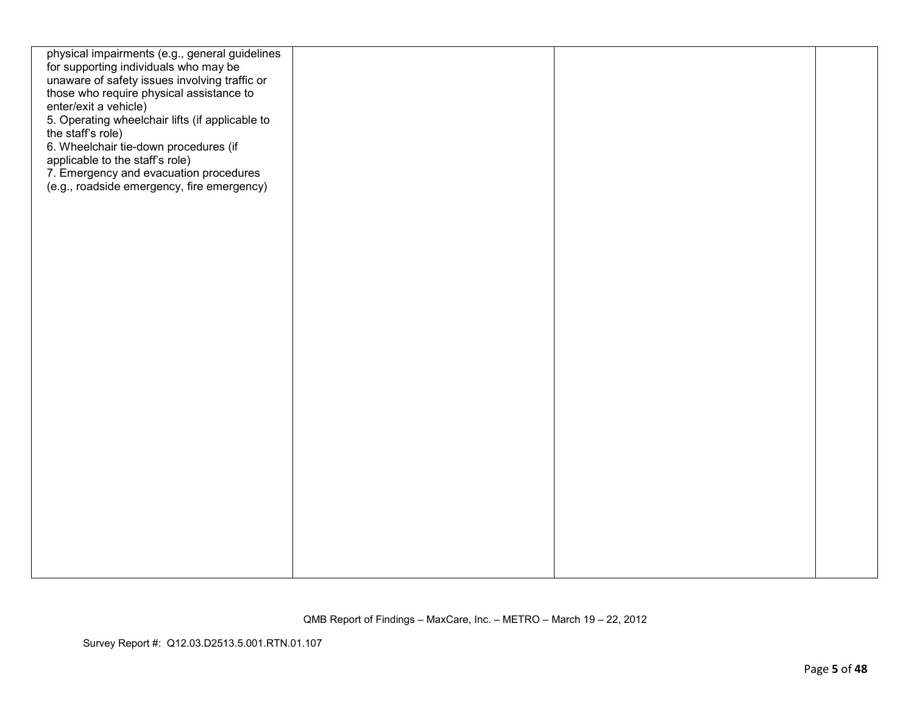| physical impairments (e.g., general guidelines<br>for supporting individuals who may be<br>unaware of safety issues involving traffic or<br>those who require physical assistance to<br>enter/exit a vehicle)<br>5. Operating wheelchair lifts (if applicable to<br>the staff's role)<br>6. Wheelchair tie-down procedures (if<br>applicable to the staff's role)<br>7. Emergency and evacuation procedures<br>(e.g., roadside emergency, fire emergency) |  |  |
|-----------------------------------------------------------------------------------------------------------------------------------------------------------------------------------------------------------------------------------------------------------------------------------------------------------------------------------------------------------------------------------------------------------------------------------------------------------|--|--|
|                                                                                                                                                                                                                                                                                                                                                                                                                                                           |  |  |
|                                                                                                                                                                                                                                                                                                                                                                                                                                                           |  |  |
|                                                                                                                                                                                                                                                                                                                                                                                                                                                           |  |  |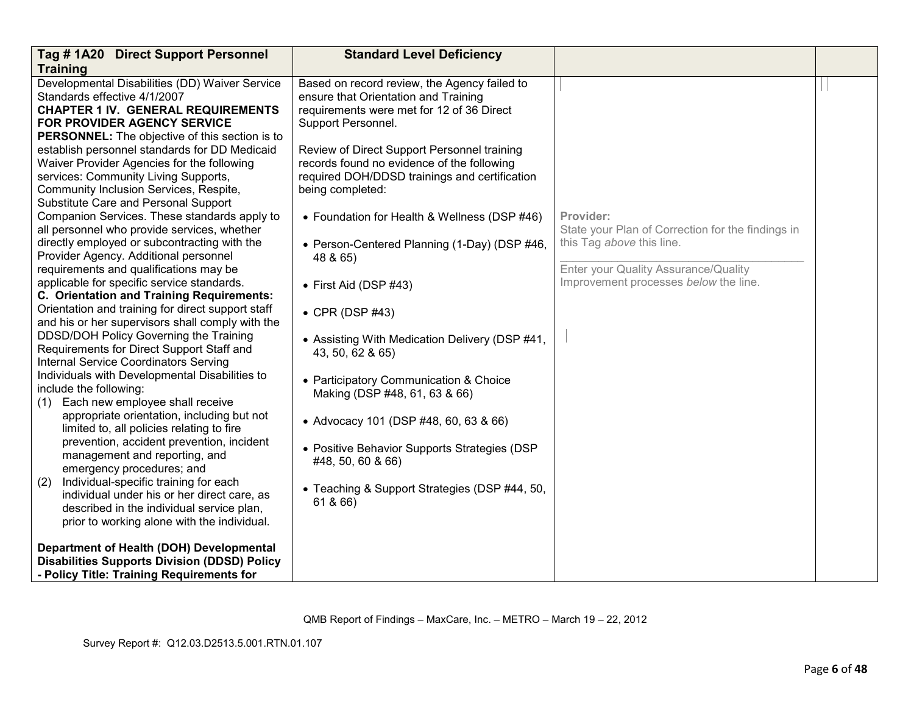| Tag #1A20 Direct Support Personnel                                 | <b>Standard Level Deficiency</b>               |                                                   |  |
|--------------------------------------------------------------------|------------------------------------------------|---------------------------------------------------|--|
| <b>Training</b>                                                    |                                                |                                                   |  |
| Developmental Disabilities (DD) Waiver Service                     | Based on record review, the Agency failed to   |                                                   |  |
| Standards effective 4/1/2007                                       | ensure that Orientation and Training           |                                                   |  |
| <b>CHAPTER 1 IV. GENERAL REQUIREMENTS</b>                          | requirements were met for 12 of 36 Direct      |                                                   |  |
| FOR PROVIDER AGENCY SERVICE                                        | Support Personnel.                             |                                                   |  |
| PERSONNEL: The objective of this section is to                     |                                                |                                                   |  |
| establish personnel standards for DD Medicaid                      | Review of Direct Support Personnel training    |                                                   |  |
| Waiver Provider Agencies for the following                         | records found no evidence of the following     |                                                   |  |
| services: Community Living Supports,                               | required DOH/DDSD trainings and certification  |                                                   |  |
| Community Inclusion Services, Respite,                             | being completed:                               |                                                   |  |
| Substitute Care and Personal Support                               |                                                |                                                   |  |
| Companion Services. These standards apply to                       | • Foundation for Health & Wellness (DSP #46)   | Provider:                                         |  |
| all personnel who provide services, whether                        |                                                | State your Plan of Correction for the findings in |  |
| directly employed or subcontracting with the                       | • Person-Centered Planning (1-Day) (DSP #46,   | this Tag above this line.                         |  |
| Provider Agency. Additional personnel                              | 48 & 65)                                       |                                                   |  |
| requirements and qualifications may be                             |                                                | Enter your Quality Assurance/Quality              |  |
| applicable for specific service standards.                         | $\bullet$ First Aid (DSP #43)                  | Improvement processes below the line.             |  |
| C. Orientation and Training Requirements:                          |                                                |                                                   |  |
| Orientation and training for direct support staff                  | $\bullet$ CPR (DSP #43)                        |                                                   |  |
| and his or her supervisors shall comply with the                   |                                                |                                                   |  |
| DDSD/DOH Policy Governing the Training                             | • Assisting With Medication Delivery (DSP #41, |                                                   |  |
| Requirements for Direct Support Staff and                          | 43, 50, 62 & 65)                               |                                                   |  |
| Internal Service Coordinators Serving                              |                                                |                                                   |  |
| Individuals with Developmental Disabilities to                     | • Participatory Communication & Choice         |                                                   |  |
| include the following:                                             | Making (DSP #48, 61, 63 & 66)                  |                                                   |  |
| Each new employee shall receive<br>(1)                             |                                                |                                                   |  |
| appropriate orientation, including but not                         | • Advocacy 101 (DSP #48, 60, 63 & 66)          |                                                   |  |
| limited to, all policies relating to fire                          |                                                |                                                   |  |
| prevention, accident prevention, incident                          | • Positive Behavior Supports Strategies (DSP   |                                                   |  |
| management and reporting, and                                      | #48, 50, 60 & 66)                              |                                                   |  |
| emergency procedures; and<br>Individual-specific training for each |                                                |                                                   |  |
| (2)<br>individual under his or her direct care, as                 | • Teaching & Support Strategies (DSP #44, 50,  |                                                   |  |
| described in the individual service plan,                          | 61 & 66)                                       |                                                   |  |
| prior to working alone with the individual.                        |                                                |                                                   |  |
|                                                                    |                                                |                                                   |  |
| Department of Health (DOH) Developmental                           |                                                |                                                   |  |
| <b>Disabilities Supports Division (DDSD) Policy</b>                |                                                |                                                   |  |
| - Policy Title: Training Requirements for                          |                                                |                                                   |  |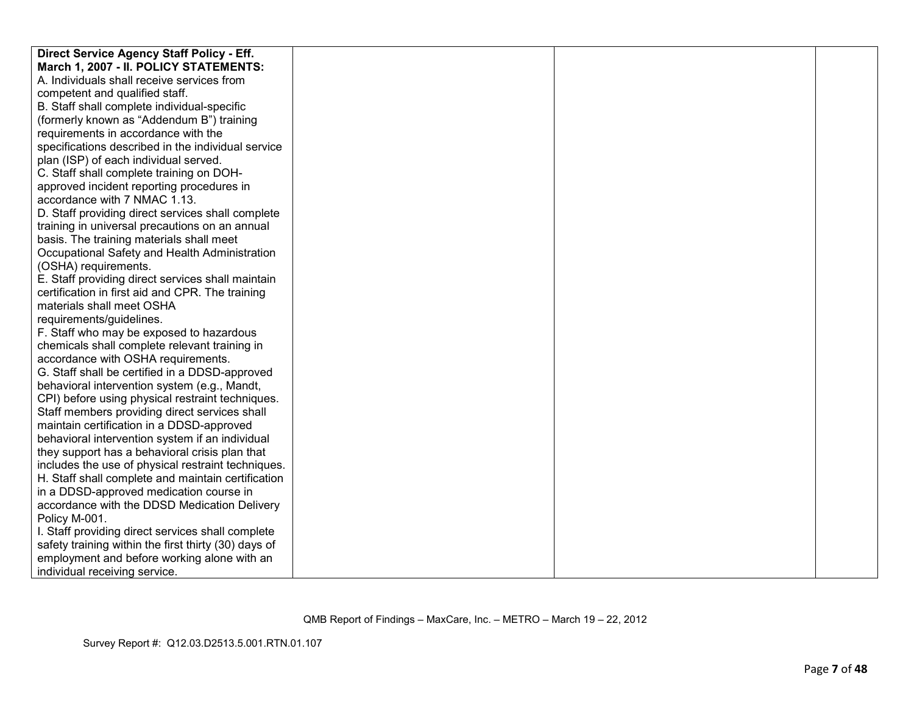| Direct Service Agency Staff Policy - Eff.            |  |  |
|------------------------------------------------------|--|--|
| March 1, 2007 - II. POLICY STATEMENTS:               |  |  |
| A. Individuals shall receive services from           |  |  |
| competent and qualified staff.                       |  |  |
| B. Staff shall complete individual-specific          |  |  |
| (formerly known as "Addendum B") training            |  |  |
| requirements in accordance with the                  |  |  |
| specifications described in the individual service   |  |  |
| plan (ISP) of each individual served.                |  |  |
| C. Staff shall complete training on DOH-             |  |  |
| approved incident reporting procedures in            |  |  |
| accordance with 7 NMAC 1.13.                         |  |  |
| D. Staff providing direct services shall complete    |  |  |
| training in universal precautions on an annual       |  |  |
| basis. The training materials shall meet             |  |  |
| Occupational Safety and Health Administration        |  |  |
| (OSHA) requirements.                                 |  |  |
| E. Staff providing direct services shall maintain    |  |  |
| certification in first aid and CPR. The training     |  |  |
| materials shall meet OSHA                            |  |  |
| requirements/guidelines.                             |  |  |
| F. Staff who may be exposed to hazardous             |  |  |
| chemicals shall complete relevant training in        |  |  |
| accordance with OSHA requirements.                   |  |  |
| G. Staff shall be certified in a DDSD-approved       |  |  |
| behavioral intervention system (e.g., Mandt,         |  |  |
| CPI) before using physical restraint techniques.     |  |  |
| Staff members providing direct services shall        |  |  |
| maintain certification in a DDSD-approved            |  |  |
| behavioral intervention system if an individual      |  |  |
| they support has a behavioral crisis plan that       |  |  |
| includes the use of physical restraint techniques.   |  |  |
| H. Staff shall complete and maintain certification   |  |  |
| in a DDSD-approved medication course in              |  |  |
| accordance with the DDSD Medication Delivery         |  |  |
| Policy M-001.                                        |  |  |
| I. Staff providing direct services shall complete    |  |  |
| safety training within the first thirty (30) days of |  |  |
| employment and before working alone with an          |  |  |
| individual receiving service.                        |  |  |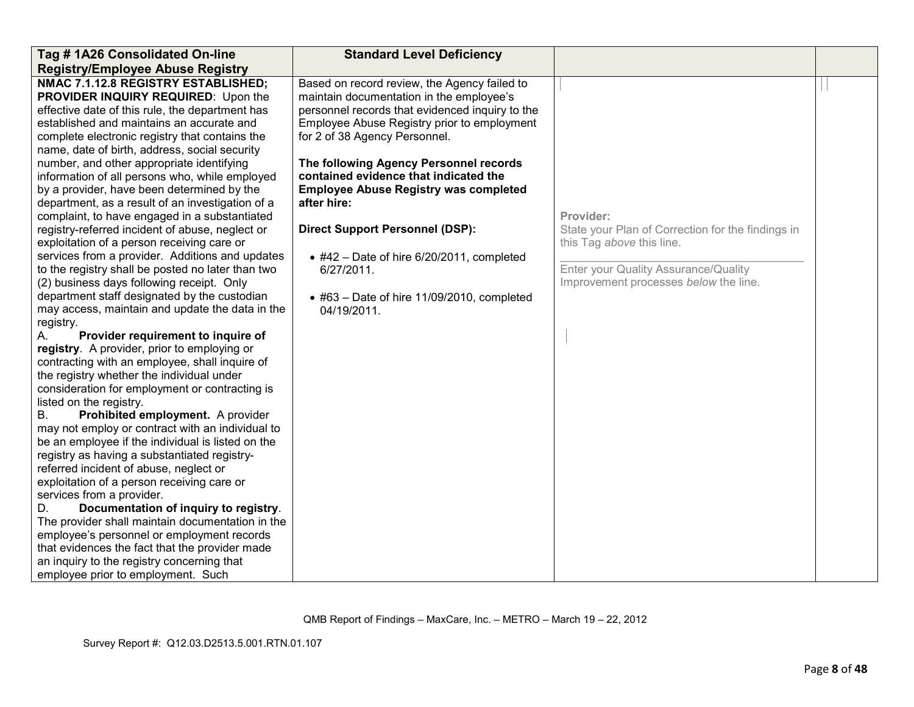| Tag # 1A26 Consolidated On-line                                                                                                                                                                                                                                                                                                                                                                                                                                                                                                                                                                                                                                                                                                                                                                                                                                                                                                                                                                                                                                                                                                                                                                                                                                                                                                                                                                                                                                                                                                                                                                                                                                                                                                                                                              | <b>Standard Level Deficiency</b>                                                                                                                                                                                                                                                                                                                                                                                                                                                                                                                                |                                                                                                                                                                              |  |
|----------------------------------------------------------------------------------------------------------------------------------------------------------------------------------------------------------------------------------------------------------------------------------------------------------------------------------------------------------------------------------------------------------------------------------------------------------------------------------------------------------------------------------------------------------------------------------------------------------------------------------------------------------------------------------------------------------------------------------------------------------------------------------------------------------------------------------------------------------------------------------------------------------------------------------------------------------------------------------------------------------------------------------------------------------------------------------------------------------------------------------------------------------------------------------------------------------------------------------------------------------------------------------------------------------------------------------------------------------------------------------------------------------------------------------------------------------------------------------------------------------------------------------------------------------------------------------------------------------------------------------------------------------------------------------------------------------------------------------------------------------------------------------------------|-----------------------------------------------------------------------------------------------------------------------------------------------------------------------------------------------------------------------------------------------------------------------------------------------------------------------------------------------------------------------------------------------------------------------------------------------------------------------------------------------------------------------------------------------------------------|------------------------------------------------------------------------------------------------------------------------------------------------------------------------------|--|
| <b>Registry/Employee Abuse Registry</b>                                                                                                                                                                                                                                                                                                                                                                                                                                                                                                                                                                                                                                                                                                                                                                                                                                                                                                                                                                                                                                                                                                                                                                                                                                                                                                                                                                                                                                                                                                                                                                                                                                                                                                                                                      |                                                                                                                                                                                                                                                                                                                                                                                                                                                                                                                                                                 |                                                                                                                                                                              |  |
| NMAC 7.1.12.8 REGISTRY ESTABLISHED;<br>PROVIDER INQUIRY REQUIRED: Upon the<br>effective date of this rule, the department has<br>established and maintains an accurate and<br>complete electronic registry that contains the<br>name, date of birth, address, social security<br>number, and other appropriate identifying<br>information of all persons who, while employed<br>by a provider, have been determined by the<br>department, as a result of an investigation of a<br>complaint, to have engaged in a substantiated<br>registry-referred incident of abuse, neglect or<br>exploitation of a person receiving care or<br>services from a provider. Additions and updates<br>to the registry shall be posted no later than two<br>(2) business days following receipt. Only<br>department staff designated by the custodian<br>may access, maintain and update the data in the<br>registry.<br>Provider requirement to inquire of<br>А.<br>registry. A provider, prior to employing or<br>contracting with an employee, shall inquire of<br>the registry whether the individual under<br>consideration for employment or contracting is<br>listed on the registry.<br>Prohibited employment. A provider<br>В.<br>may not employ or contract with an individual to<br>be an employee if the individual is listed on the<br>registry as having a substantiated registry-<br>referred incident of abuse, neglect or<br>exploitation of a person receiving care or<br>services from a provider.<br>Documentation of inquiry to registry.<br>D.<br>The provider shall maintain documentation in the<br>employee's personnel or employment records<br>that evidences the fact that the provider made<br>an inquiry to the registry concerning that<br>employee prior to employment. Such | Based on record review, the Agency failed to<br>maintain documentation in the employee's<br>personnel records that evidenced inquiry to the<br>Employee Abuse Registry prior to employment<br>for 2 of 38 Agency Personnel.<br>The following Agency Personnel records<br>contained evidence that indicated the<br><b>Employee Abuse Registry was completed</b><br>after hire:<br><b>Direct Support Personnel (DSP):</b><br>$\bullet$ #42 - Date of hire 6/20/2011, completed<br>6/27/2011.<br>$\bullet$ #63 - Date of hire 11/09/2010, completed<br>04/19/2011. | Provider:<br>State your Plan of Correction for the findings in<br>this Tag above this line.<br>Enter your Quality Assurance/Quality<br>Improvement processes below the line. |  |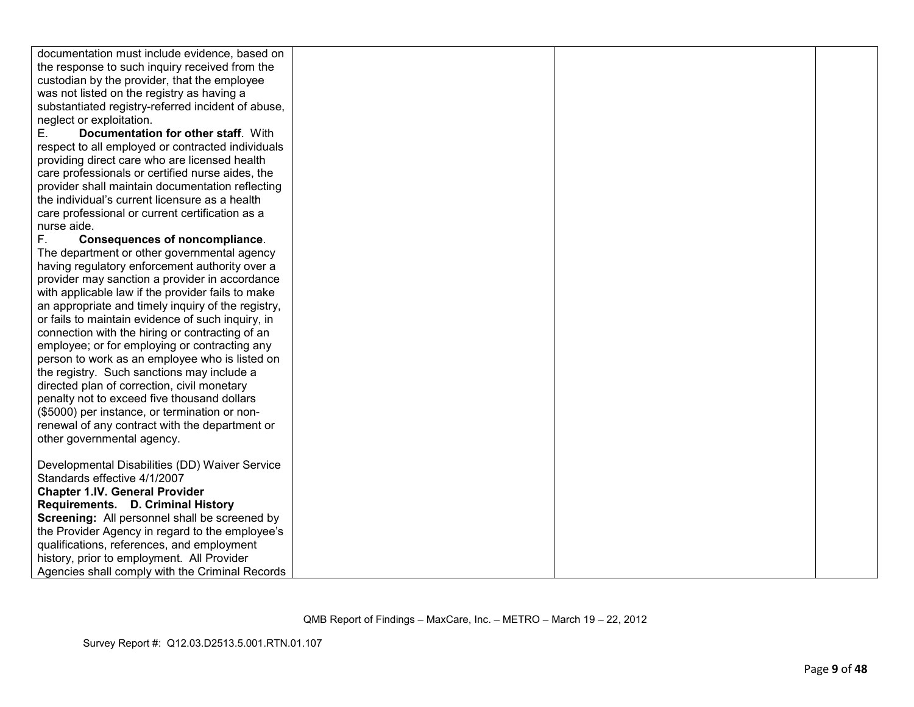| documentation must include evidence, based on      |  |  |
|----------------------------------------------------|--|--|
| the response to such inquiry received from the     |  |  |
| custodian by the provider, that the employee       |  |  |
| was not listed on the registry as having a         |  |  |
| substantiated registry-referred incident of abuse, |  |  |
| neglect or exploitation.                           |  |  |
| Documentation for other staff. With<br>Е.          |  |  |
|                                                    |  |  |
| respect to all employed or contracted individuals  |  |  |
| providing direct care who are licensed health      |  |  |
| care professionals or certified nurse aides, the   |  |  |
| provider shall maintain documentation reflecting   |  |  |
| the individual's current licensure as a health     |  |  |
| care professional or current certification as a    |  |  |
| nurse aide.                                        |  |  |
| F.<br><b>Consequences of noncompliance.</b>        |  |  |
| The department or other governmental agency        |  |  |
| having regulatory enforcement authority over a     |  |  |
| provider may sanction a provider in accordance     |  |  |
| with applicable law if the provider fails to make  |  |  |
| an appropriate and timely inquiry of the registry, |  |  |
| or fails to maintain evidence of such inquiry, in  |  |  |
| connection with the hiring or contracting of an    |  |  |
| employee; or for employing or contracting any      |  |  |
| person to work as an employee who is listed on     |  |  |
| the registry. Such sanctions may include a         |  |  |
| directed plan of correction, civil monetary        |  |  |
| penalty not to exceed five thousand dollars        |  |  |
| (\$5000) per instance, or termination or non-      |  |  |
| renewal of any contract with the department or     |  |  |
| other governmental agency.                         |  |  |
|                                                    |  |  |
| Developmental Disabilities (DD) Waiver Service     |  |  |
| Standards effective 4/1/2007                       |  |  |
| <b>Chapter 1.IV. General Provider</b>              |  |  |
| Requirements. D. Criminal History                  |  |  |
| Screening: All personnel shall be screened by      |  |  |
| the Provider Agency in regard to the employee's    |  |  |
| qualifications, references, and employment         |  |  |
| history, prior to employment. All Provider         |  |  |
| Agencies shall comply with the Criminal Records    |  |  |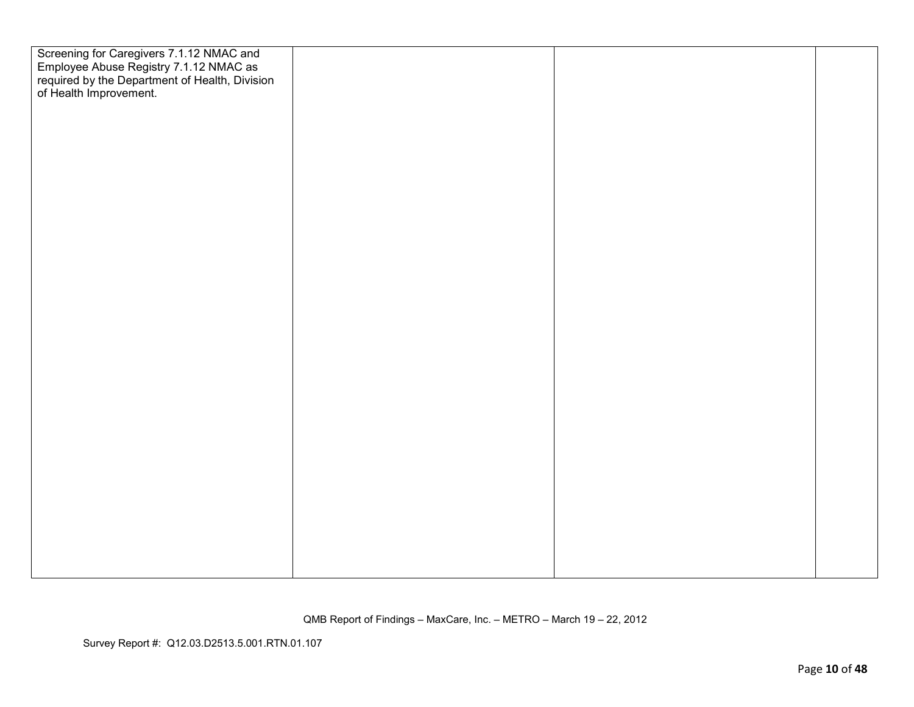| Screening for Caregivers 7.1.12 NMAC and<br>Employee Abuse Registry 7.1.12 NMAC as<br>required by the Department of Health, Division<br>of Health Improvement. |  |  |
|----------------------------------------------------------------------------------------------------------------------------------------------------------------|--|--|
|                                                                                                                                                                |  |  |
|                                                                                                                                                                |  |  |
|                                                                                                                                                                |  |  |
|                                                                                                                                                                |  |  |
|                                                                                                                                                                |  |  |
|                                                                                                                                                                |  |  |
|                                                                                                                                                                |  |  |
|                                                                                                                                                                |  |  |
|                                                                                                                                                                |  |  |
|                                                                                                                                                                |  |  |
|                                                                                                                                                                |  |  |
|                                                                                                                                                                |  |  |
|                                                                                                                                                                |  |  |
|                                                                                                                                                                |  |  |
|                                                                                                                                                                |  |  |
|                                                                                                                                                                |  |  |
|                                                                                                                                                                |  |  |
|                                                                                                                                                                |  |  |
|                                                                                                                                                                |  |  |
|                                                                                                                                                                |  |  |
|                                                                                                                                                                |  |  |
|                                                                                                                                                                |  |  |
|                                                                                                                                                                |  |  |
|                                                                                                                                                                |  |  |
|                                                                                                                                                                |  |  |
|                                                                                                                                                                |  |  |
|                                                                                                                                                                |  |  |
|                                                                                                                                                                |  |  |
|                                                                                                                                                                |  |  |
|                                                                                                                                                                |  |  |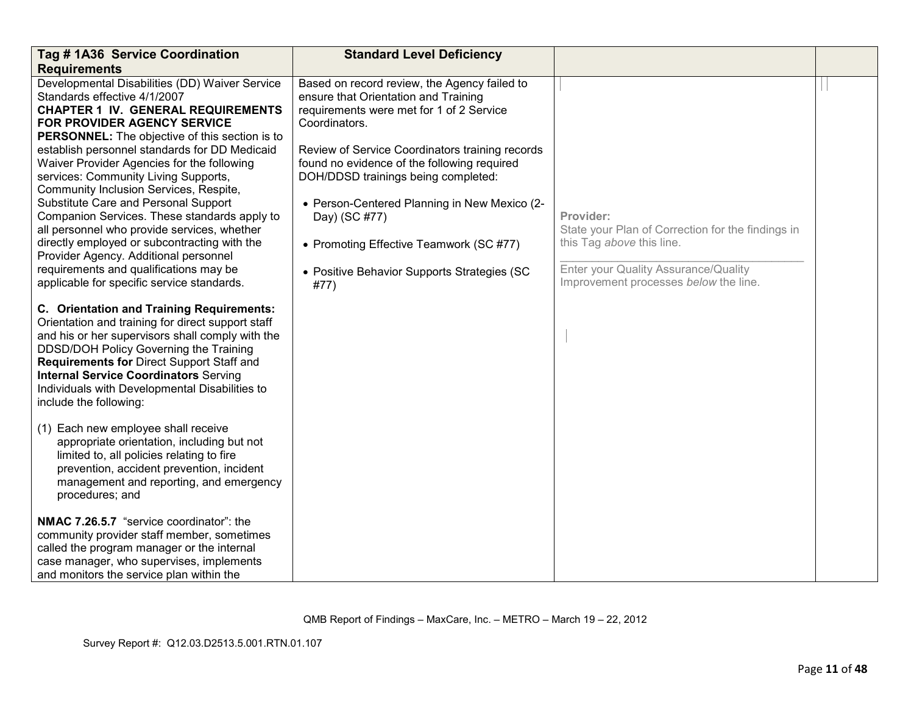| Tag # 1A36 Service Coordination                                                                                                                                                                                                                                                                                                                                                                                                                                                                                                                                                                                                                                                                                                                     | <b>Standard Level Deficiency</b>                                                                                                                                                                                                                                                                                                                                                                                                                              |                                                                                                                                                                              |  |
|-----------------------------------------------------------------------------------------------------------------------------------------------------------------------------------------------------------------------------------------------------------------------------------------------------------------------------------------------------------------------------------------------------------------------------------------------------------------------------------------------------------------------------------------------------------------------------------------------------------------------------------------------------------------------------------------------------------------------------------------------------|---------------------------------------------------------------------------------------------------------------------------------------------------------------------------------------------------------------------------------------------------------------------------------------------------------------------------------------------------------------------------------------------------------------------------------------------------------------|------------------------------------------------------------------------------------------------------------------------------------------------------------------------------|--|
| <b>Requirements</b><br>Developmental Disabilities (DD) Waiver Service<br>Standards effective 4/1/2007<br><b>CHAPTER 1 IV. GENERAL REQUIREMENTS</b><br><b>FOR PROVIDER AGENCY SERVICE</b><br>PERSONNEL: The objective of this section is to<br>establish personnel standards for DD Medicaid<br>Waiver Provider Agencies for the following<br>services: Community Living Supports,<br>Community Inclusion Services, Respite,<br>Substitute Care and Personal Support<br>Companion Services. These standards apply to<br>all personnel who provide services, whether<br>directly employed or subcontracting with the<br>Provider Agency. Additional personnel<br>requirements and qualifications may be<br>applicable for specific service standards. | Based on record review, the Agency failed to<br>ensure that Orientation and Training<br>requirements were met for 1 of 2 Service<br>Coordinators.<br>Review of Service Coordinators training records<br>found no evidence of the following required<br>DOH/DDSD trainings being completed:<br>• Person-Centered Planning in New Mexico (2-<br>Day) (SC #77)<br>• Promoting Effective Teamwork (SC #77)<br>• Positive Behavior Supports Strategies (SC<br>#77) | Provider:<br>State your Plan of Correction for the findings in<br>this Tag above this line.<br>Enter your Quality Assurance/Quality<br>Improvement processes below the line. |  |
| C. Orientation and Training Requirements:<br>Orientation and training for direct support staff<br>and his or her supervisors shall comply with the<br>DDSD/DOH Policy Governing the Training<br>Requirements for Direct Support Staff and<br><b>Internal Service Coordinators Serving</b><br>Individuals with Developmental Disabilities to<br>include the following:                                                                                                                                                                                                                                                                                                                                                                               |                                                                                                                                                                                                                                                                                                                                                                                                                                                               |                                                                                                                                                                              |  |
| (1) Each new employee shall receive<br>appropriate orientation, including but not<br>limited to, all policies relating to fire<br>prevention, accident prevention, incident<br>management and reporting, and emergency<br>procedures; and                                                                                                                                                                                                                                                                                                                                                                                                                                                                                                           |                                                                                                                                                                                                                                                                                                                                                                                                                                                               |                                                                                                                                                                              |  |
| NMAC 7.26.5.7 "service coordinator": the<br>community provider staff member, sometimes<br>called the program manager or the internal<br>case manager, who supervises, implements<br>and monitors the service plan within the                                                                                                                                                                                                                                                                                                                                                                                                                                                                                                                        |                                                                                                                                                                                                                                                                                                                                                                                                                                                               |                                                                                                                                                                              |  |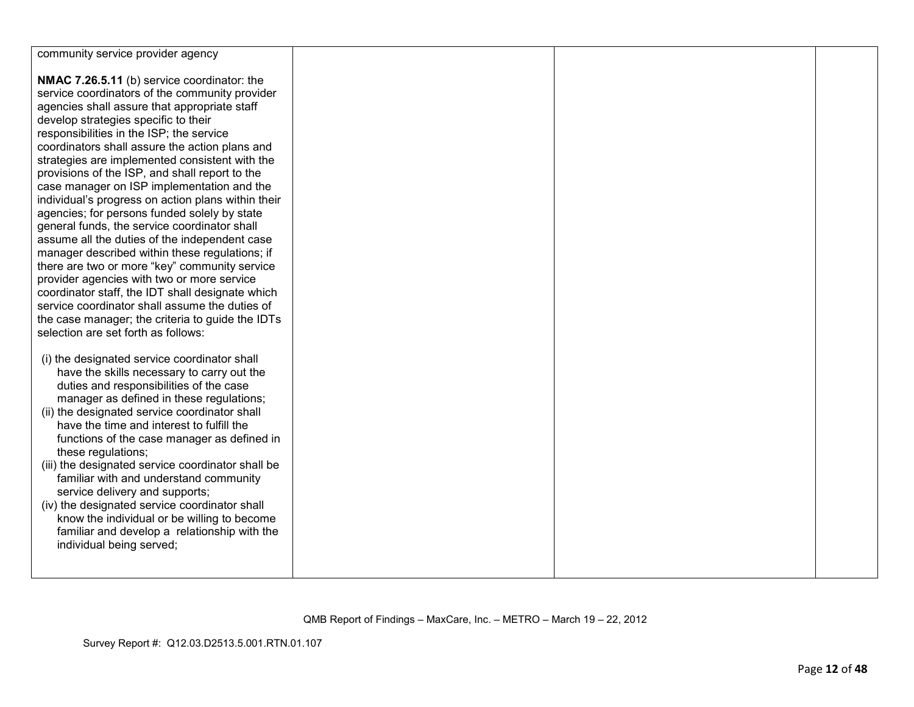| community service provider agency                  |  |  |
|----------------------------------------------------|--|--|
|                                                    |  |  |
|                                                    |  |  |
| NMAC 7.26.5.11 (b) service coordinator: the        |  |  |
| service coordinators of the community provider     |  |  |
| agencies shall assure that appropriate staff       |  |  |
| develop strategies specific to their               |  |  |
| responsibilities in the ISP; the service           |  |  |
| coordinators shall assure the action plans and     |  |  |
| strategies are implemented consistent with the     |  |  |
| provisions of the ISP, and shall report to the     |  |  |
| case manager on ISP implementation and the         |  |  |
| individual's progress on action plans within their |  |  |
| agencies; for persons funded solely by state       |  |  |
| general funds, the service coordinator shall       |  |  |
|                                                    |  |  |
| assume all the duties of the independent case      |  |  |
| manager described within these regulations; if     |  |  |
| there are two or more "key" community service      |  |  |
| provider agencies with two or more service         |  |  |
| coordinator staff, the IDT shall designate which   |  |  |
| service coordinator shall assume the duties of     |  |  |
| the case manager; the criteria to guide the IDTs   |  |  |
| selection are set forth as follows:                |  |  |
|                                                    |  |  |
| (i) the designated service coordinator shall       |  |  |
| have the skills necessary to carry out the         |  |  |
| duties and responsibilities of the case            |  |  |
| manager as defined in these regulations;           |  |  |
| (ii) the designated service coordinator shall      |  |  |
|                                                    |  |  |
| have the time and interest to fulfill the          |  |  |
| functions of the case manager as defined in        |  |  |
| these regulations;                                 |  |  |
| (iii) the designated service coordinator shall be  |  |  |
| familiar with and understand community             |  |  |
| service delivery and supports;                     |  |  |
| (iv) the designated service coordinator shall      |  |  |
| know the individual or be willing to become        |  |  |
| familiar and develop a relationship with the       |  |  |
| individual being served;                           |  |  |
|                                                    |  |  |
|                                                    |  |  |
|                                                    |  |  |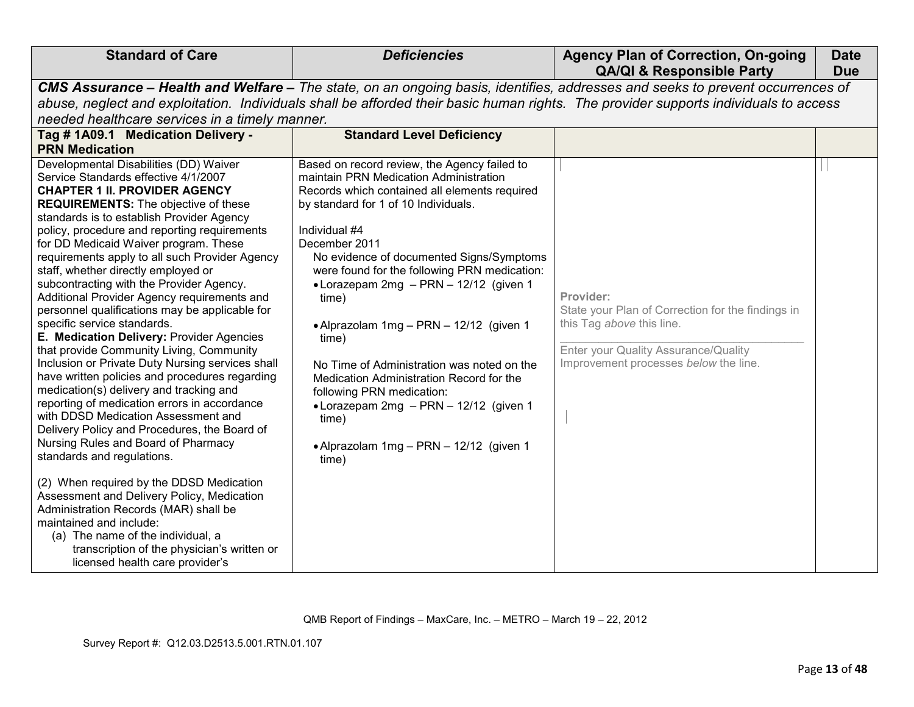|                                                                                                                                                                                                                                                                                                                                                                                                                                                                                                                                                                                                                                                                                                                                                                                                                                                                                                                                                                                                                                                                                                                                                                                                                                                                                                                             |                                                                                                                                                                                                                                                                                                                                                                                                                                                                                                                                                                                                                                                    | <b>QA/QI &amp; Responsible Party</b>                                                                                                                                         | <b>Due</b> |
|-----------------------------------------------------------------------------------------------------------------------------------------------------------------------------------------------------------------------------------------------------------------------------------------------------------------------------------------------------------------------------------------------------------------------------------------------------------------------------------------------------------------------------------------------------------------------------------------------------------------------------------------------------------------------------------------------------------------------------------------------------------------------------------------------------------------------------------------------------------------------------------------------------------------------------------------------------------------------------------------------------------------------------------------------------------------------------------------------------------------------------------------------------------------------------------------------------------------------------------------------------------------------------------------------------------------------------|----------------------------------------------------------------------------------------------------------------------------------------------------------------------------------------------------------------------------------------------------------------------------------------------------------------------------------------------------------------------------------------------------------------------------------------------------------------------------------------------------------------------------------------------------------------------------------------------------------------------------------------------------|------------------------------------------------------------------------------------------------------------------------------------------------------------------------------|------------|
|                                                                                                                                                                                                                                                                                                                                                                                                                                                                                                                                                                                                                                                                                                                                                                                                                                                                                                                                                                                                                                                                                                                                                                                                                                                                                                                             |                                                                                                                                                                                                                                                                                                                                                                                                                                                                                                                                                                                                                                                    | CMS Assurance - Health and Welfare - The state, on an ongoing basis, identifies, addresses and seeks to prevent occurrences of                                               |            |
| abuse, neglect and exploitation. Individuals shall be afforded their basic human rights. The provider supports individuals to access                                                                                                                                                                                                                                                                                                                                                                                                                                                                                                                                                                                                                                                                                                                                                                                                                                                                                                                                                                                                                                                                                                                                                                                        |                                                                                                                                                                                                                                                                                                                                                                                                                                                                                                                                                                                                                                                    |                                                                                                                                                                              |            |
| needed healthcare services in a timely manner.                                                                                                                                                                                                                                                                                                                                                                                                                                                                                                                                                                                                                                                                                                                                                                                                                                                                                                                                                                                                                                                                                                                                                                                                                                                                              |                                                                                                                                                                                                                                                                                                                                                                                                                                                                                                                                                                                                                                                    |                                                                                                                                                                              |            |
| Tag # 1A09.1 Medication Delivery -                                                                                                                                                                                                                                                                                                                                                                                                                                                                                                                                                                                                                                                                                                                                                                                                                                                                                                                                                                                                                                                                                                                                                                                                                                                                                          | <b>Standard Level Deficiency</b>                                                                                                                                                                                                                                                                                                                                                                                                                                                                                                                                                                                                                   |                                                                                                                                                                              |            |
| <b>PRN Medication</b>                                                                                                                                                                                                                                                                                                                                                                                                                                                                                                                                                                                                                                                                                                                                                                                                                                                                                                                                                                                                                                                                                                                                                                                                                                                                                                       |                                                                                                                                                                                                                                                                                                                                                                                                                                                                                                                                                                                                                                                    |                                                                                                                                                                              |            |
| Developmental Disabilities (DD) Waiver<br>Service Standards effective 4/1/2007<br><b>CHAPTER 1 II. PROVIDER AGENCY</b><br><b>REQUIREMENTS:</b> The objective of these<br>standards is to establish Provider Agency<br>policy, procedure and reporting requirements<br>for DD Medicaid Waiver program. These<br>requirements apply to all such Provider Agency<br>staff, whether directly employed or<br>subcontracting with the Provider Agency.<br>Additional Provider Agency requirements and<br>personnel qualifications may be applicable for<br>specific service standards.<br>E. Medication Delivery: Provider Agencies<br>that provide Community Living, Community<br>Inclusion or Private Duty Nursing services shall<br>have written policies and procedures regarding<br>medication(s) delivery and tracking and<br>reporting of medication errors in accordance<br>with DDSD Medication Assessment and<br>Delivery Policy and Procedures, the Board of<br>Nursing Rules and Board of Pharmacy<br>standards and regulations.<br>(2) When required by the DDSD Medication<br>Assessment and Delivery Policy, Medication<br>Administration Records (MAR) shall be<br>maintained and include:<br>(a) The name of the individual, a<br>transcription of the physician's written or<br>licensed health care provider's | Based on record review, the Agency failed to<br>maintain PRN Medication Administration<br>Records which contained all elements required<br>by standard for 1 of 10 Individuals.<br>Individual #4<br>December 2011<br>No evidence of documented Signs/Symptoms<br>were found for the following PRN medication:<br>• Lorazepam 2mg - PRN - 12/12 (given 1<br>time)<br>• Alprazolam 1mg - PRN - 12/12 (given 1<br>time)<br>No Time of Administration was noted on the<br>Medication Administration Record for the<br>following PRN medication:<br>• Lorazepam 2mg - PRN - 12/12 (given 1<br>time)<br>• Alprazolam 1mg - PRN - 12/12 (given 1<br>time) | Provider:<br>State your Plan of Correction for the findings in<br>this Tag above this line.<br>Enter your Quality Assurance/Quality<br>Improvement processes below the line. |            |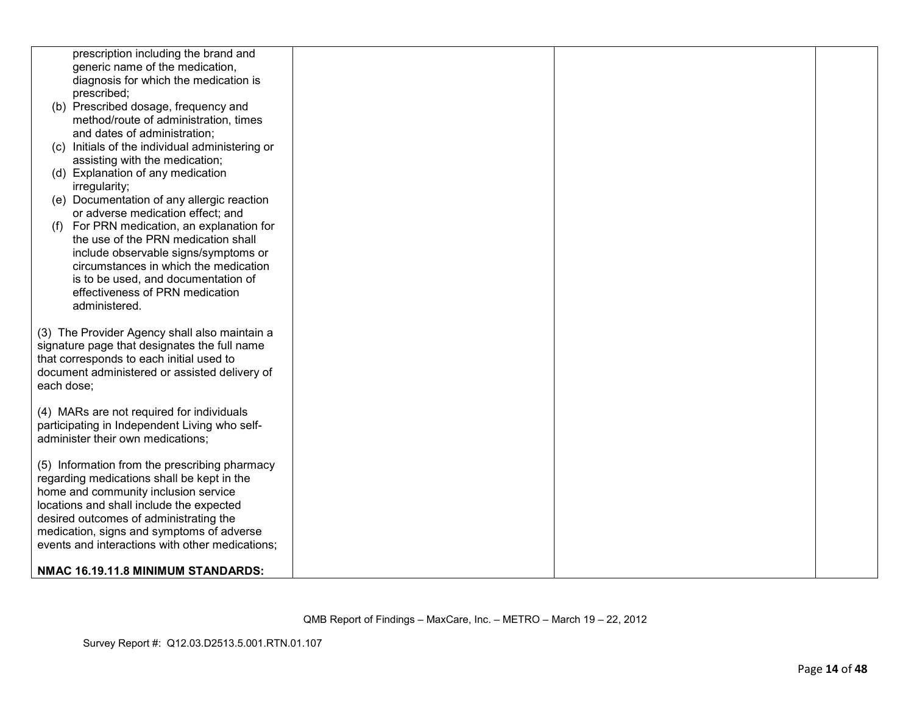| prescription including the brand and                                                        |  |
|---------------------------------------------------------------------------------------------|--|
| generic name of the medication,                                                             |  |
| diagnosis for which the medication is                                                       |  |
| prescribed;                                                                                 |  |
| (b) Prescribed dosage, frequency and                                                        |  |
| method/route of administration, times                                                       |  |
| and dates of administration;                                                                |  |
| (c) Initials of the individual administering or                                             |  |
| assisting with the medication;                                                              |  |
| (d) Explanation of any medication                                                           |  |
| irregularity;                                                                               |  |
| (e) Documentation of any allergic reaction                                                  |  |
| or adverse medication effect; and                                                           |  |
| For PRN medication, an explanation for<br>(f)                                               |  |
| the use of the PRN medication shall                                                         |  |
| include observable signs/symptoms or                                                        |  |
| circumstances in which the medication                                                       |  |
| is to be used, and documentation of                                                         |  |
| effectiveness of PRN medication                                                             |  |
| administered.                                                                               |  |
|                                                                                             |  |
| (3) The Provider Agency shall also maintain a                                               |  |
| signature page that designates the full name                                                |  |
| that corresponds to each initial used to                                                    |  |
| document administered or assisted delivery of                                               |  |
| each dose;                                                                                  |  |
|                                                                                             |  |
| (4) MARs are not required for individuals                                                   |  |
| participating in Independent Living who self-                                               |  |
| administer their own medications:                                                           |  |
|                                                                                             |  |
| (5) Information from the prescribing pharmacy<br>regarding medications shall be kept in the |  |
| home and community inclusion service                                                        |  |
| locations and shall include the expected                                                    |  |
| desired outcomes of administrating the                                                      |  |
| medication, signs and symptoms of adverse                                                   |  |
| events and interactions with other medications;                                             |  |
|                                                                                             |  |
| NMAC 16.19.11.8 MINIMUM STANDARDS:                                                          |  |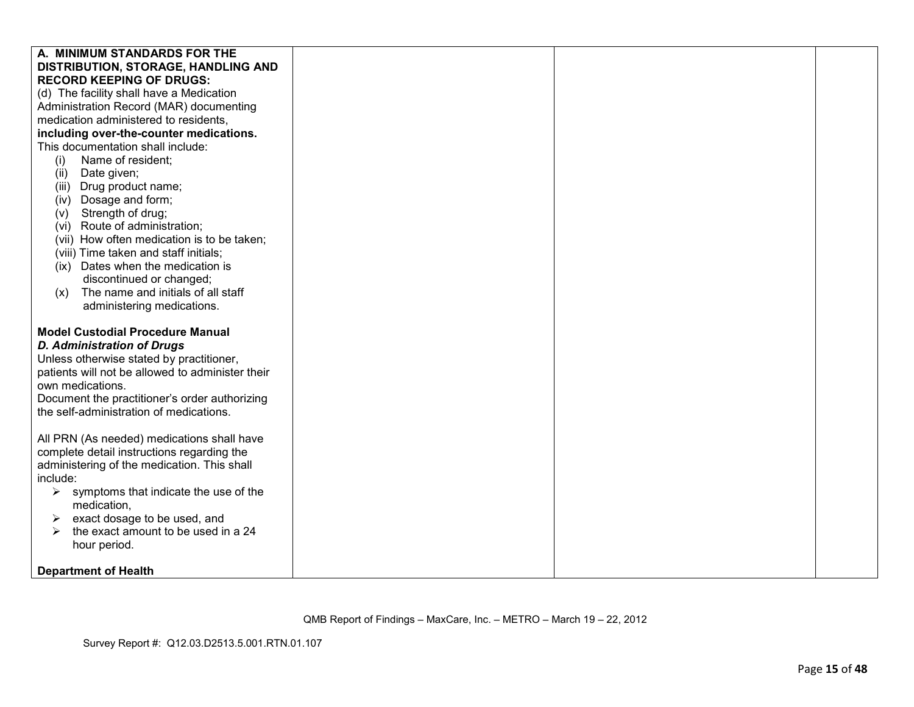| A. MINIMUM STANDARDS FOR THE                                                                                                                                                                                                                                                                 |  |  |
|----------------------------------------------------------------------------------------------------------------------------------------------------------------------------------------------------------------------------------------------------------------------------------------------|--|--|
| DISTRIBUTION, STORAGE, HANDLING AND                                                                                                                                                                                                                                                          |  |  |
| <b>RECORD KEEPING OF DRUGS:</b>                                                                                                                                                                                                                                                              |  |  |
| (d) The facility shall have a Medication                                                                                                                                                                                                                                                     |  |  |
| Administration Record (MAR) documenting                                                                                                                                                                                                                                                      |  |  |
| medication administered to residents,                                                                                                                                                                                                                                                        |  |  |
| including over-the-counter medications.                                                                                                                                                                                                                                                      |  |  |
| This documentation shall include:                                                                                                                                                                                                                                                            |  |  |
| Name of resident;<br>(i)                                                                                                                                                                                                                                                                     |  |  |
| (ii) Date given;                                                                                                                                                                                                                                                                             |  |  |
| (iii) Drug product name;                                                                                                                                                                                                                                                                     |  |  |
| (iv) Dosage and form;                                                                                                                                                                                                                                                                        |  |  |
| (v) Strength of drug;                                                                                                                                                                                                                                                                        |  |  |
| (vi) Route of administration;                                                                                                                                                                                                                                                                |  |  |
| (vii) How often medication is to be taken;                                                                                                                                                                                                                                                   |  |  |
| (viii) Time taken and staff initials;                                                                                                                                                                                                                                                        |  |  |
| (ix) Dates when the medication is                                                                                                                                                                                                                                                            |  |  |
| discontinued or changed;                                                                                                                                                                                                                                                                     |  |  |
| The name and initials of all staff<br>(x)                                                                                                                                                                                                                                                    |  |  |
| administering medications.                                                                                                                                                                                                                                                                   |  |  |
| <b>Model Custodial Procedure Manual</b><br><b>D. Administration of Drugs</b><br>Unless otherwise stated by practitioner,<br>patients will not be allowed to administer their<br>own medications.<br>Document the practitioner's order authorizing<br>the self-administration of medications. |  |  |
|                                                                                                                                                                                                                                                                                              |  |  |
| All PRN (As needed) medications shall have<br>complete detail instructions regarding the                                                                                                                                                                                                     |  |  |
| administering of the medication. This shall                                                                                                                                                                                                                                                  |  |  |
| include:                                                                                                                                                                                                                                                                                     |  |  |
| symptoms that indicate the use of the<br>➤                                                                                                                                                                                                                                                   |  |  |
| medication,                                                                                                                                                                                                                                                                                  |  |  |
| exact dosage to be used, and<br>➤                                                                                                                                                                                                                                                            |  |  |
| the exact amount to be used in a 24<br>➤                                                                                                                                                                                                                                                     |  |  |
| hour period.                                                                                                                                                                                                                                                                                 |  |  |
|                                                                                                                                                                                                                                                                                              |  |  |
| <b>Department of Health</b>                                                                                                                                                                                                                                                                  |  |  |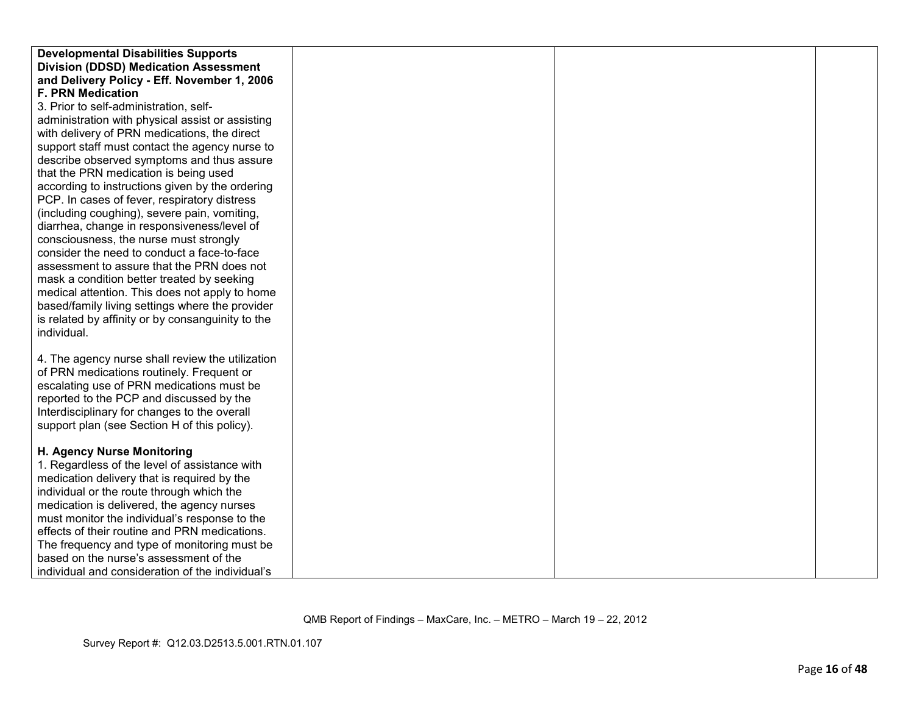| <b>Developmental Disabilities Supports</b>        |  |  |
|---------------------------------------------------|--|--|
| <b>Division (DDSD) Medication Assessment</b>      |  |  |
| and Delivery Policy - Eff. November 1, 2006       |  |  |
| <b>F. PRN Medication</b>                          |  |  |
| 3. Prior to self-administration, self-            |  |  |
| administration with physical assist or assisting  |  |  |
| with delivery of PRN medications, the direct      |  |  |
| support staff must contact the agency nurse to    |  |  |
| describe observed symptoms and thus assure        |  |  |
| that the PRN medication is being used             |  |  |
| according to instructions given by the ordering   |  |  |
| PCP. In cases of fever, respiratory distress      |  |  |
| (including coughing), severe pain, vomiting,      |  |  |
| diarrhea, change in responsiveness/level of       |  |  |
| consciousness, the nurse must strongly            |  |  |
| consider the need to conduct a face-to-face       |  |  |
| assessment to assure that the PRN does not        |  |  |
| mask a condition better treated by seeking        |  |  |
| medical attention. This does not apply to home    |  |  |
| based/family living settings where the provider   |  |  |
| is related by affinity or by consanguinity to the |  |  |
| individual.                                       |  |  |
|                                                   |  |  |
| 4. The agency nurse shall review the utilization  |  |  |
| of PRN medications routinely. Frequent or         |  |  |
| escalating use of PRN medications must be         |  |  |
| reported to the PCP and discussed by the          |  |  |
| Interdisciplinary for changes to the overall      |  |  |
| support plan (see Section H of this policy).      |  |  |
|                                                   |  |  |
| H. Agency Nurse Monitoring                        |  |  |
| 1. Regardless of the level of assistance with     |  |  |
| medication delivery that is required by the       |  |  |
| individual or the route through which the         |  |  |
| medication is delivered, the agency nurses        |  |  |
| must monitor the individual's response to the     |  |  |
| effects of their routine and PRN medications.     |  |  |
| The frequency and type of monitoring must be      |  |  |
| based on the nurse's assessment of the            |  |  |
| individual and consideration of the individual's  |  |  |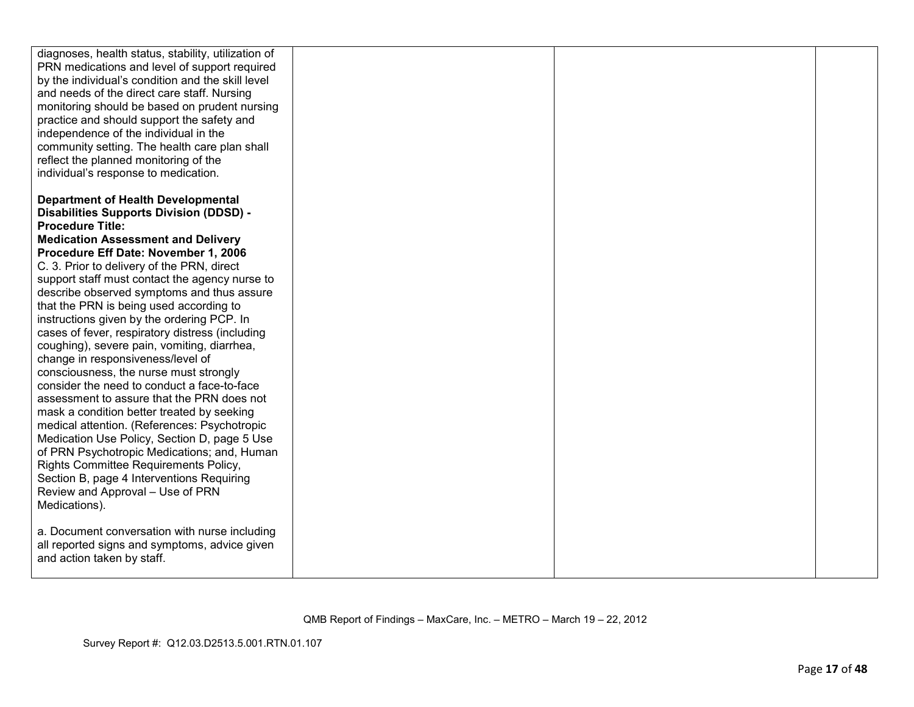| diagnoses, health status, stability, utilization of<br>PRN medications and level of support required<br>by the individual's condition and the skill level<br>and needs of the direct care staff. Nursing<br>monitoring should be based on prudent nursing<br>practice and should support the safety and<br>independence of the individual in the<br>community setting. The health care plan shall<br>reflect the planned monitoring of the<br>individual's response to medication.                                                                                                                                                                                                                                                                                                                                                                                                                                                                                     |  |  |
|------------------------------------------------------------------------------------------------------------------------------------------------------------------------------------------------------------------------------------------------------------------------------------------------------------------------------------------------------------------------------------------------------------------------------------------------------------------------------------------------------------------------------------------------------------------------------------------------------------------------------------------------------------------------------------------------------------------------------------------------------------------------------------------------------------------------------------------------------------------------------------------------------------------------------------------------------------------------|--|--|
| <b>Department of Health Developmental</b><br><b>Disabilities Supports Division (DDSD) -</b><br><b>Procedure Title:</b><br><b>Medication Assessment and Delivery</b><br>Procedure Eff Date: November 1, 2006<br>C. 3. Prior to delivery of the PRN, direct<br>support staff must contact the agency nurse to<br>describe observed symptoms and thus assure<br>that the PRN is being used according to<br>instructions given by the ordering PCP. In<br>cases of fever, respiratory distress (including<br>coughing), severe pain, vomiting, diarrhea,<br>change in responsiveness/level of<br>consciousness, the nurse must strongly<br>consider the need to conduct a face-to-face<br>assessment to assure that the PRN does not<br>mask a condition better treated by seeking<br>medical attention. (References: Psychotropic<br>Medication Use Policy, Section D, page 5 Use<br>of PRN Psychotropic Medications; and, Human<br>Rights Committee Requirements Policy, |  |  |
| Section B, page 4 Interventions Requiring<br>Review and Approval - Use of PRN<br>Medications).<br>a. Document conversation with nurse including<br>all reported signs and symptoms, advice given<br>and action taken by staff.                                                                                                                                                                                                                                                                                                                                                                                                                                                                                                                                                                                                                                                                                                                                         |  |  |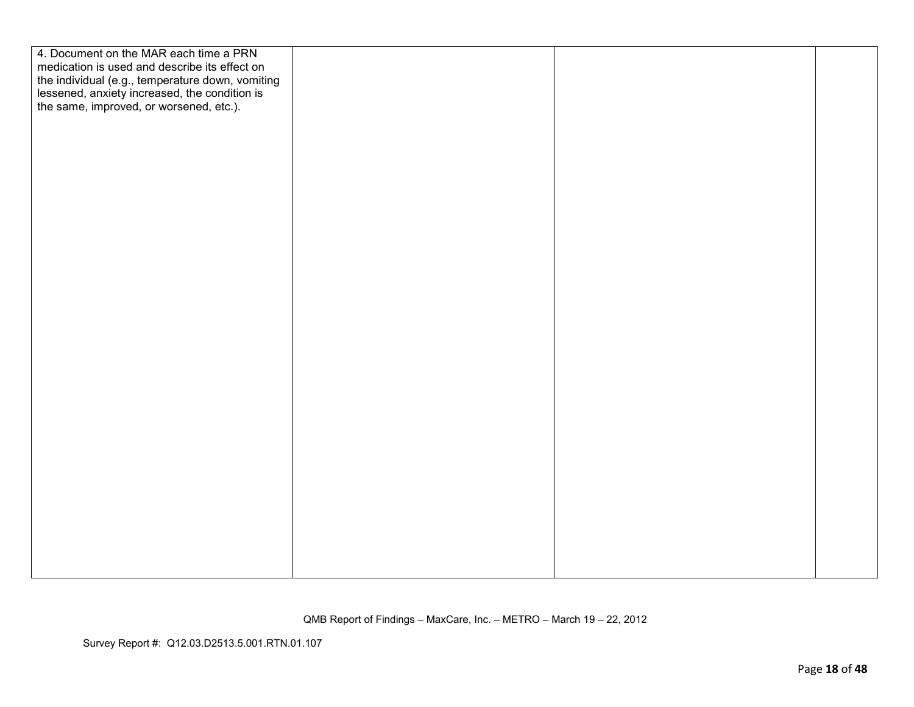| 4. Document on the MAR each time a PRN<br>medication is used and describe its effect on<br>the individual (e.g., temperature down, vomiting<br>lessened, anxiety increased, the condition is<br>the same, improved, or worsened, etc.). |  |  |
|-----------------------------------------------------------------------------------------------------------------------------------------------------------------------------------------------------------------------------------------|--|--|
|                                                                                                                                                                                                                                         |  |  |
|                                                                                                                                                                                                                                         |  |  |
|                                                                                                                                                                                                                                         |  |  |
|                                                                                                                                                                                                                                         |  |  |
|                                                                                                                                                                                                                                         |  |  |
|                                                                                                                                                                                                                                         |  |  |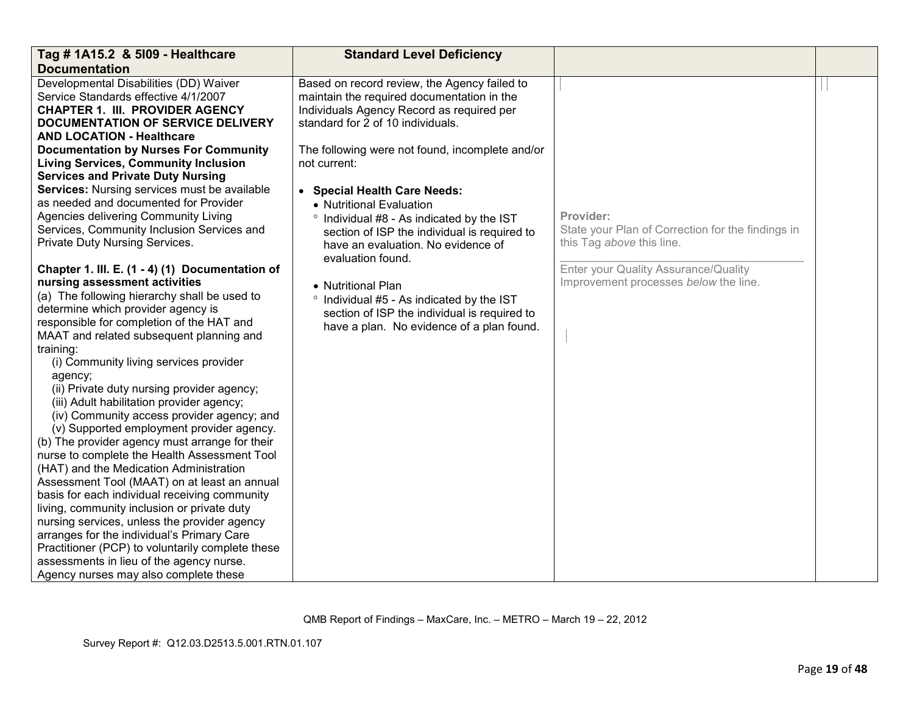| Tag # 1A15.2 & 5109 - Healthcare                                                        | <b>Standard Level Deficiency</b>                |                                                   |  |
|-----------------------------------------------------------------------------------------|-------------------------------------------------|---------------------------------------------------|--|
| <b>Documentation</b>                                                                    |                                                 |                                                   |  |
| Developmental Disabilities (DD) Waiver                                                  | Based on record review, the Agency failed to    |                                                   |  |
| Service Standards effective 4/1/2007                                                    | maintain the required documentation in the      |                                                   |  |
| <b>CHAPTER 1. III. PROVIDER AGENCY</b>                                                  | Individuals Agency Record as required per       |                                                   |  |
| <b>DOCUMENTATION OF SERVICE DELIVERY</b>                                                | standard for 2 of 10 individuals.               |                                                   |  |
| <b>AND LOCATION - Healthcare</b>                                                        |                                                 |                                                   |  |
| <b>Documentation by Nurses For Community</b>                                            | The following were not found, incomplete and/or |                                                   |  |
| <b>Living Services, Community Inclusion</b>                                             | not current:                                    |                                                   |  |
| <b>Services and Private Duty Nursing</b>                                                |                                                 |                                                   |  |
| Services: Nursing services must be available                                            | • Special Health Care Needs:                    |                                                   |  |
| as needed and documented for Provider                                                   | • Nutritional Evaluation                        |                                                   |  |
| Agencies delivering Community Living                                                    | ° Individual #8 - As indicated by the IST       | Provider:                                         |  |
| Services, Community Inclusion Services and                                              | section of ISP the individual is required to    | State your Plan of Correction for the findings in |  |
| Private Duty Nursing Services.                                                          | have an evaluation. No evidence of              | this Tag above this line.                         |  |
|                                                                                         | evaluation found.                               |                                                   |  |
| Chapter 1. III. E. (1 - 4) (1) Documentation of                                         |                                                 | Enter your Quality Assurance/Quality              |  |
| nursing assessment activities                                                           | • Nutritional Plan                              | Improvement processes below the line.             |  |
| (a) The following hierarchy shall be used to                                            | ° Individual #5 - As indicated by the IST       |                                                   |  |
| determine which provider agency is                                                      | section of ISP the individual is required to    |                                                   |  |
| responsible for completion of the HAT and                                               | have a plan. No evidence of a plan found.       |                                                   |  |
| MAAT and related subsequent planning and                                                |                                                 |                                                   |  |
| training:                                                                               |                                                 |                                                   |  |
| (i) Community living services provider                                                  |                                                 |                                                   |  |
| agency;                                                                                 |                                                 |                                                   |  |
| (ii) Private duty nursing provider agency;                                              |                                                 |                                                   |  |
| (iii) Adult habilitation provider agency;                                               |                                                 |                                                   |  |
| (iv) Community access provider agency; and                                              |                                                 |                                                   |  |
| (v) Supported employment provider agency.                                               |                                                 |                                                   |  |
| (b) The provider agency must arrange for their                                          |                                                 |                                                   |  |
| nurse to complete the Health Assessment Tool                                            |                                                 |                                                   |  |
| (HAT) and the Medication Administration<br>Assessment Tool (MAAT) on at least an annual |                                                 |                                                   |  |
| basis for each individual receiving community                                           |                                                 |                                                   |  |
| living, community inclusion or private duty                                             |                                                 |                                                   |  |
| nursing services, unless the provider agency                                            |                                                 |                                                   |  |
| arranges for the individual's Primary Care                                              |                                                 |                                                   |  |
| Practitioner (PCP) to voluntarily complete these                                        |                                                 |                                                   |  |
| assessments in lieu of the agency nurse.                                                |                                                 |                                                   |  |
| Agency nurses may also complete these                                                   |                                                 |                                                   |  |
|                                                                                         |                                                 |                                                   |  |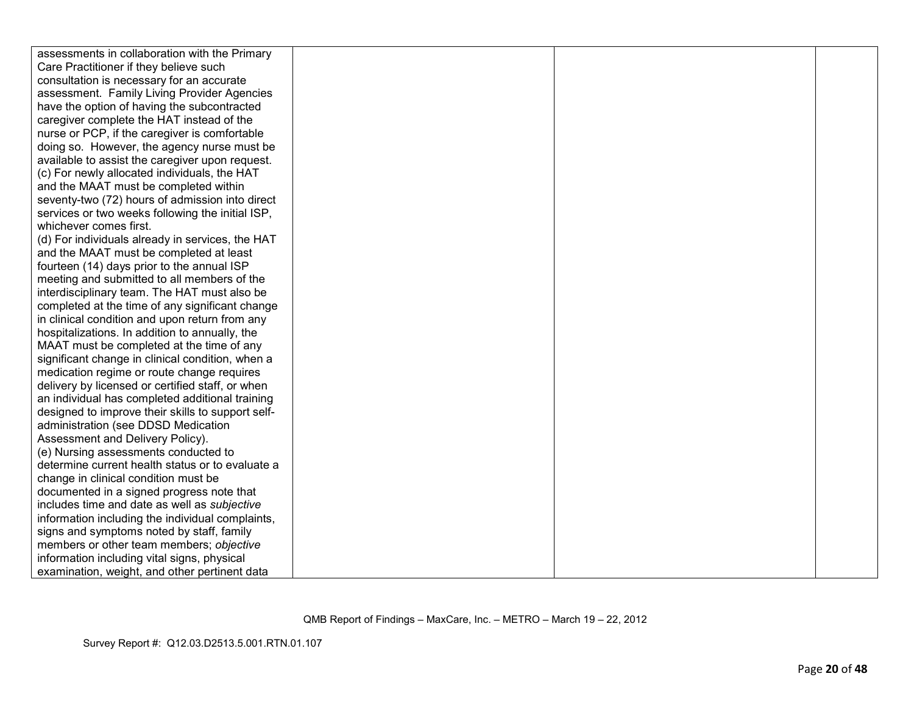| assessments in collaboration with the Primary     |  |  |
|---------------------------------------------------|--|--|
| Care Practitioner if they believe such            |  |  |
| consultation is necessary for an accurate         |  |  |
| assessment. Family Living Provider Agencies       |  |  |
| have the option of having the subcontracted       |  |  |
| caregiver complete the HAT instead of the         |  |  |
| nurse or PCP, if the caregiver is comfortable     |  |  |
| doing so. However, the agency nurse must be       |  |  |
| available to assist the caregiver upon request.   |  |  |
| (c) For newly allocated individuals, the HAT      |  |  |
| and the MAAT must be completed within             |  |  |
| seventy-two (72) hours of admission into direct   |  |  |
| services or two weeks following the initial ISP,  |  |  |
| whichever comes first.                            |  |  |
| (d) For individuals already in services, the HAT  |  |  |
| and the MAAT must be completed at least           |  |  |
| fourteen (14) days prior to the annual ISP        |  |  |
| meeting and submitted to all members of the       |  |  |
| interdisciplinary team. The HAT must also be      |  |  |
| completed at the time of any significant change   |  |  |
| in clinical condition and upon return from any    |  |  |
| hospitalizations. In addition to annually, the    |  |  |
| MAAT must be completed at the time of any         |  |  |
| significant change in clinical condition, when a  |  |  |
| medication regime or route change requires        |  |  |
| delivery by licensed or certified staff, or when  |  |  |
| an individual has completed additional training   |  |  |
| designed to improve their skills to support self- |  |  |
| administration (see DDSD Medication               |  |  |
| Assessment and Delivery Policy).                  |  |  |
| (e) Nursing assessments conducted to              |  |  |
| determine current health status or to evaluate a  |  |  |
| change in clinical condition must be              |  |  |
| documented in a signed progress note that         |  |  |
| includes time and date as well as subjective      |  |  |
| information including the individual complaints,  |  |  |
| signs and symptoms noted by staff, family         |  |  |
| members or other team members; objective          |  |  |
| information including vital signs, physical       |  |  |
| examination, weight, and other pertinent data     |  |  |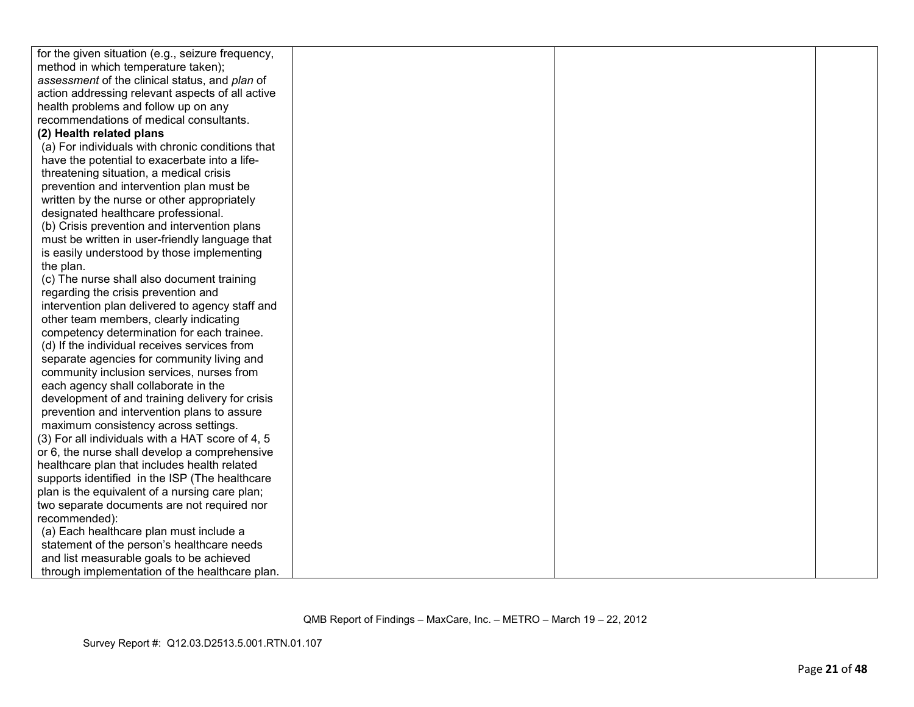| for the given situation (e.g., seizure frequency, |  |  |
|---------------------------------------------------|--|--|
| method in which temperature taken);               |  |  |
| assessment of the clinical status, and plan of    |  |  |
| action addressing relevant aspects of all active  |  |  |
| health problems and follow up on any              |  |  |
| recommendations of medical consultants.           |  |  |
| (2) Health related plans                          |  |  |
| (a) For individuals with chronic conditions that  |  |  |
| have the potential to exacerbate into a life-     |  |  |
| threatening situation, a medical crisis           |  |  |
| prevention and intervention plan must be          |  |  |
| written by the nurse or other appropriately       |  |  |
| designated healthcare professional.               |  |  |
| (b) Crisis prevention and intervention plans      |  |  |
| must be written in user-friendly language that    |  |  |
| is easily understood by those implementing        |  |  |
| the plan.                                         |  |  |
| (c) The nurse shall also document training        |  |  |
| regarding the crisis prevention and               |  |  |
| intervention plan delivered to agency staff and   |  |  |
| other team members, clearly indicating            |  |  |
| competency determination for each trainee.        |  |  |
| (d) If the individual receives services from      |  |  |
| separate agencies for community living and        |  |  |
| community inclusion services, nurses from         |  |  |
| each agency shall collaborate in the              |  |  |
| development of and training delivery for crisis   |  |  |
| prevention and intervention plans to assure       |  |  |
| maximum consistency across settings.              |  |  |
| (3) For all individuals with a HAT score of 4, 5  |  |  |
| or 6, the nurse shall develop a comprehensive     |  |  |
| healthcare plan that includes health related      |  |  |
| supports identified in the ISP (The healthcare    |  |  |
| plan is the equivalent of a nursing care plan;    |  |  |
| two separate documents are not required nor       |  |  |
| recommended):                                     |  |  |
| (a) Each healthcare plan must include a           |  |  |
| statement of the person's healthcare needs        |  |  |
| and list measurable goals to be achieved          |  |  |
| through implementation of the healthcare plan.    |  |  |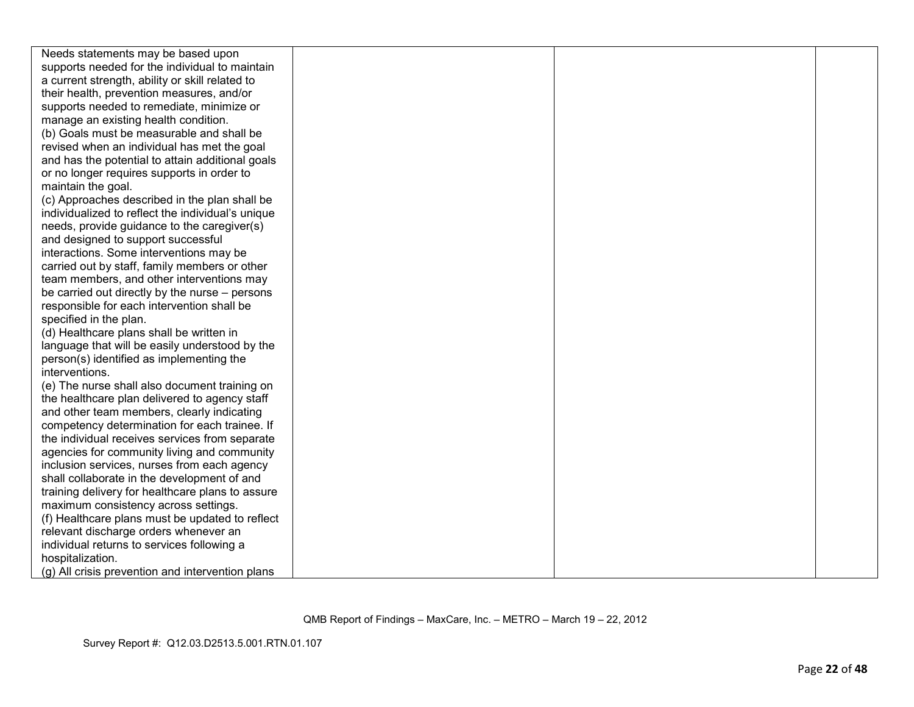| Needs statements may be based upon                |  |  |
|---------------------------------------------------|--|--|
| supports needed for the individual to maintain    |  |  |
| a current strength, ability or skill related to   |  |  |
| their health, prevention measures, and/or         |  |  |
| supports needed to remediate, minimize or         |  |  |
| manage an existing health condition.              |  |  |
| (b) Goals must be measurable and shall be         |  |  |
| revised when an individual has met the goal       |  |  |
| and has the potential to attain additional goals  |  |  |
| or no longer requires supports in order to        |  |  |
| maintain the goal.                                |  |  |
| (c) Approaches described in the plan shall be     |  |  |
| individualized to reflect the individual's unique |  |  |
| needs, provide guidance to the caregiver(s)       |  |  |
| and designed to support successful                |  |  |
| interactions. Some interventions may be           |  |  |
| carried out by staff, family members or other     |  |  |
| team members, and other interventions may         |  |  |
| be carried out directly by the nurse – persons    |  |  |
| responsible for each intervention shall be        |  |  |
| specified in the plan.                            |  |  |
| (d) Healthcare plans shall be written in          |  |  |
| language that will be easily understood by the    |  |  |
| person(s) identified as implementing the          |  |  |
| interventions.                                    |  |  |
| (e) The nurse shall also document training on     |  |  |
| the healthcare plan delivered to agency staff     |  |  |
| and other team members, clearly indicating        |  |  |
| competency determination for each trainee. If     |  |  |
| the individual receives services from separate    |  |  |
| agencies for community living and community       |  |  |
| inclusion services, nurses from each agency       |  |  |
| shall collaborate in the development of and       |  |  |
| training delivery for healthcare plans to assure  |  |  |
| maximum consistency across settings.              |  |  |
| (f) Healthcare plans must be updated to reflect   |  |  |
| relevant discharge orders whenever an             |  |  |
| individual returns to services following a        |  |  |
| hospitalization.                                  |  |  |
| (g) All crisis prevention and intervention plans  |  |  |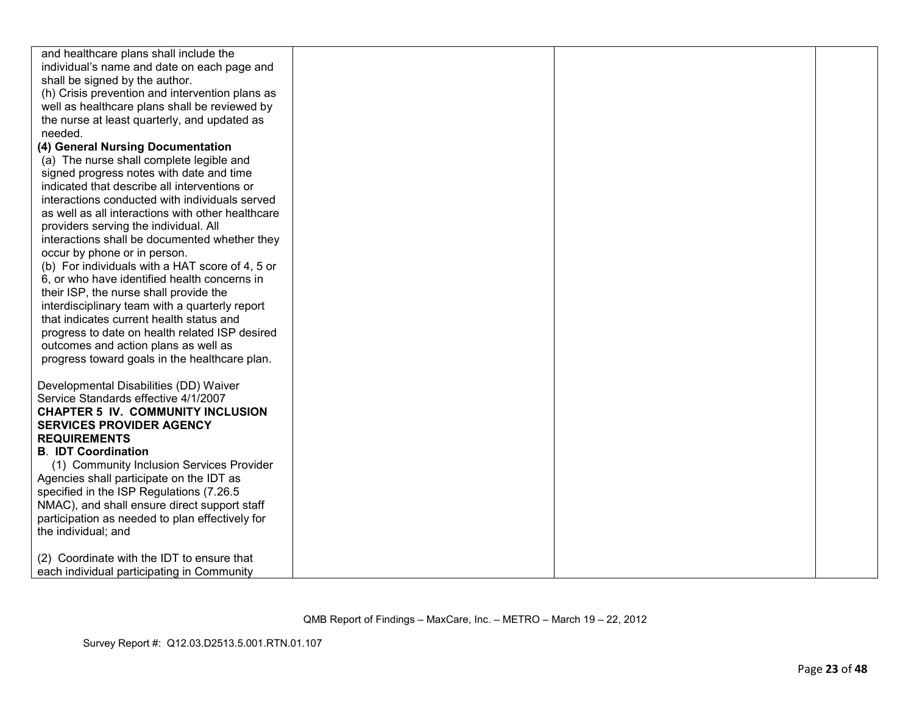| and healthcare plans shall include the            |  |  |
|---------------------------------------------------|--|--|
| individual's name and date on each page and       |  |  |
| shall be signed by the author.                    |  |  |
| (h) Crisis prevention and intervention plans as   |  |  |
| well as healthcare plans shall be reviewed by     |  |  |
| the nurse at least quarterly, and updated as      |  |  |
| needed.                                           |  |  |
| (4) General Nursing Documentation                 |  |  |
| (a) The nurse shall complete legible and          |  |  |
| signed progress notes with date and time          |  |  |
| indicated that describe all interventions or      |  |  |
| interactions conducted with individuals served    |  |  |
| as well as all interactions with other healthcare |  |  |
| providers serving the individual. All             |  |  |
| interactions shall be documented whether they     |  |  |
| occur by phone or in person.                      |  |  |
| (b) For individuals with a HAT score of 4, 5 or   |  |  |
| 6, or who have identified health concerns in      |  |  |
| their ISP, the nurse shall provide the            |  |  |
| interdisciplinary team with a quarterly report    |  |  |
| that indicates current health status and          |  |  |
| progress to date on health related ISP desired    |  |  |
| outcomes and action plans as well as              |  |  |
| progress toward goals in the healthcare plan.     |  |  |
|                                                   |  |  |
| Developmental Disabilities (DD) Waiver            |  |  |
| Service Standards effective 4/1/2007              |  |  |
| <b>CHAPTER 5 IV. COMMUNITY INCLUSION</b>          |  |  |
| <b>SERVICES PROVIDER AGENCY</b>                   |  |  |
| <b>REQUIREMENTS</b>                               |  |  |
| <b>B. IDT Coordination</b>                        |  |  |
| (1) Community Inclusion Services Provider         |  |  |
| Agencies shall participate on the IDT as          |  |  |
| specified in the ISP Regulations (7.26.5)         |  |  |
| NMAC), and shall ensure direct support staff      |  |  |
| participation as needed to plan effectively for   |  |  |
| the individual; and                               |  |  |
|                                                   |  |  |
| (2) Coordinate with the IDT to ensure that        |  |  |
| each individual participating in Community        |  |  |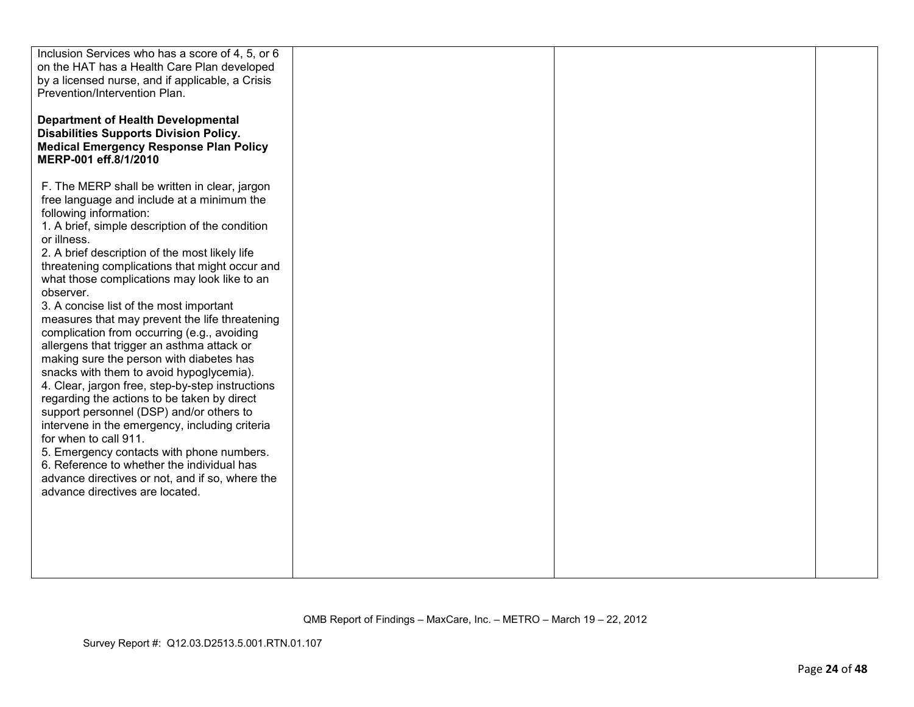| Inclusion Services who has a score of 4, 5, or 6<br>on the HAT has a Health Care Plan developed<br>by a licensed nurse, and if applicable, a Crisis<br>Prevention/Intervention Plan.<br><b>Department of Health Developmental</b><br><b>Disabilities Supports Division Policy.</b><br><b>Medical Emergency Response Plan Policy</b><br>MERP-001 eff.8/1/2010                                                                                                                                                                                                                                                                                                                                                                                                                                                                                                                                                                                                                                                                                          |  |  |
|-------------------------------------------------------------------------------------------------------------------------------------------------------------------------------------------------------------------------------------------------------------------------------------------------------------------------------------------------------------------------------------------------------------------------------------------------------------------------------------------------------------------------------------------------------------------------------------------------------------------------------------------------------------------------------------------------------------------------------------------------------------------------------------------------------------------------------------------------------------------------------------------------------------------------------------------------------------------------------------------------------------------------------------------------------|--|--|
| F. The MERP shall be written in clear, jargon<br>free language and include at a minimum the<br>following information:<br>1. A brief, simple description of the condition<br>or illness.<br>2. A brief description of the most likely life<br>threatening complications that might occur and<br>what those complications may look like to an<br>observer.<br>3. A concise list of the most important<br>measures that may prevent the life threatening<br>complication from occurring (e.g., avoiding<br>allergens that trigger an asthma attack or<br>making sure the person with diabetes has<br>snacks with them to avoid hypoglycemia).<br>4. Clear, jargon free, step-by-step instructions<br>regarding the actions to be taken by direct<br>support personnel (DSP) and/or others to<br>intervene in the emergency, including criteria<br>for when to call 911.<br>5. Emergency contacts with phone numbers.<br>6. Reference to whether the individual has<br>advance directives or not, and if so, where the<br>advance directives are located. |  |  |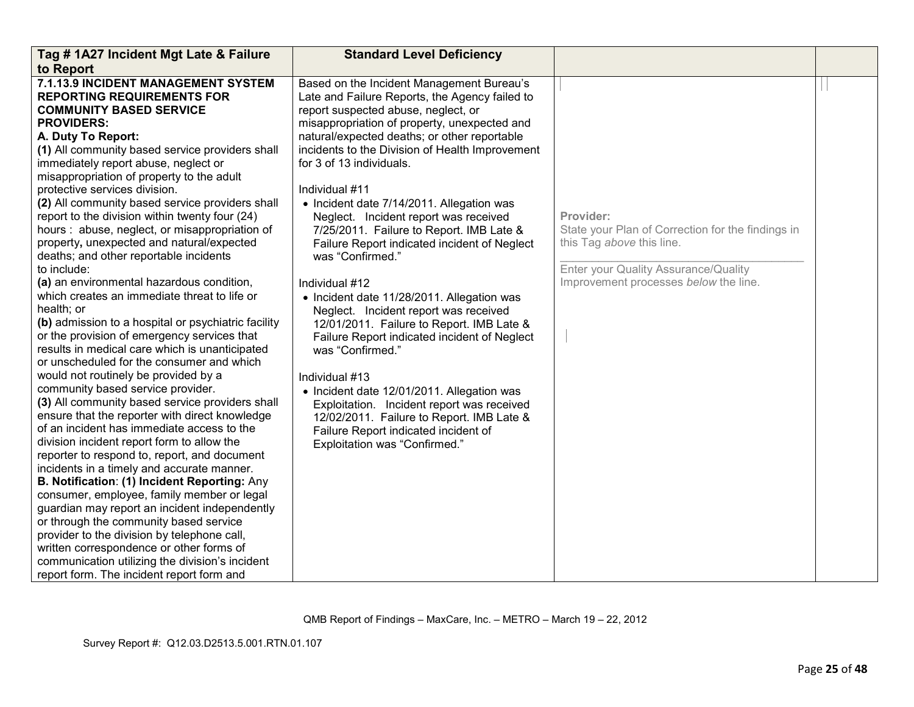| Tag # 1A27 Incident Mgt Late & Failure                                                                                                                                                                                                                                                                                                                                                                                                                                                                                                                                                                                                                                                                                                                                                                                                                                                                                                                                                                                                                                                                                                                                                                                                                                                                                                                                                                                                                                                                                                                                                                                        | <b>Standard Level Deficiency</b>                                                                                                                                                                                                                                                                                                                                                                                                                                                                                                                                                                                                                                                                                                                                                                                                                                                                                                                                                                        |                                                                                                                                                                              |  |
|-------------------------------------------------------------------------------------------------------------------------------------------------------------------------------------------------------------------------------------------------------------------------------------------------------------------------------------------------------------------------------------------------------------------------------------------------------------------------------------------------------------------------------------------------------------------------------------------------------------------------------------------------------------------------------------------------------------------------------------------------------------------------------------------------------------------------------------------------------------------------------------------------------------------------------------------------------------------------------------------------------------------------------------------------------------------------------------------------------------------------------------------------------------------------------------------------------------------------------------------------------------------------------------------------------------------------------------------------------------------------------------------------------------------------------------------------------------------------------------------------------------------------------------------------------------------------------------------------------------------------------|---------------------------------------------------------------------------------------------------------------------------------------------------------------------------------------------------------------------------------------------------------------------------------------------------------------------------------------------------------------------------------------------------------------------------------------------------------------------------------------------------------------------------------------------------------------------------------------------------------------------------------------------------------------------------------------------------------------------------------------------------------------------------------------------------------------------------------------------------------------------------------------------------------------------------------------------------------------------------------------------------------|------------------------------------------------------------------------------------------------------------------------------------------------------------------------------|--|
| to Report                                                                                                                                                                                                                                                                                                                                                                                                                                                                                                                                                                                                                                                                                                                                                                                                                                                                                                                                                                                                                                                                                                                                                                                                                                                                                                                                                                                                                                                                                                                                                                                                                     |                                                                                                                                                                                                                                                                                                                                                                                                                                                                                                                                                                                                                                                                                                                                                                                                                                                                                                                                                                                                         |                                                                                                                                                                              |  |
| 7.1.13.9 INCIDENT MANAGEMENT SYSTEM<br><b>REPORTING REQUIREMENTS FOR</b><br><b>COMMUNITY BASED SERVICE</b><br><b>PROVIDERS:</b><br>A. Duty To Report:<br>(1) All community based service providers shall<br>immediately report abuse, neglect or<br>misappropriation of property to the adult<br>protective services division.<br>(2) All community based service providers shall<br>report to the division within twenty four (24)<br>hours: abuse, neglect, or misappropriation of<br>property, unexpected and natural/expected<br>deaths; and other reportable incidents<br>to include:<br>(a) an environmental hazardous condition,<br>which creates an immediate threat to life or<br>health; or<br>(b) admission to a hospital or psychiatric facility<br>or the provision of emergency services that<br>results in medical care which is unanticipated<br>or unscheduled for the consumer and which<br>would not routinely be provided by a<br>community based service provider.<br>(3) All community based service providers shall<br>ensure that the reporter with direct knowledge<br>of an incident has immediate access to the<br>division incident report form to allow the<br>reporter to respond to, report, and document<br>incidents in a timely and accurate manner.<br>B. Notification: (1) Incident Reporting: Any<br>consumer, employee, family member or legal<br>guardian may report an incident independently<br>or through the community based service<br>provider to the division by telephone call,<br>written correspondence or other forms of<br>communication utilizing the division's incident | Based on the Incident Management Bureau's<br>Late and Failure Reports, the Agency failed to<br>report suspected abuse, neglect, or<br>misappropriation of property, unexpected and<br>natural/expected deaths; or other reportable<br>incidents to the Division of Health Improvement<br>for 3 of 13 individuals.<br>Individual #11<br>• Incident date 7/14/2011. Allegation was<br>Neglect. Incident report was received<br>7/25/2011. Failure to Report. IMB Late &<br>Failure Report indicated incident of Neglect<br>was "Confirmed."<br>Individual #12<br>• Incident date 11/28/2011. Allegation was<br>Neglect. Incident report was received<br>12/01/2011. Failure to Report. IMB Late &<br>Failure Report indicated incident of Neglect<br>was "Confirmed."<br>Individual #13<br>• Incident date 12/01/2011. Allegation was<br>Exploitation. Incident report was received<br>12/02/2011. Failure to Report. IMB Late &<br>Failure Report indicated incident of<br>Exploitation was "Confirmed." | Provider:<br>State your Plan of Correction for the findings in<br>this Tag above this line.<br>Enter your Quality Assurance/Quality<br>Improvement processes below the line. |  |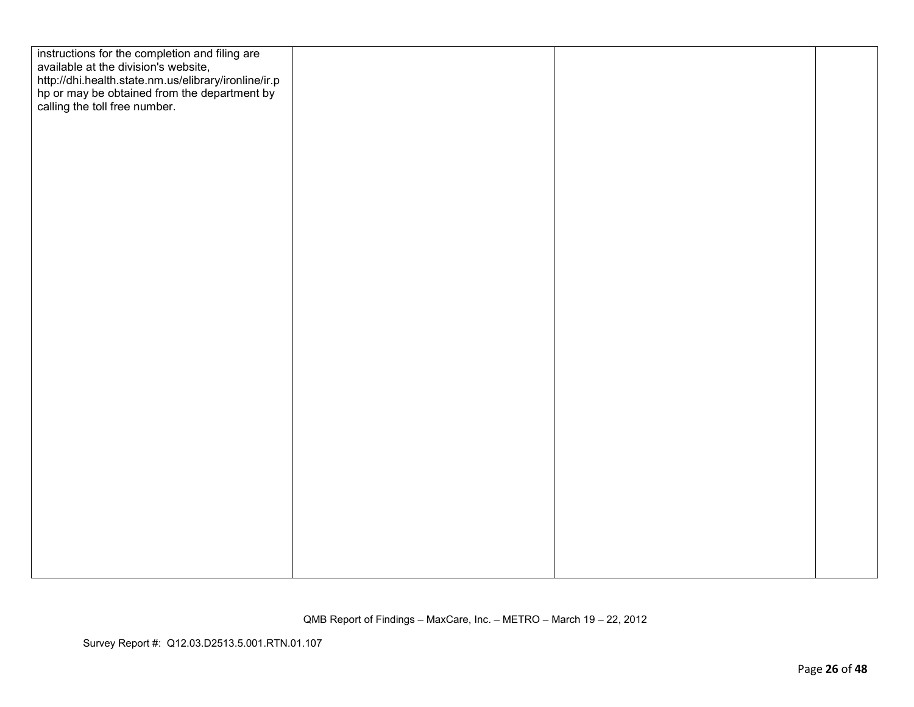| instructions for the completion and filing are<br>available at the division's website,                                                |  |  |
|---------------------------------------------------------------------------------------------------------------------------------------|--|--|
| http://dhi.health.state.nm.us/elibrary/ironline/ir.p<br>hp or may be obtained from the department by<br>calling the toll free number. |  |  |
|                                                                                                                                       |  |  |
|                                                                                                                                       |  |  |
|                                                                                                                                       |  |  |
|                                                                                                                                       |  |  |
|                                                                                                                                       |  |  |
|                                                                                                                                       |  |  |
|                                                                                                                                       |  |  |
|                                                                                                                                       |  |  |
|                                                                                                                                       |  |  |
|                                                                                                                                       |  |  |
|                                                                                                                                       |  |  |
|                                                                                                                                       |  |  |
|                                                                                                                                       |  |  |
|                                                                                                                                       |  |  |
|                                                                                                                                       |  |  |
|                                                                                                                                       |  |  |
|                                                                                                                                       |  |  |
|                                                                                                                                       |  |  |
|                                                                                                                                       |  |  |
|                                                                                                                                       |  |  |
|                                                                                                                                       |  |  |
|                                                                                                                                       |  |  |
|                                                                                                                                       |  |  |
|                                                                                                                                       |  |  |
|                                                                                                                                       |  |  |

Survey Report #: Q12.03.D2513.5.001.RTN.01.107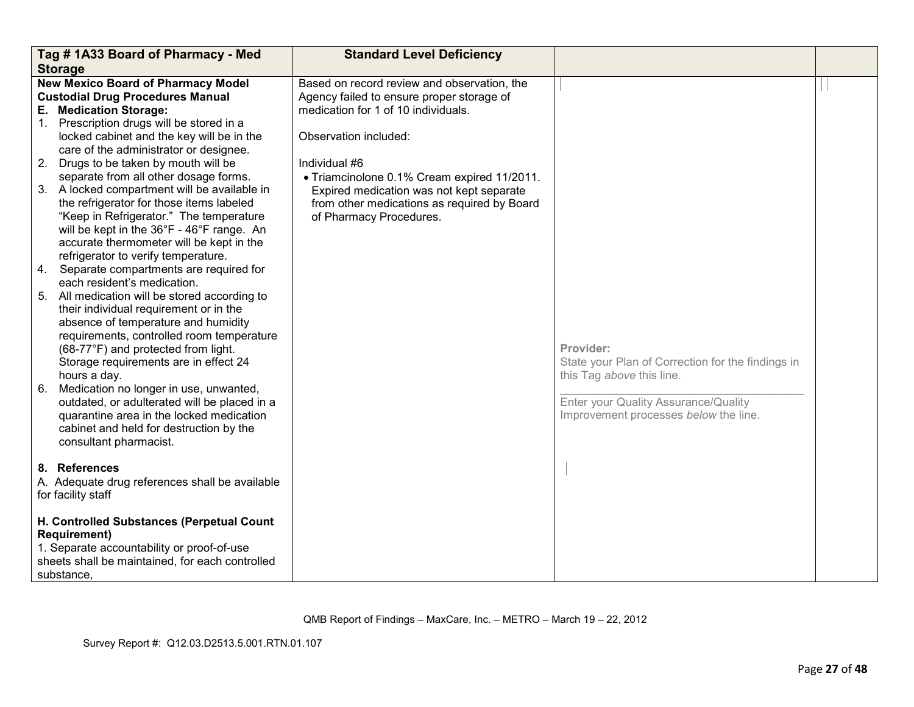|          | Tag #1A33 Board of Pharmacy - Med                                                                                                                                                                                                                                                                                                                                                                                                                                                                                                                                                                                                                                       | <b>Standard Level Deficiency</b>                                                                                                                                                                                                                                                                                                               |                                                                                                                                                                              |  |
|----------|-------------------------------------------------------------------------------------------------------------------------------------------------------------------------------------------------------------------------------------------------------------------------------------------------------------------------------------------------------------------------------------------------------------------------------------------------------------------------------------------------------------------------------------------------------------------------------------------------------------------------------------------------------------------------|------------------------------------------------------------------------------------------------------------------------------------------------------------------------------------------------------------------------------------------------------------------------------------------------------------------------------------------------|------------------------------------------------------------------------------------------------------------------------------------------------------------------------------|--|
|          |                                                                                                                                                                                                                                                                                                                                                                                                                                                                                                                                                                                                                                                                         |                                                                                                                                                                                                                                                                                                                                                |                                                                                                                                                                              |  |
|          | <b>Storage</b><br><b>New Mexico Board of Pharmacy Model</b><br><b>Custodial Drug Procedures Manual</b><br>E. Medication Storage:<br>1. Prescription drugs will be stored in a<br>locked cabinet and the key will be in the<br>care of the administrator or designee.<br>2. Drugs to be taken by mouth will be<br>separate from all other dosage forms.<br>3. A locked compartment will be available in<br>the refrigerator for those items labeled<br>"Keep in Refrigerator." The temperature<br>will be kept in the 36°F - 46°F range. An<br>accurate thermometer will be kept in the<br>refrigerator to verify temperature.<br>Separate compartments are required for | Based on record review and observation, the<br>Agency failed to ensure proper storage of<br>medication for 1 of 10 individuals.<br>Observation included:<br>Individual #6<br>• Triamcinolone 0.1% Cream expired 11/2011.<br>Expired medication was not kept separate<br>from other medications as required by Board<br>of Pharmacy Procedures. |                                                                                                                                                                              |  |
| 4.<br>6. | each resident's medication.<br>5. All medication will be stored according to<br>their individual requirement or in the<br>absence of temperature and humidity<br>requirements, controlled room temperature<br>(68-77°F) and protected from light.<br>Storage requirements are in effect 24<br>hours a day.<br>Medication no longer in use, unwanted,<br>outdated, or adulterated will be placed in a<br>quarantine area in the locked medication<br>cabinet and held for destruction by the<br>consultant pharmacist.                                                                                                                                                   |                                                                                                                                                                                                                                                                                                                                                | Provider:<br>State your Plan of Correction for the findings in<br>this Tag above this line.<br>Enter your Quality Assurance/Quality<br>Improvement processes below the line. |  |
|          | 8. References<br>A. Adequate drug references shall be available<br>for facility staff                                                                                                                                                                                                                                                                                                                                                                                                                                                                                                                                                                                   |                                                                                                                                                                                                                                                                                                                                                |                                                                                                                                                                              |  |
|          | H. Controlled Substances (Perpetual Count<br><b>Requirement)</b><br>1. Separate accountability or proof-of-use<br>sheets shall be maintained, for each controlled<br>substance.                                                                                                                                                                                                                                                                                                                                                                                                                                                                                         |                                                                                                                                                                                                                                                                                                                                                |                                                                                                                                                                              |  |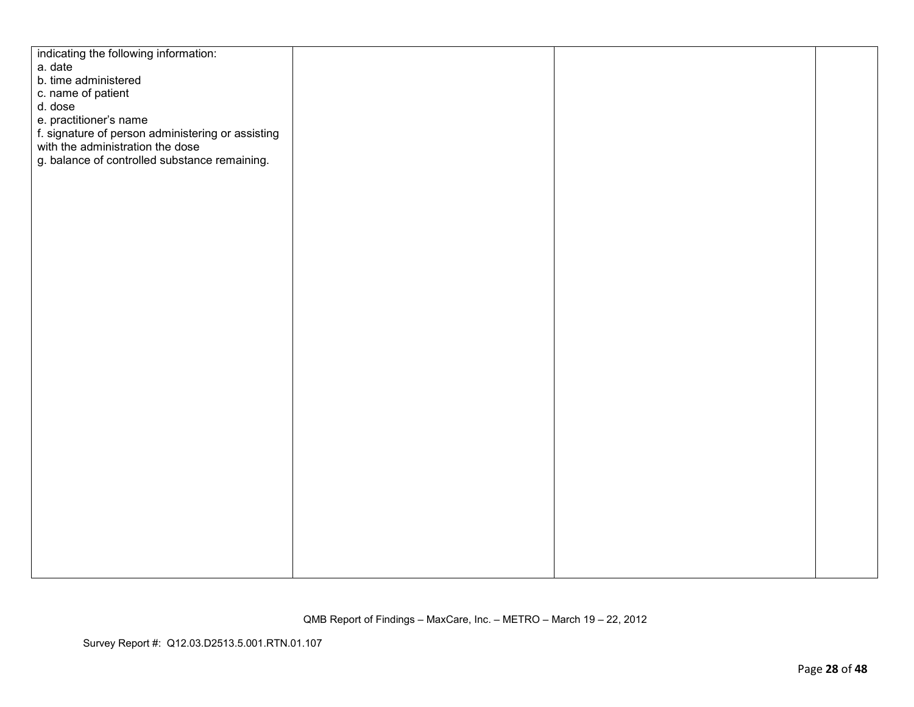| indicating the following information:             |  |  |
|---------------------------------------------------|--|--|
| a. date                                           |  |  |
| b. time administered                              |  |  |
| c. name of patient                                |  |  |
| d. dose                                           |  |  |
| e. practitioner's name                            |  |  |
| f. signature of person administering or assisting |  |  |
| with the administration the dose                  |  |  |
| g. balance of controlled substance remaining.     |  |  |
|                                                   |  |  |
|                                                   |  |  |
|                                                   |  |  |
|                                                   |  |  |
|                                                   |  |  |
|                                                   |  |  |
|                                                   |  |  |
|                                                   |  |  |
|                                                   |  |  |
|                                                   |  |  |
|                                                   |  |  |
|                                                   |  |  |
|                                                   |  |  |
|                                                   |  |  |
|                                                   |  |  |
|                                                   |  |  |
|                                                   |  |  |
|                                                   |  |  |
|                                                   |  |  |
|                                                   |  |  |
|                                                   |  |  |
|                                                   |  |  |
|                                                   |  |  |
|                                                   |  |  |
|                                                   |  |  |
|                                                   |  |  |
|                                                   |  |  |
|                                                   |  |  |
|                                                   |  |  |
|                                                   |  |  |
|                                                   |  |  |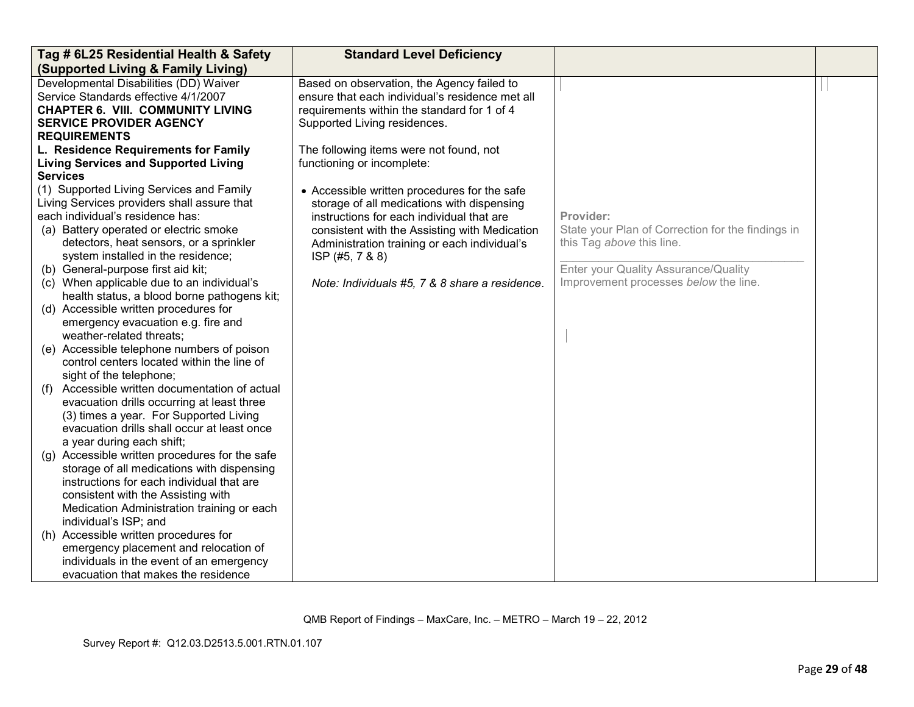| Tag # 6L25 Residential Health & Safety                                         | <b>Standard Level Deficiency</b>                |                                                                                |  |
|--------------------------------------------------------------------------------|-------------------------------------------------|--------------------------------------------------------------------------------|--|
| (Supported Living & Family Living)                                             |                                                 |                                                                                |  |
| Developmental Disabilities (DD) Waiver                                         | Based on observation, the Agency failed to      |                                                                                |  |
| Service Standards effective 4/1/2007                                           | ensure that each individual's residence met all |                                                                                |  |
| <b>CHAPTER 6. VIII. COMMUNITY LIVING</b>                                       | requirements within the standard for 1 of 4     |                                                                                |  |
| <b>SERVICE PROVIDER AGENCY</b>                                                 | Supported Living residences.                    |                                                                                |  |
| <b>REQUIREMENTS</b>                                                            |                                                 |                                                                                |  |
| L. Residence Requirements for Family                                           | The following items were not found, not         |                                                                                |  |
| <b>Living Services and Supported Living</b>                                    | functioning or incomplete:                      |                                                                                |  |
| <b>Services</b>                                                                |                                                 |                                                                                |  |
| (1) Supported Living Services and Family                                       | • Accessible written procedures for the safe    |                                                                                |  |
| Living Services providers shall assure that                                    | storage of all medications with dispensing      |                                                                                |  |
| each individual's residence has:                                               | instructions for each individual that are       | Provider:                                                                      |  |
| (a) Battery operated or electric smoke                                         | consistent with the Assisting with Medication   | State your Plan of Correction for the findings in<br>this Tag above this line. |  |
| detectors, heat sensors, or a sprinkler<br>system installed in the residence;  | Administration training or each individual's    |                                                                                |  |
| (b) General-purpose first aid kit;                                             | ISP (#5, 7 & 8)                                 | Enter your Quality Assurance/Quality                                           |  |
| (c) When applicable due to an individual's                                     | Note: Individuals #5, 7 & 8 share a residence.  | Improvement processes below the line.                                          |  |
| health status, a blood borne pathogens kit;                                    |                                                 |                                                                                |  |
| (d) Accessible written procedures for                                          |                                                 |                                                                                |  |
| emergency evacuation e.g. fire and                                             |                                                 |                                                                                |  |
| weather-related threats;                                                       |                                                 |                                                                                |  |
| (e) Accessible telephone numbers of poison                                     |                                                 |                                                                                |  |
| control centers located within the line of                                     |                                                 |                                                                                |  |
| sight of the telephone;                                                        |                                                 |                                                                                |  |
| (f) Accessible written documentation of actual                                 |                                                 |                                                                                |  |
| evacuation drills occurring at least three                                     |                                                 |                                                                                |  |
| (3) times a year. For Supported Living                                         |                                                 |                                                                                |  |
| evacuation drills shall occur at least once                                    |                                                 |                                                                                |  |
| a year during each shift;                                                      |                                                 |                                                                                |  |
| (g) Accessible written procedures for the safe                                 |                                                 |                                                                                |  |
| storage of all medications with dispensing                                     |                                                 |                                                                                |  |
| instructions for each individual that are                                      |                                                 |                                                                                |  |
| consistent with the Assisting with                                             |                                                 |                                                                                |  |
| Medication Administration training or each                                     |                                                 |                                                                                |  |
| individual's ISP; and                                                          |                                                 |                                                                                |  |
| (h) Accessible written procedures for<br>emergency placement and relocation of |                                                 |                                                                                |  |
| individuals in the event of an emergency                                       |                                                 |                                                                                |  |
| evacuation that makes the residence                                            |                                                 |                                                                                |  |
|                                                                                |                                                 |                                                                                |  |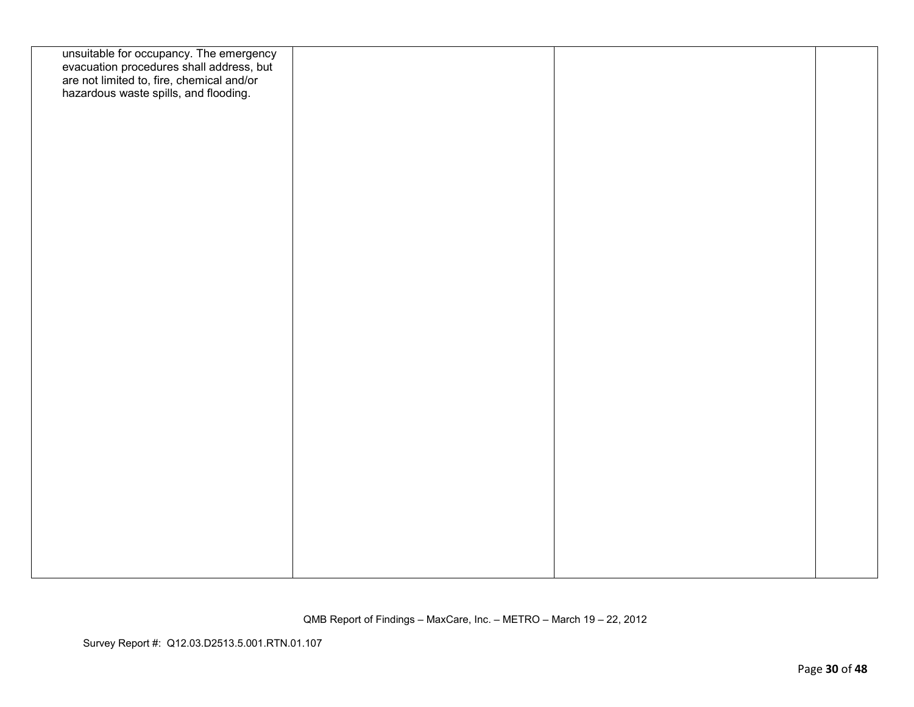| unsuitable for occupancy. The emergency<br>evacuation procedures shall address, but<br>are not limited to, fire, chemical and/or<br>hazardous waste spills, and flooding. |  |  |
|---------------------------------------------------------------------------------------------------------------------------------------------------------------------------|--|--|
|                                                                                                                                                                           |  |  |
|                                                                                                                                                                           |  |  |
|                                                                                                                                                                           |  |  |
|                                                                                                                                                                           |  |  |
|                                                                                                                                                                           |  |  |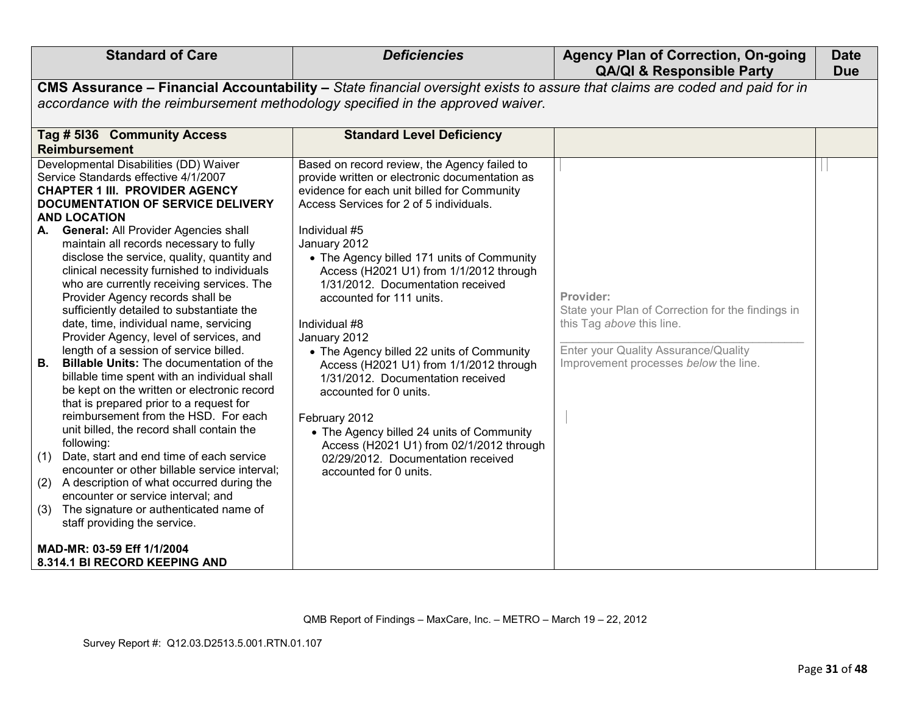| <b>Standard of Care</b>                                                                                                                                                                                                                                                                                                                                                                                                                                                                                                                                                                                                                                                                                                                                                                                                                                                                                                                                                                                                                                                                                                                                                                                                                                                                 | <b>Deficiencies</b>                                                                                                                                                                                                                                                                                                                                                                                                                                                                                                                                                                                                                                                                                                                                                                       | <b>Agency Plan of Correction, On-going</b><br><b>QA/QI &amp; Responsible Party</b>                                                                                           | <b>Date</b><br><b>Due</b> |  |  |
|-----------------------------------------------------------------------------------------------------------------------------------------------------------------------------------------------------------------------------------------------------------------------------------------------------------------------------------------------------------------------------------------------------------------------------------------------------------------------------------------------------------------------------------------------------------------------------------------------------------------------------------------------------------------------------------------------------------------------------------------------------------------------------------------------------------------------------------------------------------------------------------------------------------------------------------------------------------------------------------------------------------------------------------------------------------------------------------------------------------------------------------------------------------------------------------------------------------------------------------------------------------------------------------------|-------------------------------------------------------------------------------------------------------------------------------------------------------------------------------------------------------------------------------------------------------------------------------------------------------------------------------------------------------------------------------------------------------------------------------------------------------------------------------------------------------------------------------------------------------------------------------------------------------------------------------------------------------------------------------------------------------------------------------------------------------------------------------------------|------------------------------------------------------------------------------------------------------------------------------------------------------------------------------|---------------------------|--|--|
|                                                                                                                                                                                                                                                                                                                                                                                                                                                                                                                                                                                                                                                                                                                                                                                                                                                                                                                                                                                                                                                                                                                                                                                                                                                                                         | CMS Assurance - Financial Accountability - State financial oversight exists to assure that claims are coded and paid for in<br>accordance with the reimbursement methodology specified in the approved waiver.                                                                                                                                                                                                                                                                                                                                                                                                                                                                                                                                                                            |                                                                                                                                                                              |                           |  |  |
| Tag # 5136 Community Access<br><b>Reimbursement</b><br>Developmental Disabilities (DD) Waiver<br>Service Standards effective 4/1/2007<br><b>CHAPTER 1 III. PROVIDER AGENCY</b><br><b>DOCUMENTATION OF SERVICE DELIVERY</b><br><b>AND LOCATION</b><br>A. General: All Provider Agencies shall<br>maintain all records necessary to fully<br>disclose the service, quality, quantity and<br>clinical necessity furnished to individuals<br>who are currently receiving services. The<br>Provider Agency records shall be<br>sufficiently detailed to substantiate the<br>date, time, individual name, servicing<br>Provider Agency, level of services, and<br>length of a session of service billed.<br>В.<br><b>Billable Units: The documentation of the</b><br>billable time spent with an individual shall<br>be kept on the written or electronic record<br>that is prepared prior to a request for<br>reimbursement from the HSD. For each<br>unit billed, the record shall contain the<br>following:<br>Date, start and end time of each service<br>(1)<br>encounter or other billable service interval;<br>A description of what occurred during the<br>(2)<br>encounter or service interval; and<br>The signature or authenticated name of<br>(3)<br>staff providing the service. | <b>Standard Level Deficiency</b><br>Based on record review, the Agency failed to<br>provide written or electronic documentation as<br>evidence for each unit billed for Community<br>Access Services for 2 of 5 individuals.<br>Individual #5<br>January 2012<br>• The Agency billed 171 units of Community<br>Access (H2021 U1) from 1/1/2012 through<br>1/31/2012. Documentation received<br>accounted for 111 units.<br>Individual #8<br>January 2012<br>• The Agency billed 22 units of Community<br>Access (H2021 U1) from 1/1/2012 through<br>1/31/2012. Documentation received<br>accounted for 0 units.<br>February 2012<br>• The Agency billed 24 units of Community<br>Access (H2021 U1) from 02/1/2012 through<br>02/29/2012. Documentation received<br>accounted for 0 units. | Provider:<br>State your Plan of Correction for the findings in<br>this Tag above this line.<br>Enter your Quality Assurance/Quality<br>Improvement processes below the line. |                           |  |  |
| MAD-MR: 03-59 Eff 1/1/2004<br>8.314.1 BI RECORD KEEPING AND                                                                                                                                                                                                                                                                                                                                                                                                                                                                                                                                                                                                                                                                                                                                                                                                                                                                                                                                                                                                                                                                                                                                                                                                                             |                                                                                                                                                                                                                                                                                                                                                                                                                                                                                                                                                                                                                                                                                                                                                                                           |                                                                                                                                                                              |                           |  |  |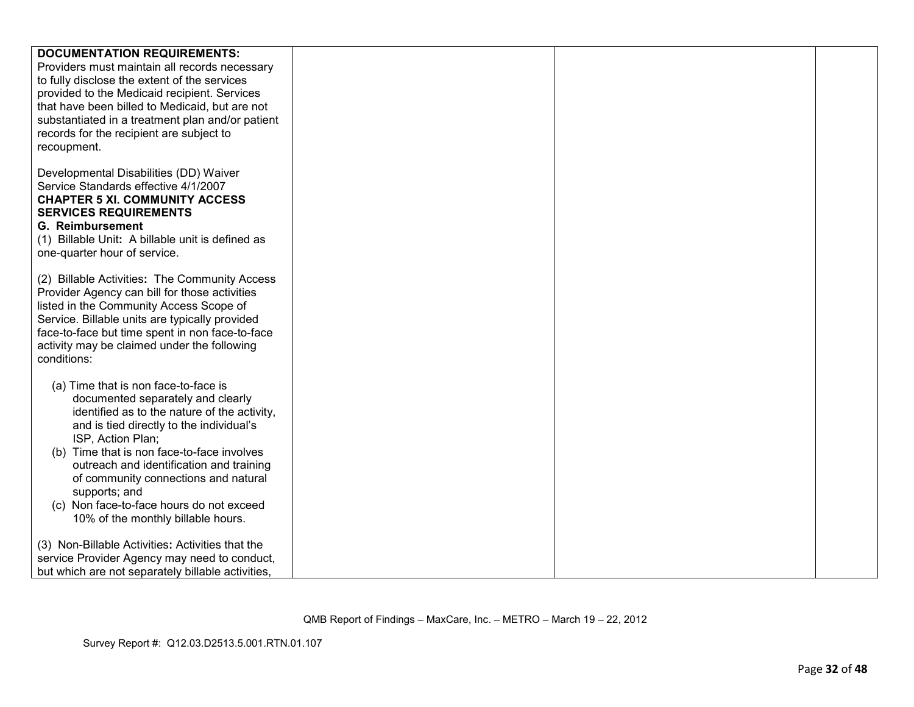| <b>DOCUMENTATION REQUIREMENTS:</b>                |  |  |
|---------------------------------------------------|--|--|
| Providers must maintain all records necessary     |  |  |
| to fully disclose the extent of the services      |  |  |
| provided to the Medicaid recipient. Services      |  |  |
| that have been billed to Medicaid, but are not    |  |  |
|                                                   |  |  |
| substantiated in a treatment plan and/or patient  |  |  |
| records for the recipient are subject to          |  |  |
| recoupment.                                       |  |  |
|                                                   |  |  |
| Developmental Disabilities (DD) Waiver            |  |  |
| Service Standards effective 4/1/2007              |  |  |
| <b>CHAPTER 5 XI. COMMUNITY ACCESS</b>             |  |  |
|                                                   |  |  |
| <b>SERVICES REQUIREMENTS</b>                      |  |  |
| <b>G. Reimbursement</b>                           |  |  |
| (1) Billable Unit: A billable unit is defined as  |  |  |
| one-quarter hour of service.                      |  |  |
|                                                   |  |  |
| (2) Billable Activities: The Community Access     |  |  |
| Provider Agency can bill for those activities     |  |  |
|                                                   |  |  |
| listed in the Community Access Scope of           |  |  |
| Service. Billable units are typically provided    |  |  |
| face-to-face but time spent in non face-to-face   |  |  |
| activity may be claimed under the following       |  |  |
| conditions:                                       |  |  |
|                                                   |  |  |
| (a) Time that is non face-to-face is              |  |  |
| documented separately and clearly                 |  |  |
| identified as to the nature of the activity,      |  |  |
|                                                   |  |  |
| and is tied directly to the individual's          |  |  |
| ISP, Action Plan;                                 |  |  |
| (b) Time that is non face-to-face involves        |  |  |
| outreach and identification and training          |  |  |
| of community connections and natural              |  |  |
| supports; and                                     |  |  |
| (c) Non face-to-face hours do not exceed          |  |  |
| 10% of the monthly billable hours.                |  |  |
|                                                   |  |  |
|                                                   |  |  |
| (3) Non-Billable Activities: Activities that the  |  |  |
| service Provider Agency may need to conduct,      |  |  |
| but which are not separately billable activities, |  |  |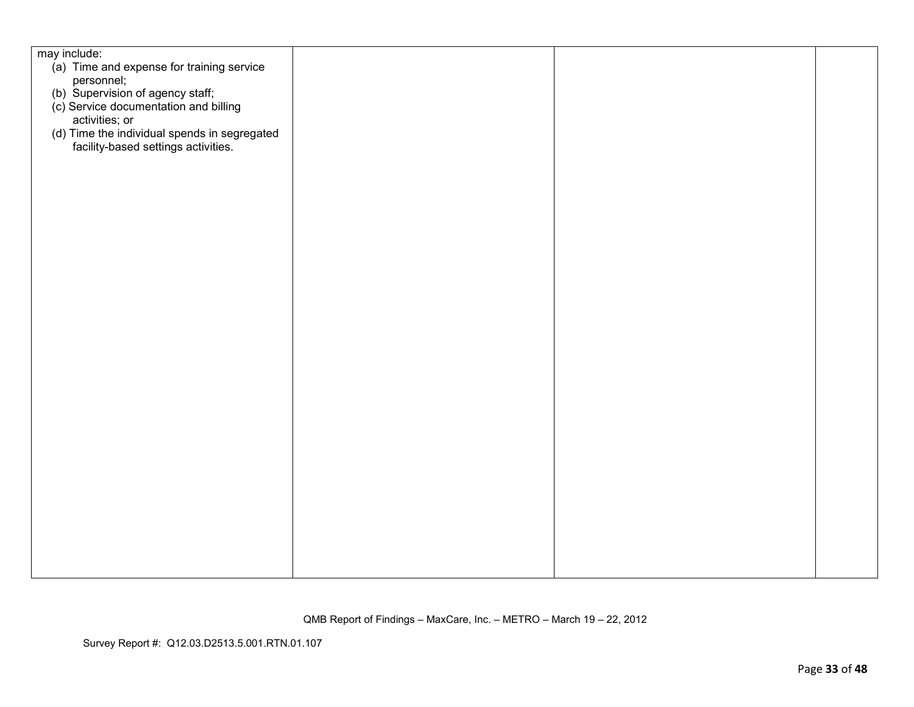| may include:                                   |  |  |
|------------------------------------------------|--|--|
| (a) Time and expense for training service      |  |  |
| personnel;<br>(b) Supervision of agency staff; |  |  |
|                                                |  |  |
| (c) Service documentation and billing          |  |  |
| activities; or                                 |  |  |
| (d) Time the individual spends in segregated   |  |  |
| facility-based settings activities.            |  |  |
|                                                |  |  |
|                                                |  |  |
|                                                |  |  |
|                                                |  |  |
|                                                |  |  |
|                                                |  |  |
|                                                |  |  |
|                                                |  |  |
|                                                |  |  |
|                                                |  |  |
|                                                |  |  |
|                                                |  |  |
|                                                |  |  |
|                                                |  |  |
|                                                |  |  |
|                                                |  |  |
|                                                |  |  |
|                                                |  |  |
|                                                |  |  |
|                                                |  |  |
|                                                |  |  |
|                                                |  |  |
|                                                |  |  |
|                                                |  |  |
|                                                |  |  |
|                                                |  |  |
|                                                |  |  |
|                                                |  |  |
|                                                |  |  |
|                                                |  |  |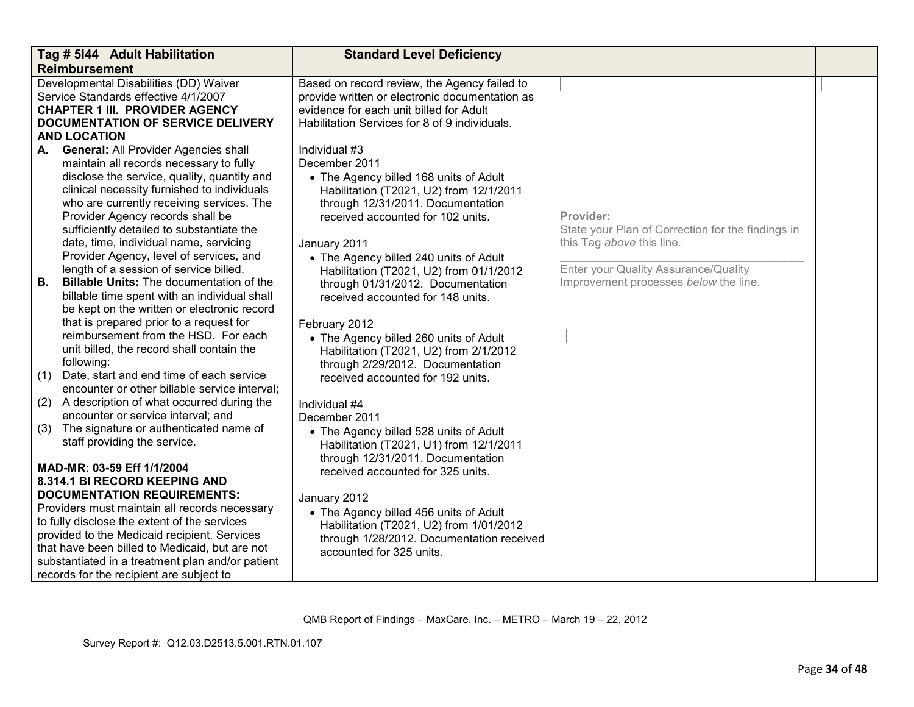| Tag # 5144 Adult Habilitation                    |                                                                                 | <b>Standard Level Deficiency</b>                                             |                                                   |  |
|--------------------------------------------------|---------------------------------------------------------------------------------|------------------------------------------------------------------------------|---------------------------------------------------|--|
| <b>Reimbursement</b>                             |                                                                                 |                                                                              |                                                   |  |
| Developmental Disabilities (DD) Waiver           |                                                                                 | Based on record review, the Agency failed to                                 |                                                   |  |
|                                                  | Service Standards effective 4/1/2007                                            | provide written or electronic documentation as                               |                                                   |  |
|                                                  | <b>CHAPTER 1 III. PROVIDER AGENCY</b>                                           | evidence for each unit billed for Adult                                      |                                                   |  |
|                                                  | <b>DOCUMENTATION OF SERVICE DELIVERY</b>                                        | Habilitation Services for 8 of 9 individuals.                                |                                                   |  |
|                                                  | <b>AND LOCATION</b>                                                             |                                                                              |                                                   |  |
| А.                                               | <b>General: All Provider Agencies shall</b>                                     | Individual #3                                                                |                                                   |  |
|                                                  | maintain all records necessary to fully                                         | December 2011                                                                |                                                   |  |
|                                                  | disclose the service, quality, quantity and                                     | • The Agency billed 168 units of Adult                                       |                                                   |  |
|                                                  | clinical necessity furnished to individuals                                     | Habilitation (T2021, U2) from 12/1/2011                                      |                                                   |  |
|                                                  | who are currently receiving services. The                                       | through 12/31/2011. Documentation                                            |                                                   |  |
|                                                  | Provider Agency records shall be                                                | received accounted for 102 units.                                            | Provider:                                         |  |
|                                                  | sufficiently detailed to substantiate the                                       |                                                                              | State your Plan of Correction for the findings in |  |
|                                                  | date, time, individual name, servicing                                          | January 2011                                                                 | this Tag above this line.                         |  |
|                                                  | Provider Agency, level of services, and                                         | • The Agency billed 240 units of Adult                                       |                                                   |  |
|                                                  | length of a session of service billed.                                          | Habilitation (T2021, U2) from 01/1/2012                                      | Enter your Quality Assurance/Quality              |  |
| В.                                               | <b>Billable Units:</b> The documentation of the                                 | through 01/31/2012. Documentation                                            | Improvement processes below the line.             |  |
|                                                  | billable time spent with an individual shall                                    | received accounted for 148 units.                                            |                                                   |  |
|                                                  | be kept on the written or electronic record                                     |                                                                              |                                                   |  |
|                                                  | that is prepared prior to a request for<br>reimbursement from the HSD. For each | February 2012                                                                |                                                   |  |
|                                                  |                                                                                 | • The Agency billed 260 units of Adult                                       |                                                   |  |
|                                                  | unit billed, the record shall contain the<br>following:                         | Habilitation (T2021, U2) from 2/1/2012                                       |                                                   |  |
|                                                  | (1) Date, start and end time of each service                                    | through 2/29/2012. Documentation                                             |                                                   |  |
|                                                  | encounter or other billable service interval;                                   | received accounted for 192 units.                                            |                                                   |  |
| (2)                                              | A description of what occurred during the                                       |                                                                              |                                                   |  |
|                                                  | encounter or service interval; and                                              | Individual #4<br>December 2011                                               |                                                   |  |
| (3)                                              | The signature or authenticated name of                                          |                                                                              |                                                   |  |
|                                                  | staff providing the service.                                                    | • The Agency billed 528 units of Adult                                       |                                                   |  |
|                                                  |                                                                                 | Habilitation (T2021, U1) from 12/1/2011<br>through 12/31/2011. Documentation |                                                   |  |
|                                                  | MAD-MR: 03-59 Eff 1/1/2004                                                      | received accounted for 325 units.                                            |                                                   |  |
| 8.314.1 BI RECORD KEEPING AND                    |                                                                                 |                                                                              |                                                   |  |
| <b>DOCUMENTATION REQUIREMENTS:</b>               |                                                                                 | January 2012                                                                 |                                                   |  |
| Providers must maintain all records necessary    |                                                                                 | • The Agency billed 456 units of Adult                                       |                                                   |  |
| to fully disclose the extent of the services     |                                                                                 | Habilitation (T2021, U2) from 1/01/2012                                      |                                                   |  |
| provided to the Medicaid recipient. Services     |                                                                                 | through 1/28/2012. Documentation received                                    |                                                   |  |
| that have been billed to Medicaid, but are not   |                                                                                 | accounted for 325 units.                                                     |                                                   |  |
| substantiated in a treatment plan and/or patient |                                                                                 |                                                                              |                                                   |  |
| records for the recipient are subject to         |                                                                                 |                                                                              |                                                   |  |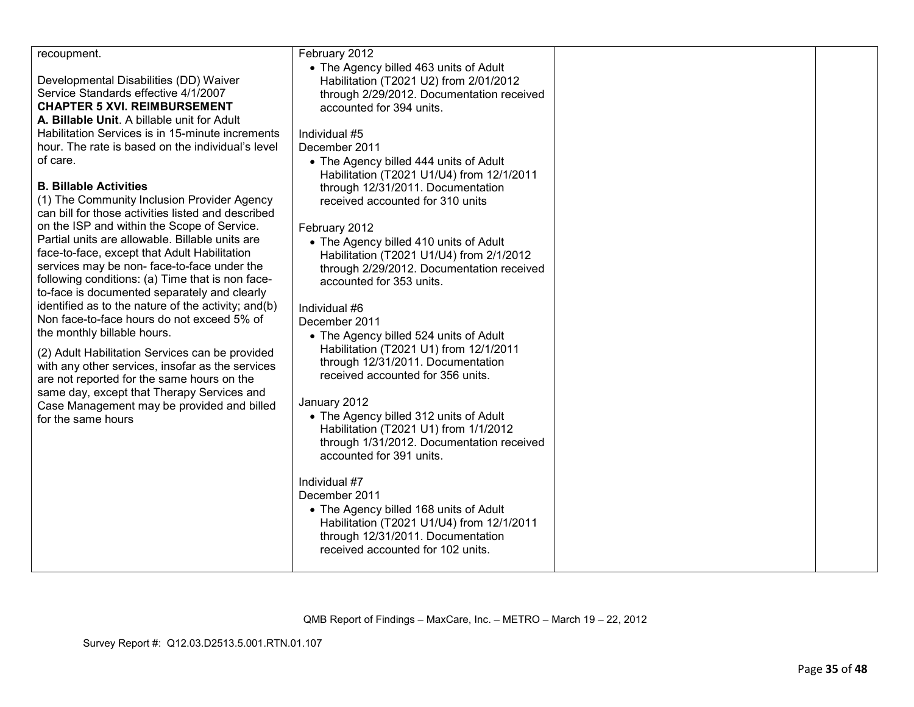| recoupment.                                                                                                                                                                                                                                                                                                                                                                                                                                                                                                                                                                                                                                                                                                                                                                                                                                                                                                                                                                                                                                                                                                                                    | February 2012                                                                                                                                                                                                                                                                                                                                                                                                                                                                                                                                                                                                                                                                                                                                                                                                                                                                                                                                                                                                                                                                                                              |  |
|------------------------------------------------------------------------------------------------------------------------------------------------------------------------------------------------------------------------------------------------------------------------------------------------------------------------------------------------------------------------------------------------------------------------------------------------------------------------------------------------------------------------------------------------------------------------------------------------------------------------------------------------------------------------------------------------------------------------------------------------------------------------------------------------------------------------------------------------------------------------------------------------------------------------------------------------------------------------------------------------------------------------------------------------------------------------------------------------------------------------------------------------|----------------------------------------------------------------------------------------------------------------------------------------------------------------------------------------------------------------------------------------------------------------------------------------------------------------------------------------------------------------------------------------------------------------------------------------------------------------------------------------------------------------------------------------------------------------------------------------------------------------------------------------------------------------------------------------------------------------------------------------------------------------------------------------------------------------------------------------------------------------------------------------------------------------------------------------------------------------------------------------------------------------------------------------------------------------------------------------------------------------------------|--|
| Developmental Disabilities (DD) Waiver<br>Service Standards effective 4/1/2007<br><b>CHAPTER 5 XVI. REIMBURSEMENT</b><br>A. Billable Unit. A billable unit for Adult<br>Habilitation Services is in 15-minute increments<br>hour. The rate is based on the individual's level<br>of care.<br><b>B. Billable Activities</b><br>(1) The Community Inclusion Provider Agency<br>can bill for those activities listed and described<br>on the ISP and within the Scope of Service.<br>Partial units are allowable. Billable units are<br>face-to-face, except that Adult Habilitation<br>services may be non-face-to-face under the<br>following conditions: (a) Time that is non face-<br>to-face is documented separately and clearly<br>identified as to the nature of the activity; and(b)<br>Non face-to-face hours do not exceed 5% of<br>the monthly billable hours.<br>(2) Adult Habilitation Services can be provided<br>with any other services, insofar as the services<br>are not reported for the same hours on the<br>same day, except that Therapy Services and<br>Case Management may be provided and billed<br>for the same hours | • The Agency billed 463 units of Adult<br>Habilitation (T2021 U2) from 2/01/2012<br>through 2/29/2012. Documentation received<br>accounted for 394 units.<br>Individual #5<br>December 2011<br>• The Agency billed 444 units of Adult<br>Habilitation (T2021 U1/U4) from 12/1/2011<br>through 12/31/2011. Documentation<br>received accounted for 310 units<br>February 2012<br>• The Agency billed 410 units of Adult<br>Habilitation (T2021 U1/U4) from 2/1/2012<br>through 2/29/2012. Documentation received<br>accounted for 353 units.<br>Individual #6<br>December 2011<br>• The Agency billed 524 units of Adult<br>Habilitation (T2021 U1) from 12/1/2011<br>through 12/31/2011. Documentation<br>received accounted for 356 units.<br>January 2012<br>• The Agency billed 312 units of Adult<br>Habilitation (T2021 U1) from 1/1/2012<br>through 1/31/2012. Documentation received<br>accounted for 391 units.<br>Individual #7<br>December 2011<br>• The Agency billed 168 units of Adult<br>Habilitation (T2021 U1/U4) from 12/1/2011<br>through 12/31/2011. Documentation<br>received accounted for 102 units. |  |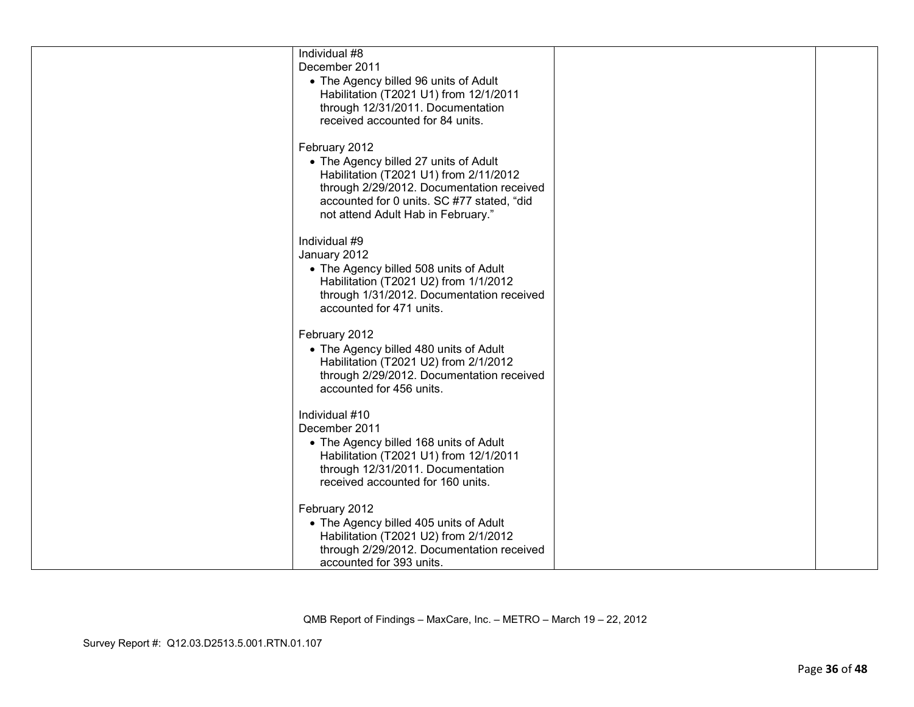| Individual #8                              |  |
|--------------------------------------------|--|
| December 2011                              |  |
| • The Agency billed 96 units of Adult      |  |
| Habilitation (T2021 U1) from 12/1/2011     |  |
|                                            |  |
| through 12/31/2011. Documentation          |  |
| received accounted for 84 units.           |  |
|                                            |  |
| February 2012                              |  |
| • The Agency billed 27 units of Adult      |  |
| Habilitation (T2021 U1) from 2/11/2012     |  |
| through 2/29/2012. Documentation received  |  |
| accounted for 0 units. SC #77 stated, "did |  |
| not attend Adult Hab in February."         |  |
| Individual #9                              |  |
| January 2012                               |  |
| • The Agency billed 508 units of Adult     |  |
| Habilitation (T2021 U2) from 1/1/2012      |  |
| through 1/31/2012. Documentation received  |  |
| accounted for 471 units.                   |  |
|                                            |  |
| February 2012                              |  |
| • The Agency billed 480 units of Adult     |  |
| Habilitation (T2021 U2) from 2/1/2012      |  |
| through 2/29/2012. Documentation received  |  |
| accounted for 456 units.                   |  |
|                                            |  |
| Individual #10                             |  |
| December 2011                              |  |
| • The Agency billed 168 units of Adult     |  |
| Habilitation (T2021 U1) from 12/1/2011     |  |
| through 12/31/2011. Documentation          |  |
| received accounted for 160 units.          |  |
|                                            |  |
| February 2012                              |  |
| • The Agency billed 405 units of Adult     |  |
| Habilitation (T2021 U2) from 2/1/2012      |  |
| through 2/29/2012. Documentation received  |  |
| accounted for 393 units.                   |  |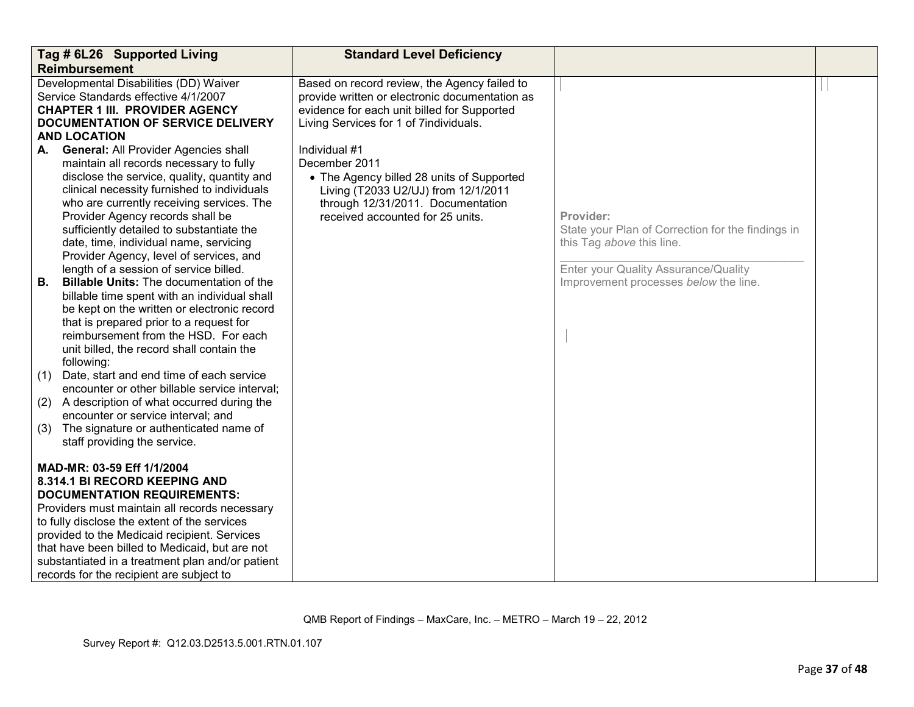| Tag # 6L26 Supported Living                                                                                                                                                                                                                                                                                                                                                                          |                                                                                                                                                                                                                                                                                                                                                                                                                                                                                                                                                                                                                                                                                                                                     | <b>Standard Level Deficiency</b>                                                                                                                                                            |                                                                                                                                                                              |  |
|------------------------------------------------------------------------------------------------------------------------------------------------------------------------------------------------------------------------------------------------------------------------------------------------------------------------------------------------------------------------------------------------------|-------------------------------------------------------------------------------------------------------------------------------------------------------------------------------------------------------------------------------------------------------------------------------------------------------------------------------------------------------------------------------------------------------------------------------------------------------------------------------------------------------------------------------------------------------------------------------------------------------------------------------------------------------------------------------------------------------------------------------------|---------------------------------------------------------------------------------------------------------------------------------------------------------------------------------------------|------------------------------------------------------------------------------------------------------------------------------------------------------------------------------|--|
|                                                                                                                                                                                                                                                                                                                                                                                                      | <b>Reimbursement</b>                                                                                                                                                                                                                                                                                                                                                                                                                                                                                                                                                                                                                                                                                                                |                                                                                                                                                                                             |                                                                                                                                                                              |  |
| Developmental Disabilities (DD) Waiver<br>Service Standards effective 4/1/2007<br><b>CHAPTER 1 III. PROVIDER AGENCY</b><br><b>DOCUMENTATION OF SERVICE DELIVERY</b><br><b>AND LOCATION</b>                                                                                                                                                                                                           |                                                                                                                                                                                                                                                                                                                                                                                                                                                                                                                                                                                                                                                                                                                                     | Based on record review, the Agency failed to<br>provide written or electronic documentation as<br>evidence for each unit billed for Supported<br>Living Services for 1 of 7individuals.     |                                                                                                                                                                              |  |
|                                                                                                                                                                                                                                                                                                                                                                                                      |                                                                                                                                                                                                                                                                                                                                                                                                                                                                                                                                                                                                                                                                                                                                     |                                                                                                                                                                                             |                                                                                                                                                                              |  |
| А.<br>В.                                                                                                                                                                                                                                                                                                                                                                                             | <b>General: All Provider Agencies shall</b><br>maintain all records necessary to fully<br>disclose the service, quality, quantity and<br>clinical necessity furnished to individuals<br>who are currently receiving services. The<br>Provider Agency records shall be<br>sufficiently detailed to substantiate the<br>date, time, individual name, servicing<br>Provider Agency, level of services, and<br>length of a session of service billed.<br><b>Billable Units: The documentation of the</b><br>billable time spent with an individual shall<br>be kept on the written or electronic record<br>that is prepared prior to a request for<br>reimbursement from the HSD. For each<br>unit billed, the record shall contain the | Individual #1<br>December 2011<br>• The Agency billed 28 units of Supported<br>Living (T2033 U2/UJ) from 12/1/2011<br>through 12/31/2011. Documentation<br>received accounted for 25 units. | Provider:<br>State your Plan of Correction for the findings in<br>this Tag above this line.<br>Enter your Quality Assurance/Quality<br>Improvement processes below the line. |  |
| (1)                                                                                                                                                                                                                                                                                                                                                                                                  | following:<br>Date, start and end time of each service                                                                                                                                                                                                                                                                                                                                                                                                                                                                                                                                                                                                                                                                              |                                                                                                                                                                                             |                                                                                                                                                                              |  |
| (2)                                                                                                                                                                                                                                                                                                                                                                                                  | encounter or other billable service interval;<br>A description of what occurred during the                                                                                                                                                                                                                                                                                                                                                                                                                                                                                                                                                                                                                                          |                                                                                                                                                                                             |                                                                                                                                                                              |  |
| (3)                                                                                                                                                                                                                                                                                                                                                                                                  | encounter or service interval; and<br>The signature or authenticated name of<br>staff providing the service.                                                                                                                                                                                                                                                                                                                                                                                                                                                                                                                                                                                                                        |                                                                                                                                                                                             |                                                                                                                                                                              |  |
| MAD-MR: 03-59 Eff 1/1/2004<br>8.314.1 BI RECORD KEEPING AND<br><b>DOCUMENTATION REQUIREMENTS:</b><br>Providers must maintain all records necessary<br>to fully disclose the extent of the services<br>provided to the Medicaid recipient. Services<br>that have been billed to Medicaid, but are not<br>substantiated in a treatment plan and/or patient<br>records for the recipient are subject to |                                                                                                                                                                                                                                                                                                                                                                                                                                                                                                                                                                                                                                                                                                                                     |                                                                                                                                                                                             |                                                                                                                                                                              |  |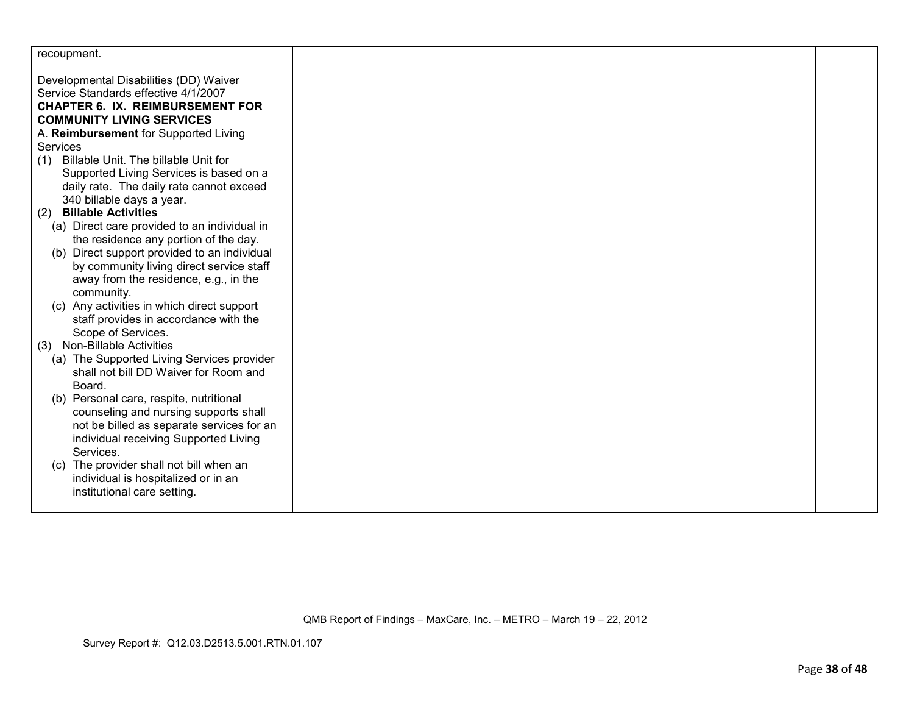| recoupment.                                                                         |  |  |
|-------------------------------------------------------------------------------------|--|--|
| Developmental Disabilities (DD) Waiver                                              |  |  |
| Service Standards effective 4/1/2007                                                |  |  |
| <b>CHAPTER 6. IX. REIMBURSEMENT FOR</b>                                             |  |  |
| <b>COMMUNITY LIVING SERVICES</b>                                                    |  |  |
| A. Reimbursement for Supported Living                                               |  |  |
| Services                                                                            |  |  |
| Billable Unit. The billable Unit for<br>(1)                                         |  |  |
| Supported Living Services is based on a                                             |  |  |
| daily rate. The daily rate cannot exceed                                            |  |  |
| 340 billable days a year.                                                           |  |  |
| <b>Billable Activities</b><br>(2)                                                   |  |  |
| (a) Direct care provided to an individual in                                        |  |  |
| the residence any portion of the day.                                               |  |  |
| Direct support provided to an individual<br>(b)                                     |  |  |
| by community living direct service staff                                            |  |  |
| away from the residence, e.g., in the                                               |  |  |
| community.                                                                          |  |  |
| (c) Any activities in which direct support                                          |  |  |
| staff provides in accordance with the                                               |  |  |
| Scope of Services.                                                                  |  |  |
| <b>Non-Billable Activities</b><br>(3)                                               |  |  |
| (a) The Supported Living Services provider<br>shall not bill DD Waiver for Room and |  |  |
| Board.                                                                              |  |  |
| (b) Personal care, respite, nutritional                                             |  |  |
| counseling and nursing supports shall                                               |  |  |
| not be billed as separate services for an                                           |  |  |
| individual receiving Supported Living                                               |  |  |
| Services.                                                                           |  |  |
| The provider shall not bill when an<br>(C)                                          |  |  |
| individual is hospitalized or in an                                                 |  |  |
| institutional care setting.                                                         |  |  |
|                                                                                     |  |  |